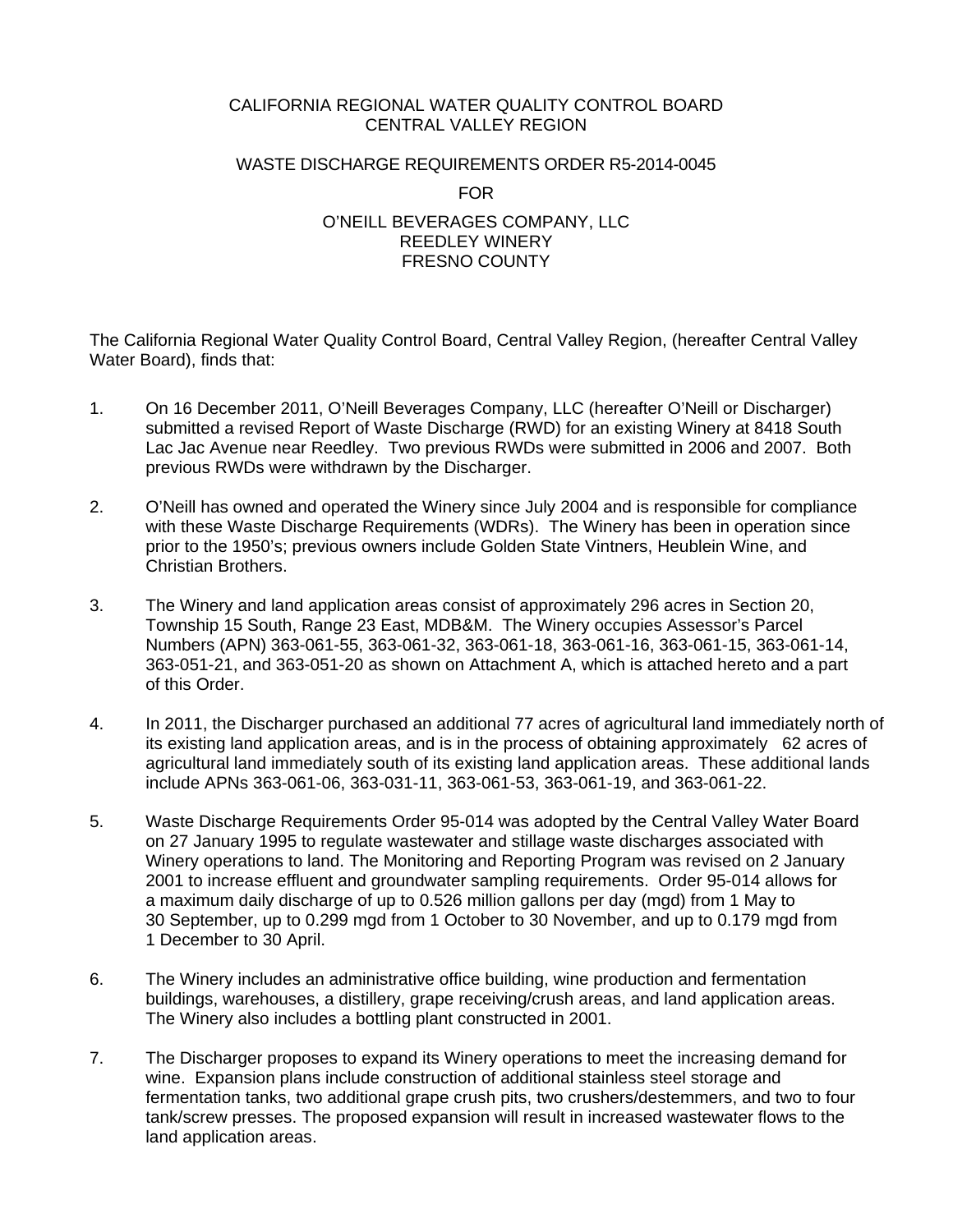## CALIFORNIA REGIONAL WATER QUALITY CONTROL BOARD CENTRAL VALLEY REGION

### WASTE DISCHARGE REQUIREMENTS ORDER R5-2014-0045

FOR

### O'NEILL BEVERAGES COMPANY, LLC REEDLEY WINERY FRESNO COUNTY

The California Regional Water Quality Control Board, Central Valley Region, (hereafter Central Valley Water Board), finds that:

- 1. On 16 December 2011, O'Neill Beverages Company, LLC (hereafter O'Neill or Discharger) submitted a revised Report of Waste Discharge (RWD) for an existing Winery at 8418 South Lac Jac Avenue near Reedley. Two previous RWDs were submitted in 2006 and 2007. Both previous RWDs were withdrawn by the Discharger.
- 2. O'Neill has owned and operated the Winery since July 2004 and is responsible for compliance with these Waste Discharge Requirements (WDRs). The Winery has been in operation since prior to the 1950's; previous owners include Golden State Vintners, Heublein Wine, and Christian Brothers.
- 3. The Winery and land application areas consist of approximately 296 acres in Section 20, Township 15 South, Range 23 East, MDB&M. The Winery occupies Assessor's Parcel Numbers (APN) 363-061-55, 363-061-32, 363-061-18, 363-061-16, 363-061-15, 363-061-14, 363-051-21, and 363-051-20 as shown on Attachment A, which is attached hereto and a part of this Order.
- 4. In 2011, the Discharger purchased an additional 77 acres of agricultural land immediately north of its existing land application areas, and is in the process of obtaining approximately 62 acres of agricultural land immediately south of its existing land application areas. These additional lands include APNs 363-061-06, 363-031-11, 363-061-53, 363-061-19, and 363-061-22.
- 5. Waste Discharge Requirements Order 95-014 was adopted by the Central Valley Water Board on 27 January 1995 to regulate wastewater and stillage waste discharges associated with Winery operations to land. The Monitoring and Reporting Program was revised on 2 January 2001 to increase effluent and groundwater sampling requirements. Order 95-014 allows for a maximum daily discharge of up to 0.526 million gallons per day (mgd) from 1 May to 30 September, up to 0.299 mgd from 1 October to 30 November, and up to 0.179 mgd from 1 December to 30 April.
- 6. The Winery includes an administrative office building, wine production and fermentation buildings, warehouses, a distillery, grape receiving/crush areas, and land application areas. The Winery also includes a bottling plant constructed in 2001.
- 7. The Discharger proposes to expand its Winery operations to meet the increasing demand for wine. Expansion plans include construction of additional stainless steel storage and fermentation tanks, two additional grape crush pits, two crushers/destemmers, and two to four tank/screw presses. The proposed expansion will result in increased wastewater flows to the land application areas.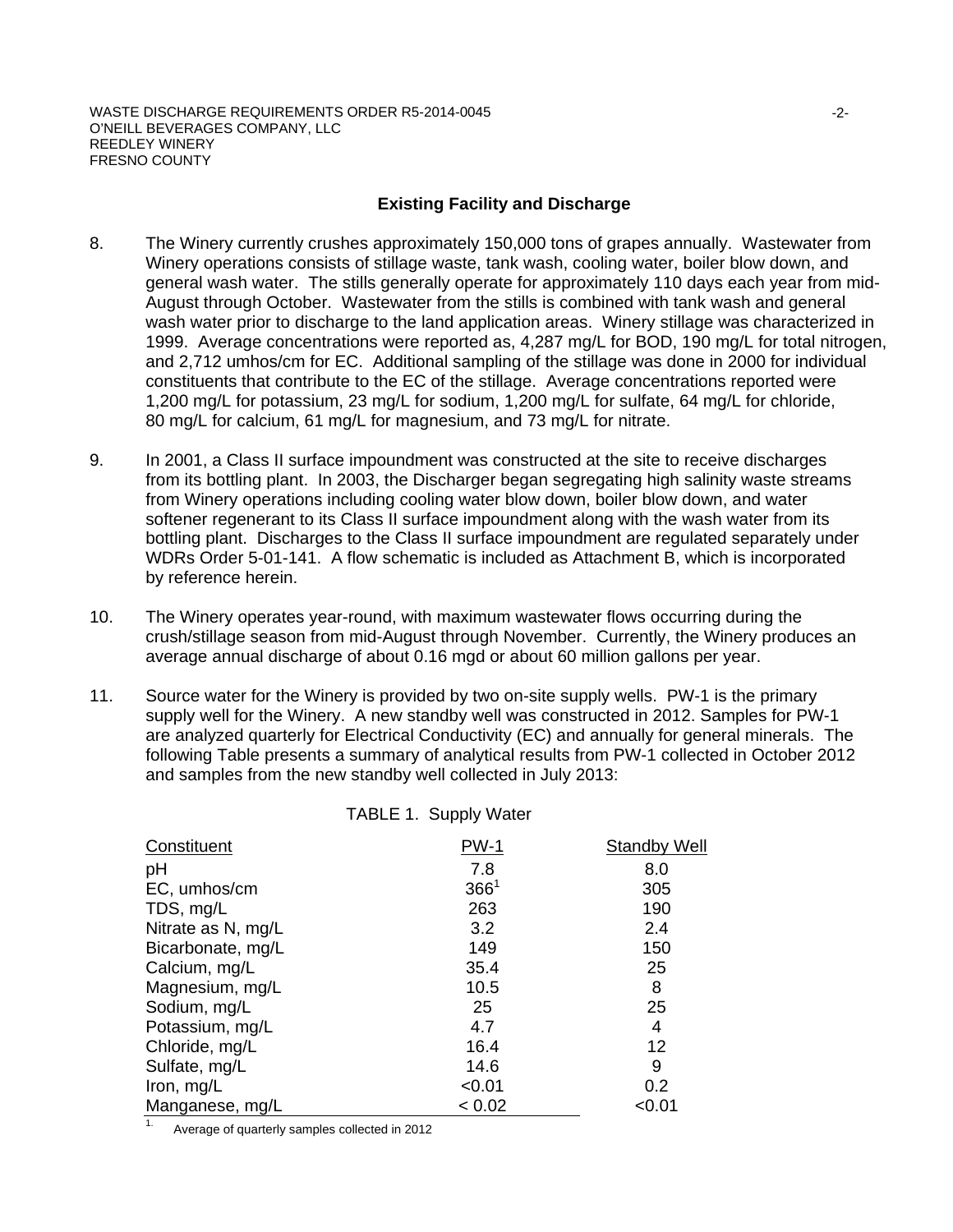## **Existing Facility and Discharge**

- 8. The Winery currently crushes approximately 150,000 tons of grapes annually. Wastewater from Winery operations consists of stillage waste, tank wash, cooling water, boiler blow down, and general wash water. The stills generally operate for approximately 110 days each year from mid-August through October. Wastewater from the stills is combined with tank wash and general wash water prior to discharge to the land application areas. Winery stillage was characterized in 1999. Average concentrations were reported as, 4,287 mg/L for BOD, 190 mg/L for total nitrogen, and 2,712 umhos/cm for EC. Additional sampling of the stillage was done in 2000 for individual constituents that contribute to the EC of the stillage. Average concentrations reported were 1,200 mg/L for potassium, 23 mg/L for sodium, 1,200 mg/L for sulfate, 64 mg/L for chloride, 80 mg/L for calcium, 61 mg/L for magnesium, and 73 mg/L for nitrate.
- 9. In 2001, a Class II surface impoundment was constructed at the site to receive discharges from its bottling plant. In 2003, the Discharger began segregating high salinity waste streams from Winery operations including cooling water blow down, boiler blow down, and water softener regenerant to its Class II surface impoundment along with the wash water from its bottling plant. Discharges to the Class II surface impoundment are regulated separately under WDRs Order 5-01-141. A flow schematic is included as Attachment B, which is incorporated by reference herein.
- 10. The Winery operates year-round, with maximum wastewater flows occurring during the crush/stillage season from mid-August through November. Currently, the Winery produces an average annual discharge of about 0.16 mgd or about 60 million gallons per year.
- 11. Source water for the Winery is provided by two on-site supply wells. PW-1 is the primary supply well for the Winery. A new standby well was constructed in 2012. Samples for PW-1 are analyzed quarterly for Electrical Conductivity (EC) and annually for general minerals. The following Table presents a summary of analytical results from PW-1 collected in October 2012 and samples from the new standby well collected in July 2013:

| TABLE 1. Supply Water |  |  |
|-----------------------|--|--|
|-----------------------|--|--|

| Constituent        | <b>PW-1</b> | <b>Standby Well</b> |
|--------------------|-------------|---------------------|
| pH                 | 7.8         | 8.0                 |
| EC, umhos/cm       | $366^1$     | 305                 |
| TDS, mg/L          | 263         | 190                 |
| Nitrate as N, mg/L | 3.2         | 2.4                 |
| Bicarbonate, mg/L  | 149         | 150                 |
| Calcium, mg/L      | 35.4        | 25                  |
| Magnesium, mg/L    | 10.5        | 8                   |
| Sodium, mg/L       | 25          | 25                  |
| Potassium, mg/L    | 4.7         | 4                   |
| Chloride, mg/L     | 16.4        | 12                  |
| Sulfate, mg/L      | 14.6        | 9                   |
| Iron, mg/L         | < 0.01      | 0.2                 |
| Manganese, mg/L    | < 0.02      | <0.01               |

1. Average of quarterly samples collected in 2012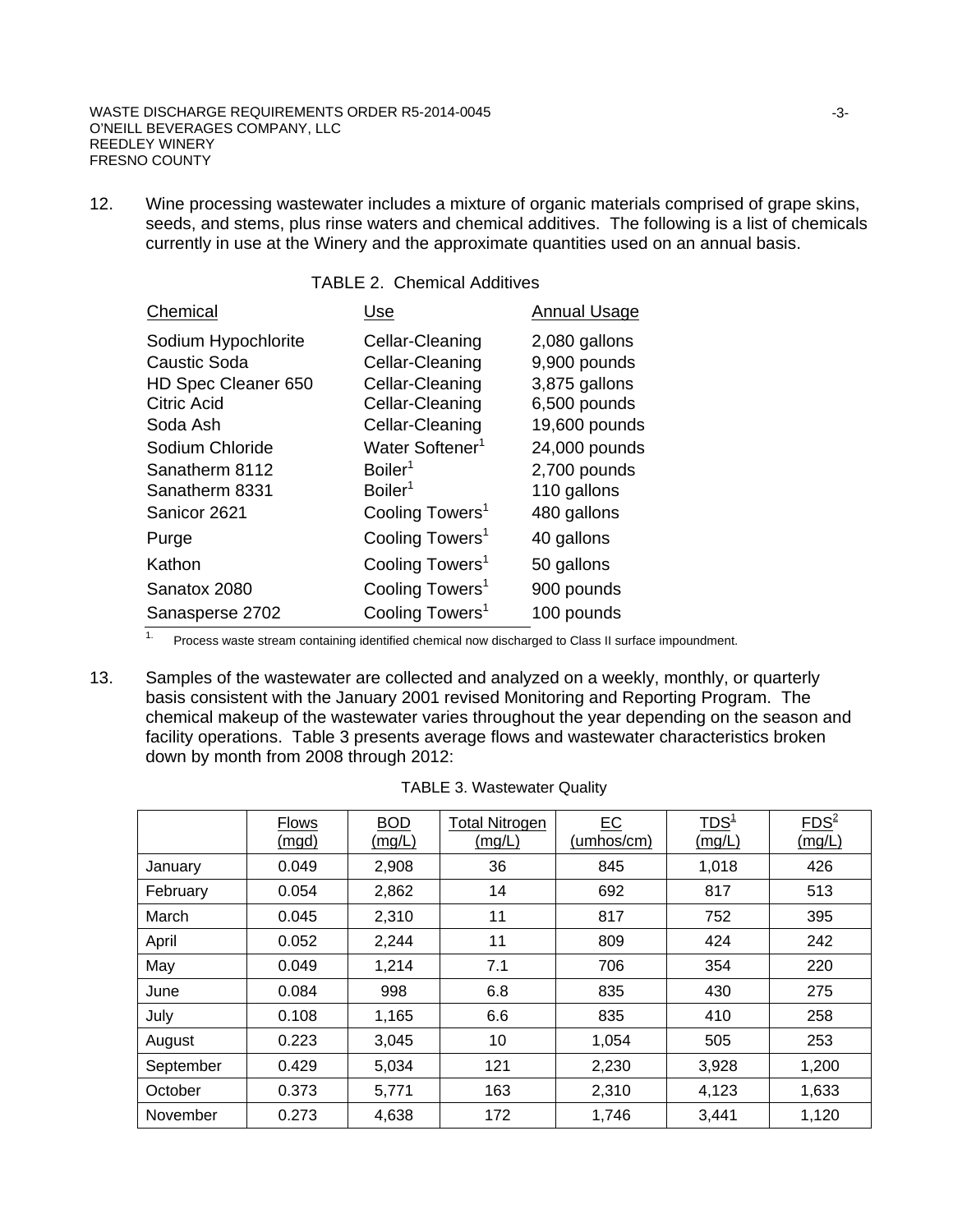#### WASTE DISCHARGE REQUIREMENTS ORDER R5-2014-0045 O'NEILL BEVERAGES COMPANY, LLC REEDLEY WINERY FRESNO COUNTY

12. Wine processing wastewater includes a mixture of organic materials comprised of grape skins, seeds, and stems, plus rinse waters and chemical additives. The following is a list of chemicals currently in use at the Winery and the approximate quantities used on an annual basis.

## TABLE 2. Chemical Additives

| Chemical            | Use                         | <b>Annual Usage</b> |
|---------------------|-----------------------------|---------------------|
| Sodium Hypochlorite | Cellar-Cleaning             | 2,080 gallons       |
| <b>Caustic Soda</b> | Cellar-Cleaning             | 9,900 pounds        |
| HD Spec Cleaner 650 | Cellar-Cleaning             | 3,875 gallons       |
| <b>Citric Acid</b>  | Cellar-Cleaning             | 6,500 pounds        |
| Soda Ash            | Cellar-Cleaning             | 19,600 pounds       |
| Sodium Chloride     | Water Softener <sup>1</sup> | 24,000 pounds       |
| Sanatherm 8112      | Boiler <sup>1</sup>         | 2,700 pounds        |
| Sanatherm 8331      | Boiler <sup>1</sup>         | 110 gallons         |
| Sanicor 2621        | Cooling Towers <sup>1</sup> | 480 gallons         |
| Purge               | Cooling Towers <sup>1</sup> | 40 gallons          |
| Kathon              | Cooling Towers <sup>1</sup> | 50 gallons          |
| Sanatox 2080        | Cooling Towers <sup>1</sup> | 900 pounds          |
| Sanasperse 2702     | Cooling Towers <sup>1</sup> | 100 pounds          |

<sup>1.</sup> Process waste stream containing identified chemical now discharged to Class II surface impoundment.

13. Samples of the wastewater are collected and analyzed on a weekly, monthly, or quarterly basis consistent with the January 2001 revised Monitoring and Reporting Program. The chemical makeup of the wastewater varies throughout the year depending on the season and facility operations. Table 3 presents average flows and wastewater characteristics broken down by month from 2008 through 2012:

|           | <b>Flows</b><br><u>(mgd)</u> | <b>BOD</b><br><u>(mg/L)</u> | <b>Total Nitrogen</b><br>(mg/L) | EC<br>(umhos/cm) | TDS <sup>1</sup><br>(mg/L) | FDS <sup>2</sup><br>(mg/L) |
|-----------|------------------------------|-----------------------------|---------------------------------|------------------|----------------------------|----------------------------|
| January   | 0.049                        | 2,908                       | 36                              | 845              | 1,018                      | 426                        |
| February  | 0.054                        | 2,862                       | 14                              | 692              | 817                        | 513                        |
| March     | 0.045                        | 2,310                       | 11                              | 817              | 752                        | 395                        |
| April     | 0.052                        | 2,244                       | 11                              | 809              | 424                        | 242                        |
| May       | 0.049                        | 1,214                       | 7.1                             | 706              | 354                        | 220                        |
| June      | 0.084                        | 998                         | 6.8                             | 835              | 430                        | 275                        |
| July      | 0.108                        | 1,165                       | 6.6                             | 835              | 410                        | 258                        |
| August    | 0.223                        | 3,045                       | 10                              | 1,054            | 505                        | 253                        |
| September | 0.429                        | 5,034                       | 121                             | 2,230            | 3,928                      | 1,200                      |
| October   | 0.373                        | 5,771                       | 163                             | 2,310            | 4,123                      | 1,633                      |
| November  | 0.273                        | 4,638                       | 172                             | 1,746            | 3,441                      | 1,120                      |

|  |  | <b>TABLE 3. Wastewater Quality</b> |  |
|--|--|------------------------------------|--|
|--|--|------------------------------------|--|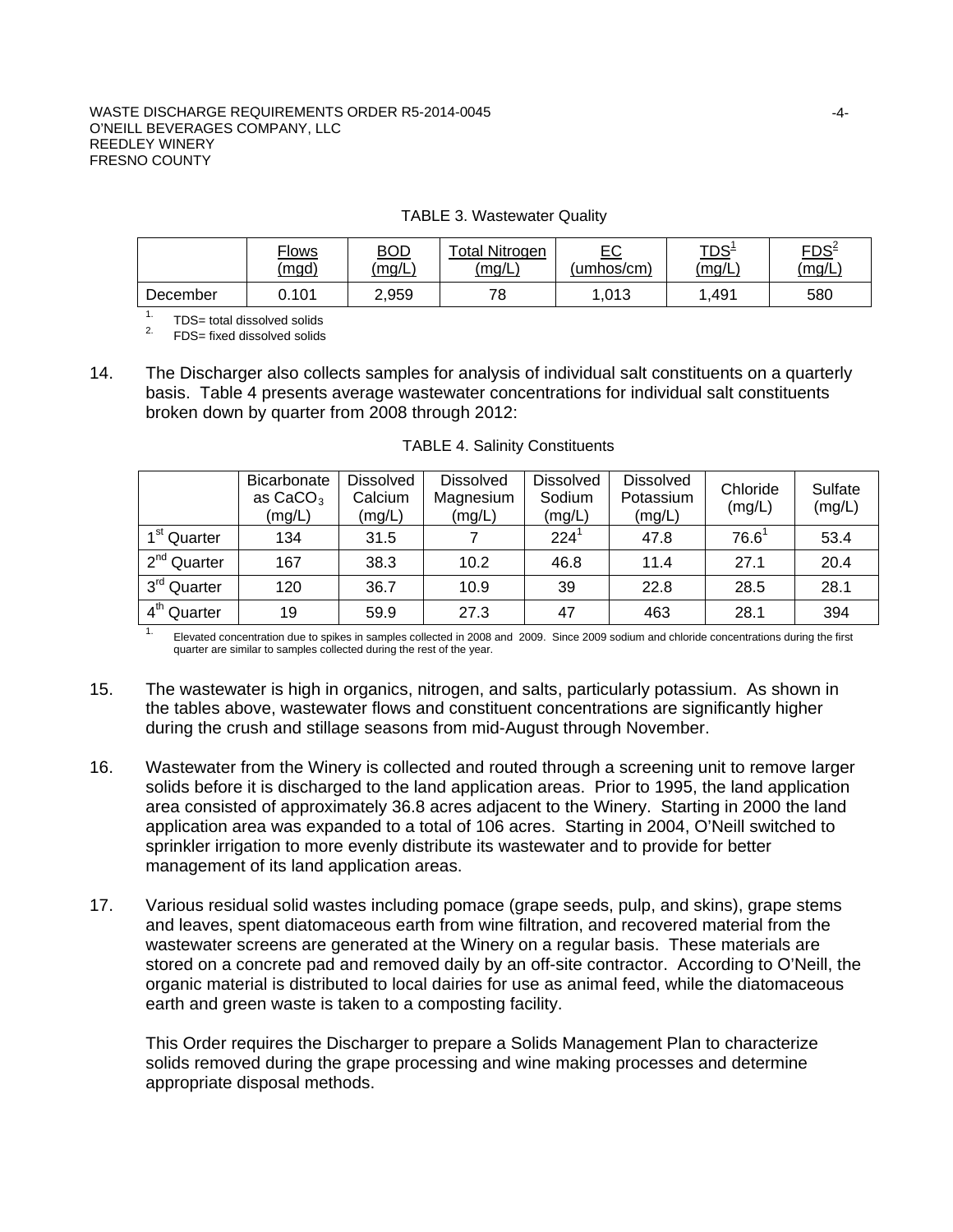#### WASTE DISCHARGE REQUIREMENTS ORDER R5-2014-0045 O'NEILL BEVERAGES COMPANY, LLC REEDLEY WINERY FRESNO COUNTY

|  | <b>TABLE 3. Wastewater Quality</b> |  |
|--|------------------------------------|--|
|--|------------------------------------|--|

|          | <b>Flows</b> | <u>BOD</u> | <b>Total Nitrogen</b> | $E$ C      | <u>TDS<sup>1</sup></u> | $FDS^2$ |
|----------|--------------|------------|-----------------------|------------|------------------------|---------|
|          | (mgd)        | (mg/L)     | (mg/L)                | 'umhos/cm) | (mg/L)                 | (mg/L)  |
| December | 0.101        | 2,959      | 70                    | .013       | .491                   | 580     |

<sup>1.</sup>  $TDS=$  total dissolved solids<sup>2.</sup>  $FDS=$  fixed dissolved solids

14. The Discharger also collects samples for analysis of individual salt constituents on a quarterly basis. Table 4 presents average wastewater concentrations for individual salt constituents broken down by quarter from 2008 through 2012:

|                         | Bicarbonate<br>as $CaCO3$<br>(mg/L) | <b>Dissolved</b><br>Calcium<br>(mg/L) | <b>Dissolved</b><br>Magnesium<br>(mg/L) | <b>Dissolved</b><br>Sodium<br>(mg/L) | <b>Dissolved</b><br>Potassium<br>(mg/L) | Chloride<br>(mg/L) | Sulfate<br>(mg/L) |
|-------------------------|-------------------------------------|---------------------------------------|-----------------------------------------|--------------------------------------|-----------------------------------------|--------------------|-------------------|
| 1 <sup>st</sup> Quarter | 134                                 | 31.5                                  |                                         | $224^1$                              | 47.8                                    | $76.6^1$           | 53.4              |
| 2 <sup>nd</sup> Quarter | 167                                 | 38.3                                  | 10.2                                    | 46.8                                 | 11.4                                    | 27.1               | 20.4              |
| 3 <sup>rd</sup> Quarter | 120                                 | 36.7                                  | 10.9                                    | 39                                   | 22.8                                    | 28.5               | 28.1              |
| 4 <sup>th</sup> Quarter | 19                                  | 59.9                                  | 27.3                                    | 47                                   | 463                                     | 28.1               | 394               |

1. Elevated concentration due to spikes in samples collected in 2008 and 2009. Since 2009 sodium and chloride concentrations during the first quarter are similar to samples collected during the rest of the year.

- 15. The wastewater is high in organics, nitrogen, and salts, particularly potassium. As shown in the tables above, wastewater flows and constituent concentrations are significantly higher during the crush and stillage seasons from mid-August through November.
- 16. Wastewater from the Winery is collected and routed through a screening unit to remove larger solids before it is discharged to the land application areas. Prior to 1995, the land application area consisted of approximately 36.8 acres adjacent to the Winery. Starting in 2000 the land application area was expanded to a total of 106 acres. Starting in 2004, O'Neill switched to sprinkler irrigation to more evenly distribute its wastewater and to provide for better management of its land application areas.
- 17. Various residual solid wastes including pomace (grape seeds, pulp, and skins), grape stems and leaves, spent diatomaceous earth from wine filtration, and recovered material from the wastewater screens are generated at the Winery on a regular basis. These materials are stored on a concrete pad and removed daily by an off-site contractor. According to O'Neill, the organic material is distributed to local dairies for use as animal feed, while the diatomaceous earth and green waste is taken to a composting facility.

This Order requires the Discharger to prepare a Solids Management Plan to characterize solids removed during the grape processing and wine making processes and determine appropriate disposal methods.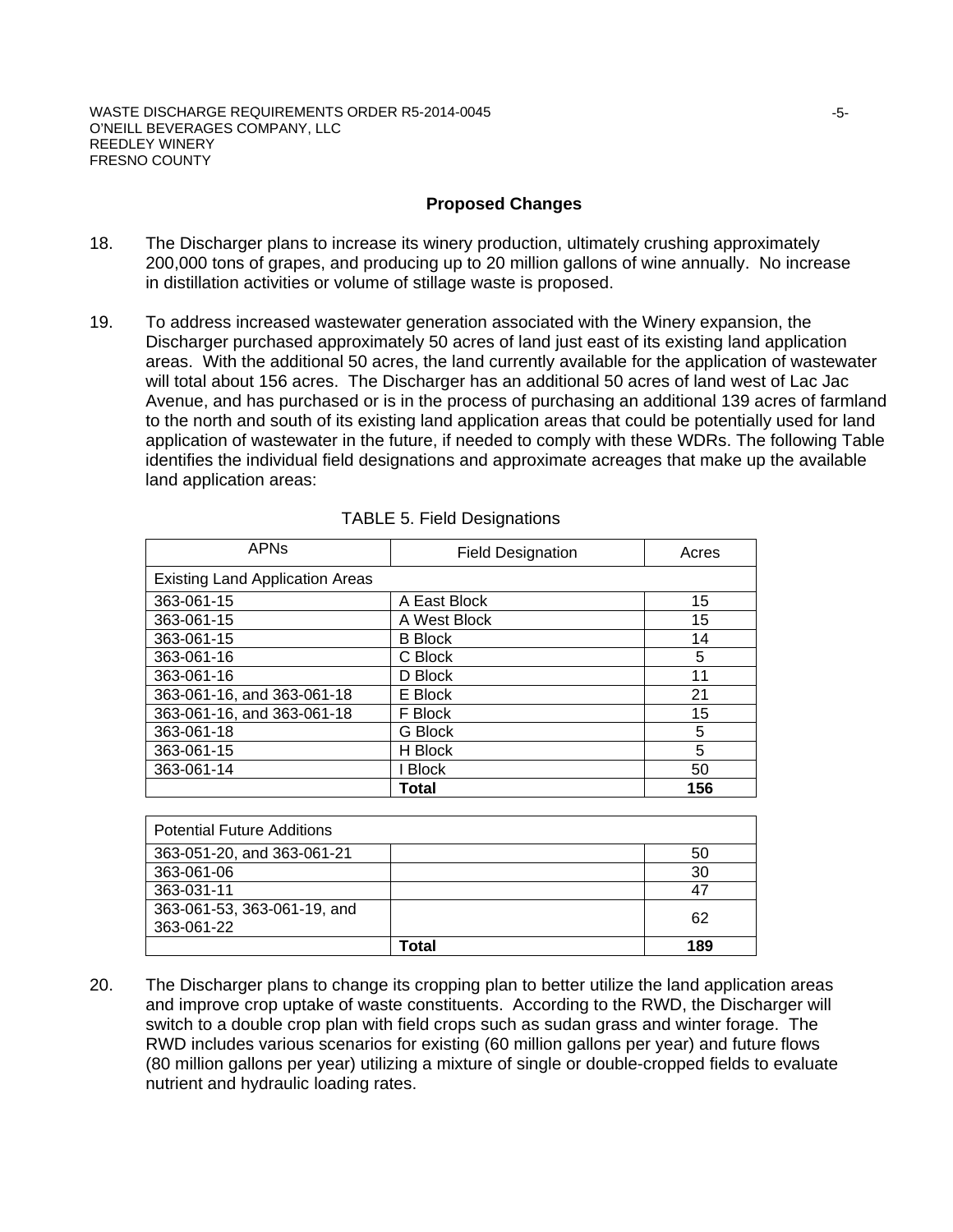### **Proposed Changes**

- 18. The Discharger plans to increase its winery production, ultimately crushing approximately 200,000 tons of grapes, and producing up to 20 million gallons of wine annually. No increase in distillation activities or volume of stillage waste is proposed.
- 19. To address increased wastewater generation associated with the Winery expansion, the Discharger purchased approximately 50 acres of land just east of its existing land application areas. With the additional 50 acres, the land currently available for the application of wastewater will total about 156 acres. The Discharger has an additional 50 acres of land west of Lac Jac Avenue, and has purchased or is in the process of purchasing an additional 139 acres of farmland to the north and south of its existing land application areas that could be potentially used for land application of wastewater in the future, if needed to comply with these WDRs. The following Table identifies the individual field designations and approximate acreages that make up the available land application areas:

| <b>APN<sub>S</sub></b>                 | <b>Field Designation</b> | Acres |
|----------------------------------------|--------------------------|-------|
| <b>Existing Land Application Areas</b> |                          |       |
| 363-061-15                             | A East Block             | 15    |
| 363-061-15                             | A West Block             | 15    |
| 363-061-15                             | <b>B</b> Block           | 14    |
| 363-061-16                             | C Block                  | 5     |
| 363-061-16                             | D Block                  | 11    |
| 363-061-16, and 363-061-18             | E Block                  | 21    |
| 363-061-16, and 363-061-18             | F Block                  | 15    |
| 363-061-18                             | G Block                  | 5     |
| 363-061-15                             | H Block                  | 5     |
| 363-061-14                             | I Block                  | 50    |
|                                        | Total                    | 156   |

| <b>Potential Future Additions</b> |       |     |
|-----------------------------------|-------|-----|
| 363-051-20, and 363-061-21        |       | 50  |
| 363-061-06                        |       | 30  |
| 363-031-11                        |       | -47 |
| 363-061-53, 363-061-19, and       |       | 62  |
| 363-061-22                        |       |     |
|                                   | Total | 189 |

20. The Discharger plans to change its cropping plan to better utilize the land application areas and improve crop uptake of waste constituents. According to the RWD, the Discharger will switch to a double crop plan with field crops such as sudan grass and winter forage. The RWD includes various scenarios for existing (60 million gallons per year) and future flows (80 million gallons per year) utilizing a mixture of single or double-cropped fields to evaluate nutrient and hydraulic loading rates.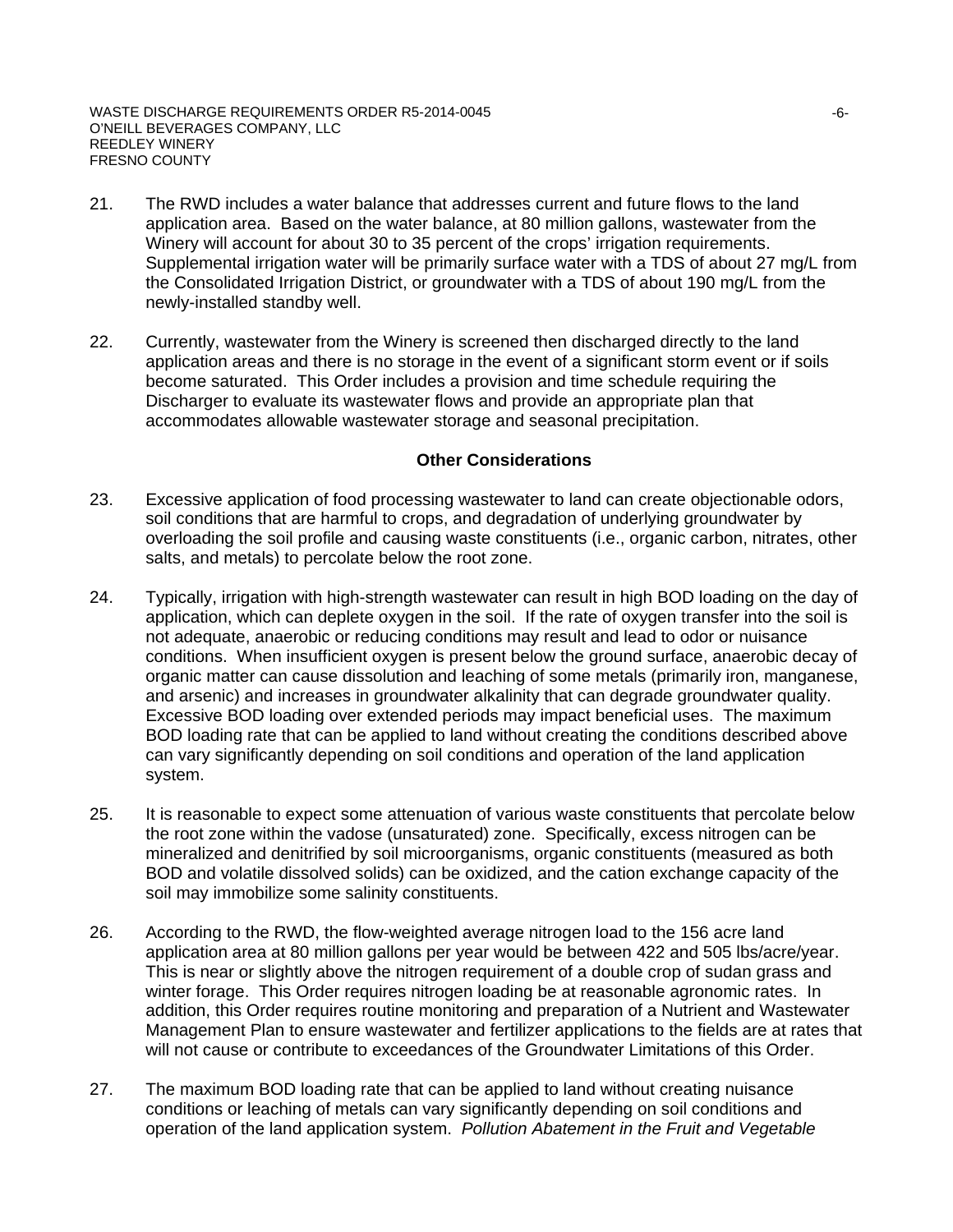- 21. The RWD includes a water balance that addresses current and future flows to the land application area. Based on the water balance, at 80 million gallons, wastewater from the Winery will account for about 30 to 35 percent of the crops' irrigation requirements. Supplemental irrigation water will be primarily surface water with a TDS of about 27 mg/L from the Consolidated Irrigation District, or groundwater with a TDS of about 190 mg/L from the newly-installed standby well.
- 22. Currently, wastewater from the Winery is screened then discharged directly to the land application areas and there is no storage in the event of a significant storm event or if soils become saturated. This Order includes a provision and time schedule requiring the Discharger to evaluate its wastewater flows and provide an appropriate plan that accommodates allowable wastewater storage and seasonal precipitation.

#### **Other Considerations**

- 23. Excessive application of food processing wastewater to land can create objectionable odors, soil conditions that are harmful to crops, and degradation of underlying groundwater by overloading the soil profile and causing waste constituents (i.e., organic carbon, nitrates, other salts, and metals) to percolate below the root zone.
- 24. Typically, irrigation with high-strength wastewater can result in high BOD loading on the day of application, which can deplete oxygen in the soil. If the rate of oxygen transfer into the soil is not adequate, anaerobic or reducing conditions may result and lead to odor or nuisance conditions. When insufficient oxygen is present below the ground surface, anaerobic decay of organic matter can cause dissolution and leaching of some metals (primarily iron, manganese, and arsenic) and increases in groundwater alkalinity that can degrade groundwater quality. Excessive BOD loading over extended periods may impact beneficial uses. The maximum BOD loading rate that can be applied to land without creating the conditions described above can vary significantly depending on soil conditions and operation of the land application system.
- 25. It is reasonable to expect some attenuation of various waste constituents that percolate below the root zone within the vadose (unsaturated) zone. Specifically, excess nitrogen can be mineralized and denitrified by soil microorganisms, organic constituents (measured as both BOD and volatile dissolved solids) can be oxidized, and the cation exchange capacity of the soil may immobilize some salinity constituents.
- 26. According to the RWD, the flow-weighted average nitrogen load to the 156 acre land application area at 80 million gallons per year would be between 422 and 505 lbs/acre/year. This is near or slightly above the nitrogen requirement of a double crop of sudan grass and winter forage. This Order requires nitrogen loading be at reasonable agronomic rates. In addition, this Order requires routine monitoring and preparation of a Nutrient and Wastewater Management Plan to ensure wastewater and fertilizer applications to the fields are at rates that will not cause or contribute to exceedances of the Groundwater Limitations of this Order.
- 27. The maximum BOD loading rate that can be applied to land without creating nuisance conditions or leaching of metals can vary significantly depending on soil conditions and operation of the land application system. *Pollution Abatement in the Fruit and Vegetable*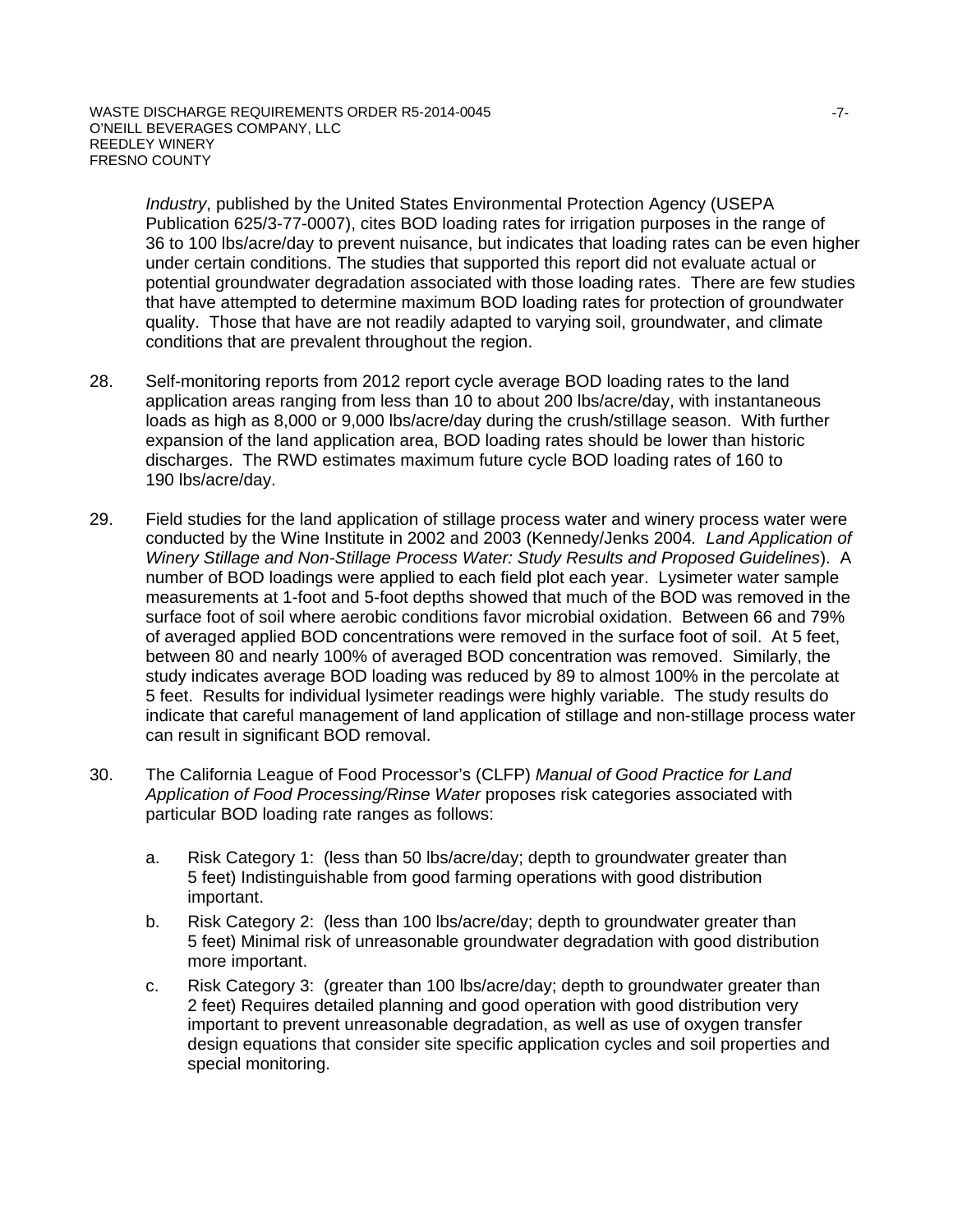*Industry*, published by the United States Environmental Protection Agency (USEPA Publication 625/3-77-0007), cites BOD loading rates for irrigation purposes in the range of 36 to 100 lbs/acre/day to prevent nuisance, but indicates that loading rates can be even higher under certain conditions. The studies that supported this report did not evaluate actual or potential groundwater degradation associated with those loading rates. There are few studies that have attempted to determine maximum BOD loading rates for protection of groundwater quality. Those that have are not readily adapted to varying soil, groundwater, and climate conditions that are prevalent throughout the region.

- 28. Self-monitoring reports from 2012 report cycle average BOD loading rates to the land application areas ranging from less than 10 to about 200 lbs/acre/day, with instantaneous loads as high as 8,000 or 9,000 lbs/acre/day during the crush/stillage season. With further expansion of the land application area, BOD loading rates should be lower than historic discharges. The RWD estimates maximum future cycle BOD loading rates of 160 to 190 lbs/acre/day.
- 29. Field studies for the land application of stillage process water and winery process water were conducted by the Wine Institute in 2002 and 2003 (Kennedy/Jenks 2004*. Land Application of Winery Stillage and Non-Stillage Process Water: Study Results and Proposed Guidelines*). A number of BOD loadings were applied to each field plot each year. Lysimeter water sample measurements at 1-foot and 5-foot depths showed that much of the BOD was removed in the surface foot of soil where aerobic conditions favor microbial oxidation. Between 66 and 79% of averaged applied BOD concentrations were removed in the surface foot of soil. At 5 feet, between 80 and nearly 100% of averaged BOD concentration was removed. Similarly, the study indicates average BOD loading was reduced by 89 to almost 100% in the percolate at 5 feet. Results for individual lysimeter readings were highly variable. The study results do indicate that careful management of land application of stillage and non-stillage process water can result in significant BOD removal.
- 30. The California League of Food Processor's (CLFP) *Manual of Good Practice for Land Application of Food Processing/Rinse Water* proposes risk categories associated with particular BOD loading rate ranges as follows:
	- a. Risk Category 1: (less than 50 lbs/acre/day; depth to groundwater greater than 5 feet) Indistinguishable from good farming operations with good distribution important.
	- b. Risk Category 2: (less than 100 lbs/acre/day; depth to groundwater greater than 5 feet) Minimal risk of unreasonable groundwater degradation with good distribution more important.
	- c. Risk Category 3: (greater than 100 lbs/acre/day; depth to groundwater greater than 2 feet) Requires detailed planning and good operation with good distribution very important to prevent unreasonable degradation, as well as use of oxygen transfer design equations that consider site specific application cycles and soil properties and special monitoring.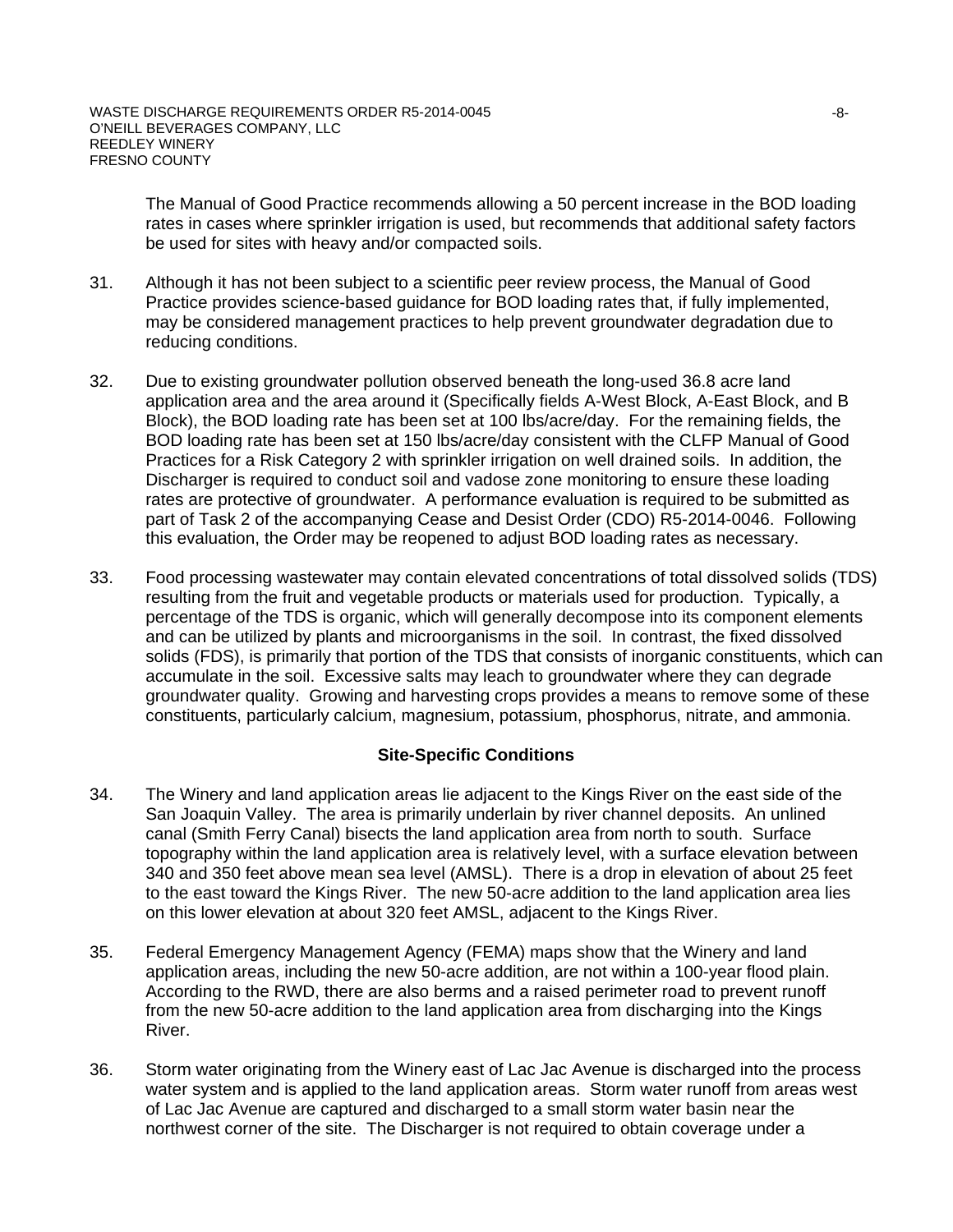The Manual of Good Practice recommends allowing a 50 percent increase in the BOD loading rates in cases where sprinkler irrigation is used, but recommends that additional safety factors be used for sites with heavy and/or compacted soils.

- 31. Although it has not been subject to a scientific peer review process, the Manual of Good Practice provides science-based guidance for BOD loading rates that, if fully implemented, may be considered management practices to help prevent groundwater degradation due to reducing conditions.
- 32. Due to existing groundwater pollution observed beneath the long-used 36.8 acre land application area and the area around it (Specifically fields A-West Block, A-East Block, and B Block), the BOD loading rate has been set at 100 lbs/acre/day. For the remaining fields, the BOD loading rate has been set at 150 lbs/acre/day consistent with the CLFP Manual of Good Practices for a Risk Category 2 with sprinkler irrigation on well drained soils. In addition, the Discharger is required to conduct soil and vadose zone monitoring to ensure these loading rates are protective of groundwater. A performance evaluation is required to be submitted as part of Task 2 of the accompanying Cease and Desist Order (CDO) R5-2014-0046. Following this evaluation, the Order may be reopened to adjust BOD loading rates as necessary.
- 33. Food processing wastewater may contain elevated concentrations of total dissolved solids (TDS) resulting from the fruit and vegetable products or materials used for production. Typically, a percentage of the TDS is organic, which will generally decompose into its component elements and can be utilized by plants and microorganisms in the soil. In contrast, the fixed dissolved solids (FDS), is primarily that portion of the TDS that consists of inorganic constituents, which can accumulate in the soil. Excessive salts may leach to groundwater where they can degrade groundwater quality. Growing and harvesting crops provides a means to remove some of these constituents, particularly calcium, magnesium, potassium, phosphorus, nitrate, and ammonia.

### **Site-Specific Conditions**

- 34. The Winery and land application areas lie adjacent to the Kings River on the east side of the San Joaquin Valley. The area is primarily underlain by river channel deposits. An unlined canal (Smith Ferry Canal) bisects the land application area from north to south. Surface topography within the land application area is relatively level, with a surface elevation between 340 and 350 feet above mean sea level (AMSL). There is a drop in elevation of about 25 feet to the east toward the Kings River. The new 50-acre addition to the land application area lies on this lower elevation at about 320 feet AMSL, adjacent to the Kings River.
- 35. Federal Emergency Management Agency (FEMA) maps show that the Winery and land application areas, including the new 50-acre addition, are not within a 100-year flood plain. According to the RWD, there are also berms and a raised perimeter road to prevent runoff from the new 50-acre addition to the land application area from discharging into the Kings River.
- 36. Storm water originating from the Winery east of Lac Jac Avenue is discharged into the process water system and is applied to the land application areas. Storm water runoff from areas west of Lac Jac Avenue are captured and discharged to a small storm water basin near the northwest corner of the site. The Discharger is not required to obtain coverage under a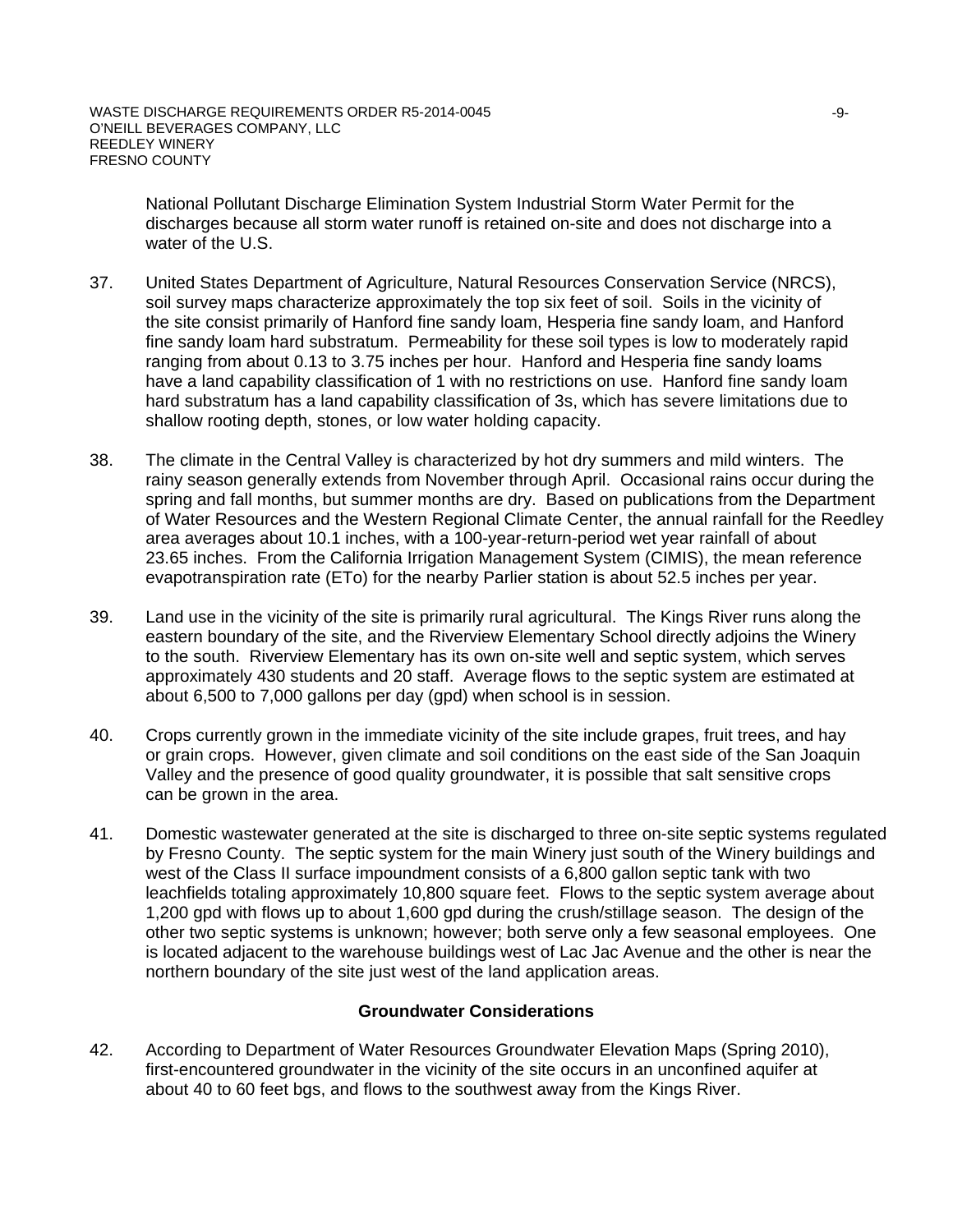National Pollutant Discharge Elimination System Industrial Storm Water Permit for the discharges because all storm water runoff is retained on-site and does not discharge into a water of the U.S.

- 37. United States Department of Agriculture, Natural Resources Conservation Service (NRCS), soil survey maps characterize approximately the top six feet of soil. Soils in the vicinity of the site consist primarily of Hanford fine sandy loam, Hesperia fine sandy loam, and Hanford fine sandy loam hard substratum. Permeability for these soil types is low to moderately rapid ranging from about 0.13 to 3.75 inches per hour. Hanford and Hesperia fine sandy loams have a land capability classification of 1 with no restrictions on use. Hanford fine sandy loam hard substratum has a land capability classification of 3s, which has severe limitations due to shallow rooting depth, stones, or low water holding capacity.
- 38. The climate in the Central Valley is characterized by hot dry summers and mild winters. The rainy season generally extends from November through April. Occasional rains occur during the spring and fall months, but summer months are dry. Based on publications from the Department of Water Resources and the Western Regional Climate Center, the annual rainfall for the Reedley area averages about 10.1 inches, with a 100-year-return-period wet year rainfall of about 23.65 inches. From the California Irrigation Management System (CIMIS), the mean reference evapotranspiration rate (ETo) for the nearby Parlier station is about 52.5 inches per year.
- 39. Land use in the vicinity of the site is primarily rural agricultural. The Kings River runs along the eastern boundary of the site, and the Riverview Elementary School directly adjoins the Winery to the south. Riverview Elementary has its own on-site well and septic system, which serves approximately 430 students and 20 staff. Average flows to the septic system are estimated at about 6,500 to 7,000 gallons per day (gpd) when school is in session.
- 40. Crops currently grown in the immediate vicinity of the site include grapes, fruit trees, and hay or grain crops. However, given climate and soil conditions on the east side of the San Joaquin Valley and the presence of good quality groundwater, it is possible that salt sensitive crops can be grown in the area.
- 41. Domestic wastewater generated at the site is discharged to three on-site septic systems regulated by Fresno County. The septic system for the main Winery just south of the Winery buildings and west of the Class II surface impoundment consists of a 6,800 gallon septic tank with two leachfields totaling approximately 10,800 square feet. Flows to the septic system average about 1,200 gpd with flows up to about 1,600 gpd during the crush/stillage season. The design of the other two septic systems is unknown; however; both serve only a few seasonal employees. One is located adjacent to the warehouse buildings west of Lac Jac Avenue and the other is near the northern boundary of the site just west of the land application areas.

### **Groundwater Considerations**

42. According to Department of Water Resources Groundwater Elevation Maps (Spring 2010), first-encountered groundwater in the vicinity of the site occurs in an unconfined aquifer at about 40 to 60 feet bgs, and flows to the southwest away from the Kings River.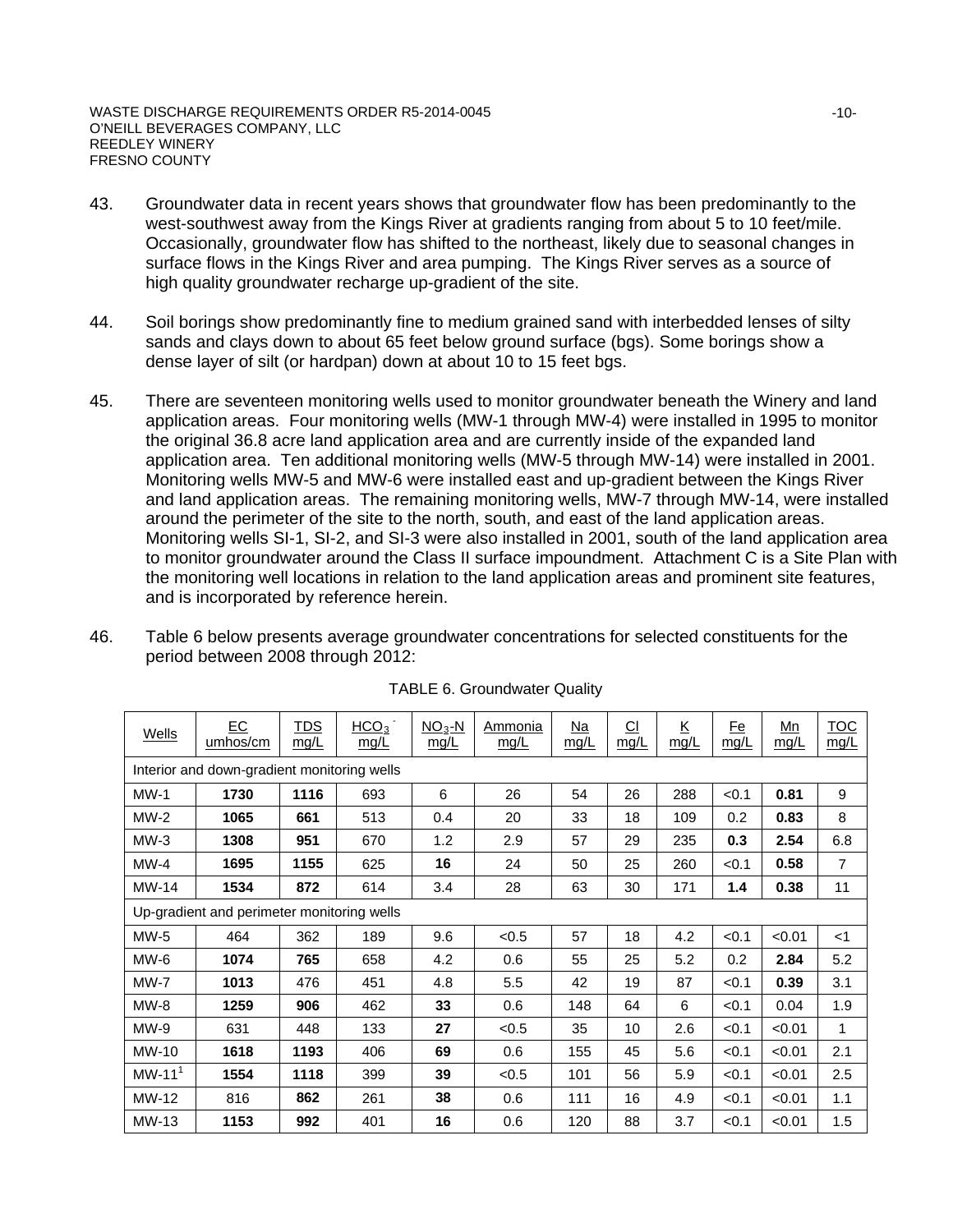- 43. Groundwater data in recent years shows that groundwater flow has been predominantly to the west-southwest away from the Kings River at gradients ranging from about 5 to 10 feet/mile. Occasionally, groundwater flow has shifted to the northeast, likely due to seasonal changes in surface flows in the Kings River and area pumping. The Kings River serves as a source of high quality groundwater recharge up-gradient of the site.
- 44. Soil borings show predominantly fine to medium grained sand with interbedded lenses of silty sands and clays down to about 65 feet below ground surface (bgs). Some borings show a dense layer of silt (or hardpan) down at about 10 to 15 feet bgs.
- 45. There are seventeen monitoring wells used to monitor groundwater beneath the Winery and land application areas. Four monitoring wells (MW-1 through MW-4) were installed in 1995 to monitor the original 36.8 acre land application area and are currently inside of the expanded land application area. Ten additional monitoring wells (MW-5 through MW-14) were installed in 2001. Monitoring wells MW-5 and MW-6 were installed east and up-gradient between the Kings River and land application areas. The remaining monitoring wells, MW-7 through MW-14, were installed around the perimeter of the site to the north, south, and east of the land application areas. Monitoring wells SI-1, SI-2, and SI-3 were also installed in 2001, south of the land application area to monitor groundwater around the Class II surface impoundment. Attachment C is a Site Plan with the monitoring well locations in relation to the land application areas and prominent site features, and is incorporated by reference herein.
- 46. Table 6 below presents average groundwater concentrations for selected constituents for the period between 2008 through 2012:

| Wells       | EC<br>umhos/cm                              | <b>TDS</b><br>mq/L | HCO <sub>3</sub><br>mg/L | $NO3-N$<br>mg/L | Ammonia<br>mg/L | Na<br>mq/L | <u>CI</u><br>mq/L | $\underline{\mathsf{K}}$<br>mg/L | <b>Fe</b><br>mq/L | Mn<br>mq/L | <b>TOC</b><br>mq/L |
|-------------|---------------------------------------------|--------------------|--------------------------|-----------------|-----------------|------------|-------------------|----------------------------------|-------------------|------------|--------------------|
|             | Interior and down-gradient monitoring wells |                    |                          |                 |                 |            |                   |                                  |                   |            |                    |
| $MW-1$      | 1730                                        | 1116               | 693                      | 6               | 26              | 54         | 26                | 288                              | < 0.1             | 0.81       | 9                  |
| $MW-2$      | 1065                                        | 661                | 513                      | 0.4             | 20              | 33         | 18                | 109                              | 0.2               | 0.83       | 8                  |
| $MW-3$      | 1308                                        | 951                | 670                      | 1.2             | 2.9             | 57         | 29                | 235                              | 0.3               | 2.54       | 6.8                |
| $MW-4$      | 1695                                        | 1155               | 625                      | 16              | 24              | 50         | 25                | 260                              | < 0.1             | 0.58       | 7                  |
| $MW-14$     | 1534                                        | 872                | 614                      | 3.4             | 28              | 63         | 30                | 171                              | 1.4               | 0.38       | 11                 |
|             | Up-gradient and perimeter monitoring wells  |                    |                          |                 |                 |            |                   |                                  |                   |            |                    |
| MW-5        | 464                                         | 362                | 189                      | 9.6             | < 0.5           | 57         | 18                | 4.2                              | < 0.1             | < 0.01     | $<$ 1              |
| $MW-6$      | 1074                                        | 765                | 658                      | 4.2             | 0.6             | 55         | 25                | 5.2                              | 0.2               | 2.84       | 5.2                |
| <b>MW-7</b> | 1013                                        | 476                | 451                      | 4.8             | 5.5             | 42         | 19                | 87                               | < 0.1             | 0.39       | 3.1                |
| $MW-8$      | 1259                                        | 906                | 462                      | 33              | 0.6             | 148        | 64                | 6                                | < 0.1             | 0.04       | 1.9                |
| $MW-9$      | 631                                         | 448                | 133                      | 27              | < 0.5           | 35         | 10                | 2.6                              | < 0.1             | < 0.01     | 1                  |
| MW-10       | 1618                                        | 1193               | 406                      | 69              | 0.6             | 155        | 45                | 5.6                              | < 0.1             | < 0.01     | 2.1                |
| $MW-111$    | 1554                                        | 1118               | 399                      | 39              | < 0.5           | 101        | 56                | 5.9                              | < 0.1             | < 0.01     | 2.5                |
| MW-12       | 816                                         | 862                | 261                      | 38              | 0.6             | 111        | 16                | 4.9                              | < 0.1             | < 0.01     | 1.1                |
| MW-13       | 1153                                        | 992                | 401                      | 16              | 0.6             | 120        | 88                | 3.7                              | < 0.1             | < 0.01     | 1.5                |

TABLE 6. Groundwater Quality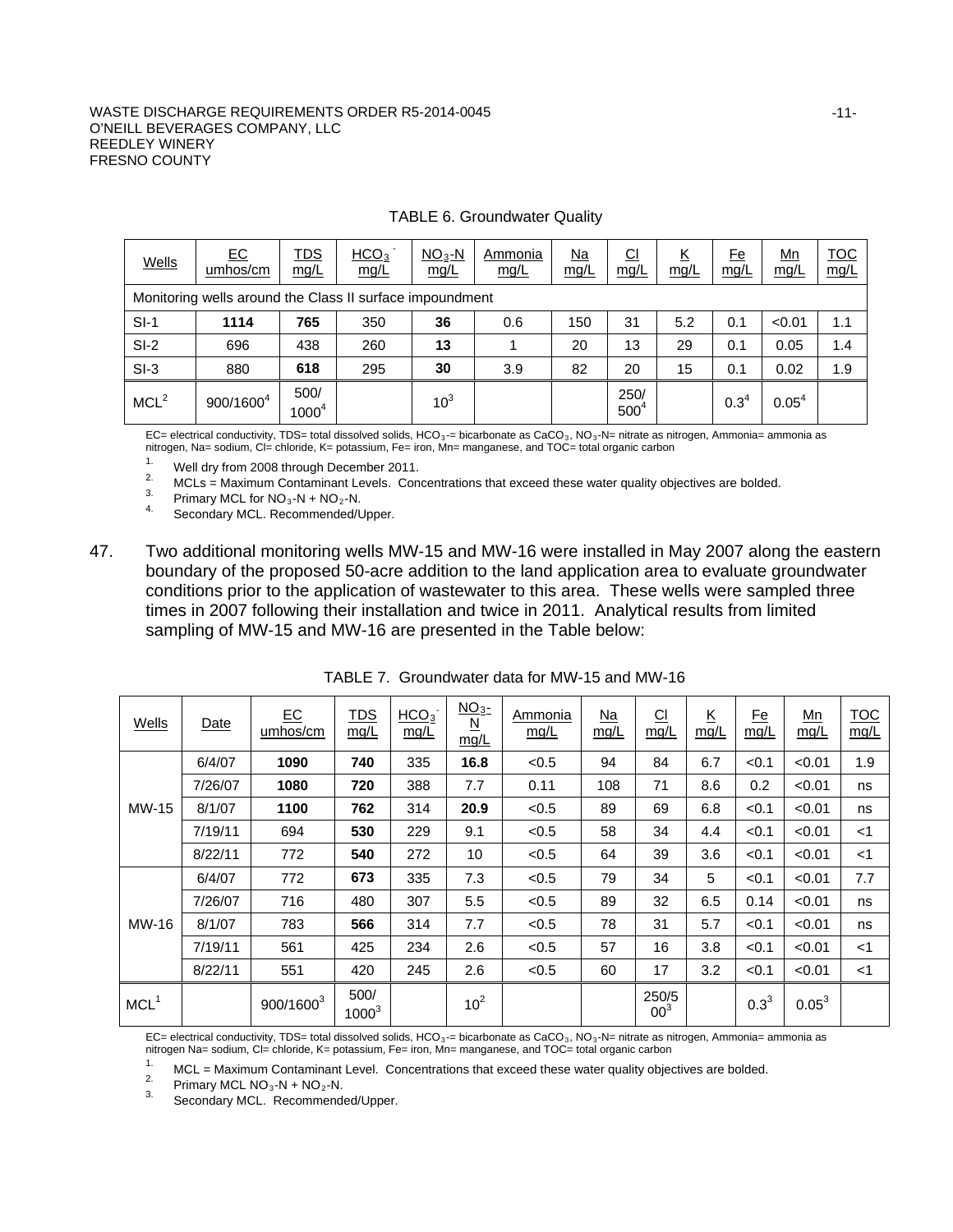#### WASTE DISCHARGE REQUIREMENTS ORDER R5-2014-0045 O'NEILL BEVERAGES COMPANY, LLC REEDLEY WINERY FRESNO COUNTY

| <b>Wells</b>                                             | $E$ C<br>umhos/cm | <u>TDS</u><br>mg/L | HCO <sub>3</sub><br>mg/L | $NO3 - N$<br>mg/L | Ammonia<br>mg/L | <u>Na</u><br>mg/L | $\underline{\text{Cl}}$<br><u>mg/L</u> | <u>К</u><br>mg/L | <u>Fe</u><br>mg/L | <u>Mn</u><br>mg/L | <u>TOC</u><br>mg/L |
|----------------------------------------------------------|-------------------|--------------------|--------------------------|-------------------|-----------------|-------------------|----------------------------------------|------------------|-------------------|-------------------|--------------------|
| Monitoring wells around the Class II surface impoundment |                   |                    |                          |                   |                 |                   |                                        |                  |                   |                   |                    |
| $SI-1$                                                   | 1114              | 765                | 350                      | 36                | 0.6             | 150               | 31                                     | 5.2              | 0.1               | < 0.01            | 1.1                |
| $SI-2$                                                   | 696               | 438                | 260                      | 13                |                 | 20                | 13                                     | 29               | 0.1               | 0.05              | 1.4                |
| $SI-3$                                                   | 880               | 618                | 295                      | 30                | 3.9             | 82                | 20                                     | 15               | 0.1               | 0.02              | 1.9                |
| MCL <sup>2</sup>                                         | $900/1600^4$      | 500/<br>$1000^4$   |                          | 10 <sup>3</sup>   |                 |                   | 250/<br>500 <sup>4</sup>               |                  | $0.3^{4}$         | 0.05 <sup>4</sup> |                    |

#### TABLE 6. Groundwater Quality

EC= electrical conductivity, TDS= total dissolved solids, HCO<sub>3</sub>-= bicarbonate as CaCO<sub>3</sub>, NO<sub>3</sub>-N= nitrate as nitrogen, Ammonia= ammonia as nitrogen, Na= sodium, Cl= chloride, K= potassium, Fe= iron, Mn= manganese, and TOC= total organic carbon

1. Well dry from 2008 through December 2011.<br>
<sup>2.</sup> MCLs = Maximum Contaminant Levels. Concentrations that exceed these water quality objectives are bolded.<br>
<sup>3.</sup> Primary MCL for NO<sub>3</sub>-N + NO<sub>2</sub>-N.<br>
<sup>4.</sup> Secondary MCL. Rec

47. Two additional monitoring wells MW-15 and MW-16 were installed in May 2007 along the eastern boundary of the proposed 50-acre addition to the land application area to evaluate groundwater conditions prior to the application of wastewater to this area. These wells were sampled three times in 2007 following their installation and twice in 2011. Analytical results from limited sampling of MW-15 and MW-16 are presented in the Table below:

| Wells            | Date    | E C<br>umhos/cm       | <u>TDS</u><br>mg/L | HCO <sub>3</sub><br>mg/L | NO <sub>3</sub><br>$\underline{\mathsf{N}}$<br>mq/L | Ammonia<br>mg/L | $Na$<br>mg/L | $\Omega$<br>mg/L         | K<br>mg/L | <u>Fe</u><br>mg/L | <u>Mn</u><br>mg/L | <b>TOC</b><br>mg/L |
|------------------|---------|-----------------------|--------------------|--------------------------|-----------------------------------------------------|-----------------|--------------|--------------------------|-----------|-------------------|-------------------|--------------------|
|                  | 6/4/07  | 1090                  | 740                | 335                      | 16.8                                                | < 0.5           | 94           | 84                       | 6.7       | < 0.1             | < 0.01            | 1.9                |
|                  | 7/26/07 | 1080                  | 720                | 388                      | 7.7                                                 | 0.11            | 108          | 71                       | 8.6       | 0.2               | < 0.01            | ns                 |
| MW-15            | 8/1/07  | 1100                  | 762                | 314                      | 20.9                                                | < 0.5           | 89           | 69                       | 6.8       | < 0.1             | < 0.01            | ns                 |
|                  | 7/19/11 | 694                   | 530                | 229                      | 9.1                                                 | < 0.5           | 58           | 34                       | 4.4       | < 0.1             | < 0.01            | $<$ 1              |
|                  | 8/22/11 | 772                   | 540                | 272                      | 10                                                  | < 0.5           | 64           | 39                       | 3.6       | < 0.1             | < 0.01            | $<$ 1              |
|                  | 6/4/07  | 772                   | 673                | 335                      | 7.3                                                 | < 0.5           | 79           | 34                       | 5         | < 0.1             | < 0.01            | 7.7                |
|                  | 7/26/07 | 716                   | 480                | 307                      | 5.5                                                 | < 0.5           | 89           | 32                       | 6.5       | 0.14              | < 0.01            | ns                 |
| MW-16            | 8/1/07  | 783                   | 566                | 314                      | 7.7                                                 | < 0.5           | 78           | 31                       | 5.7       | < 0.1             | < 0.01            | ns                 |
|                  | 7/19/11 | 561                   | 425                | 234                      | 2.6                                                 | < 0.5           | 57           | 16                       | 3.8       | < 0.1             | < 0.01            | $<$ 1              |
|                  | 8/22/11 | 551                   | 420                | 245                      | 2.6                                                 | < 0.5           | 60           | 17                       | 3.2       | < 0.1             | < 0.01            | $<$ 1              |
| MCL <sup>1</sup> |         | 900/1600 <sup>3</sup> | 500/<br>$1000^3$   |                          | 10 <sup>2</sup>                                     |                 |              | 250/5<br>00 <sup>3</sup> |           | $0.3^{3}$         | $0.05^3$          |                    |

TABLE 7. Groundwater data for MW-15 and MW-16

EC= electrical conductivity, TDS= total dissolved solids, HCO<sub>3</sub>-= bicarbonate as CaCO<sub>3</sub>, NO<sub>3</sub>-N= nitrate as nitrogen, Ammonia= ammonia as nitrogen Na= sodium, Cl= chloride, K= potassium, Fe= iron, Mn= manganese, and TOC= total organic carbon

1. MCL = Maximum Contaminant Level. Concentrations that exceed these water quality objectives are bolded.<br>
<sup>2.</sup> Primary MCL NO<sub>3</sub>-N + NO<sub>2</sub>-N.<br>
<sup>3.</sup> Secondary MCL. Recommended/Upper.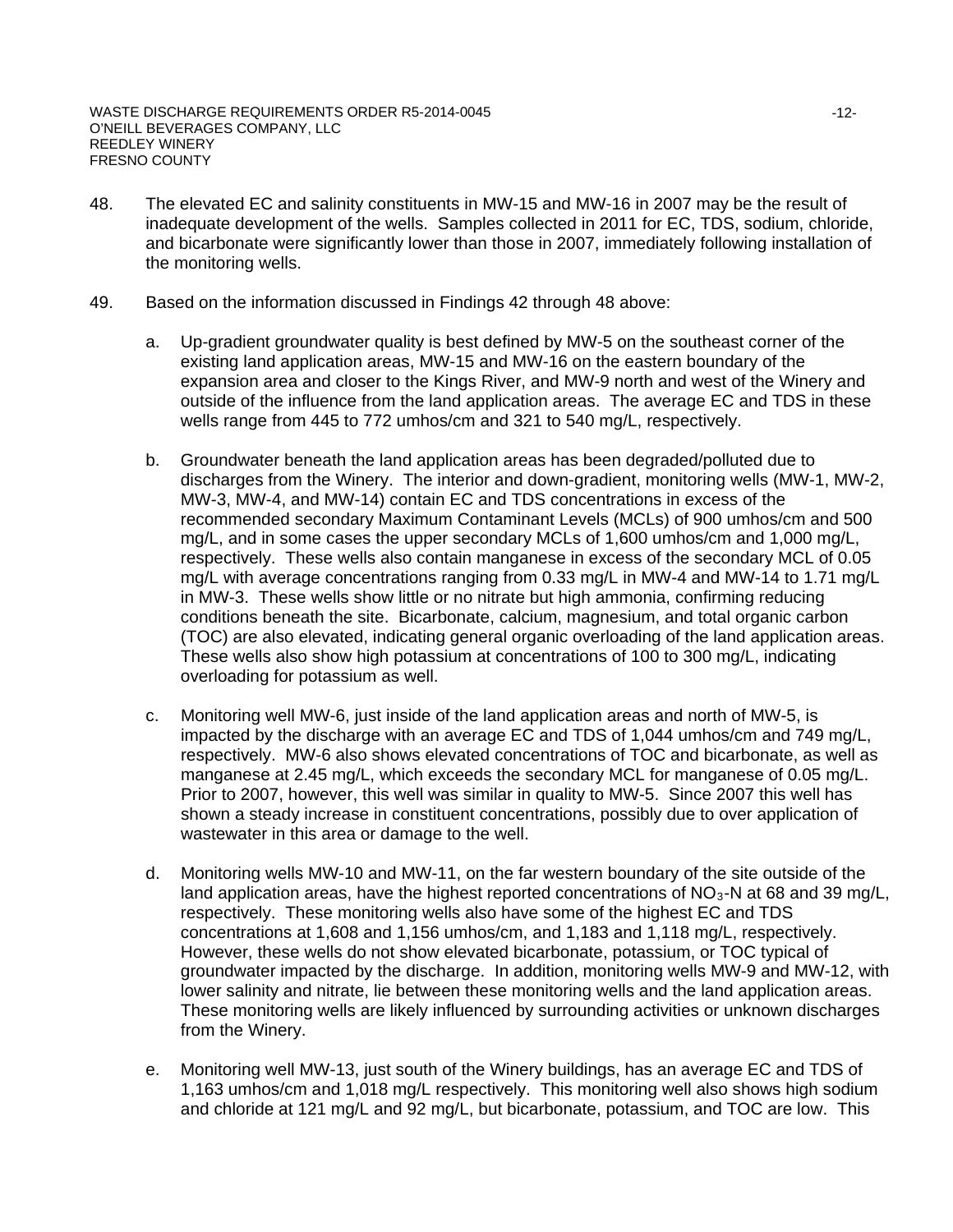- 48. The elevated EC and salinity constituents in MW-15 and MW-16 in 2007 may be the result of inadequate development of the wells. Samples collected in 2011 for EC, TDS, sodium, chloride, and bicarbonate were significantly lower than those in 2007, immediately following installation of the monitoring wells.
- 49. Based on the information discussed in Findings 42 through 48 above:
	- a. Up-gradient groundwater quality is best defined by MW-5 on the southeast corner of the existing land application areas, MW-15 and MW-16 on the eastern boundary of the expansion area and closer to the Kings River, and MW-9 north and west of the Winery and outside of the influence from the land application areas. The average EC and TDS in these wells range from 445 to 772 umhos/cm and 321 to 540 mg/L, respectively.
	- b. Groundwater beneath the land application areas has been degraded/polluted due to discharges from the Winery. The interior and down-gradient, monitoring wells (MW-1, MW-2, MW-3, MW-4, and MW-14) contain EC and TDS concentrations in excess of the recommended secondary Maximum Contaminant Levels (MCLs) of 900 umhos/cm and 500 mg/L, and in some cases the upper secondary MCLs of 1,600 umhos/cm and 1,000 mg/L, respectively. These wells also contain manganese in excess of the secondary MCL of 0.05 mg/L with average concentrations ranging from 0.33 mg/L in MW-4 and MW-14 to 1.71 mg/L in MW-3. These wells show little or no nitrate but high ammonia, confirming reducing conditions beneath the site. Bicarbonate, calcium, magnesium, and total organic carbon (TOC) are also elevated, indicating general organic overloading of the land application areas. These wells also show high potassium at concentrations of 100 to 300 mg/L, indicating overloading for potassium as well.
	- c. Monitoring well MW-6, just inside of the land application areas and north of MW-5, is impacted by the discharge with an average EC and TDS of 1,044 umhos/cm and 749 mg/L, respectively. MW-6 also shows elevated concentrations of TOC and bicarbonate, as well as manganese at 2.45 mg/L, which exceeds the secondary MCL for manganese of 0.05 mg/L. Prior to 2007, however, this well was similar in quality to MW-5. Since 2007 this well has shown a steady increase in constituent concentrations, possibly due to over application of wastewater in this area or damage to the well.
	- d. Monitoring wells MW-10 and MW-11, on the far western boundary of the site outside of the land application areas, have the highest reported concentrations of  $NO<sub>3</sub>$ -N at 68 and 39 mg/L, respectively. These monitoring wells also have some of the highest EC and TDS concentrations at 1,608 and 1,156 umhos/cm, and 1,183 and 1,118 mg/L, respectively. However, these wells do not show elevated bicarbonate, potassium, or TOC typical of groundwater impacted by the discharge. In addition, monitoring wells MW-9 and MW-12, with lower salinity and nitrate, lie between these monitoring wells and the land application areas. These monitoring wells are likely influenced by surrounding activities or unknown discharges from the Winery.
	- e. Monitoring well MW-13, just south of the Winery buildings, has an average EC and TDS of 1,163 umhos/cm and 1,018 mg/L respectively. This monitoring well also shows high sodium and chloride at 121 mg/L and 92 mg/L, but bicarbonate, potassium, and TOC are low. This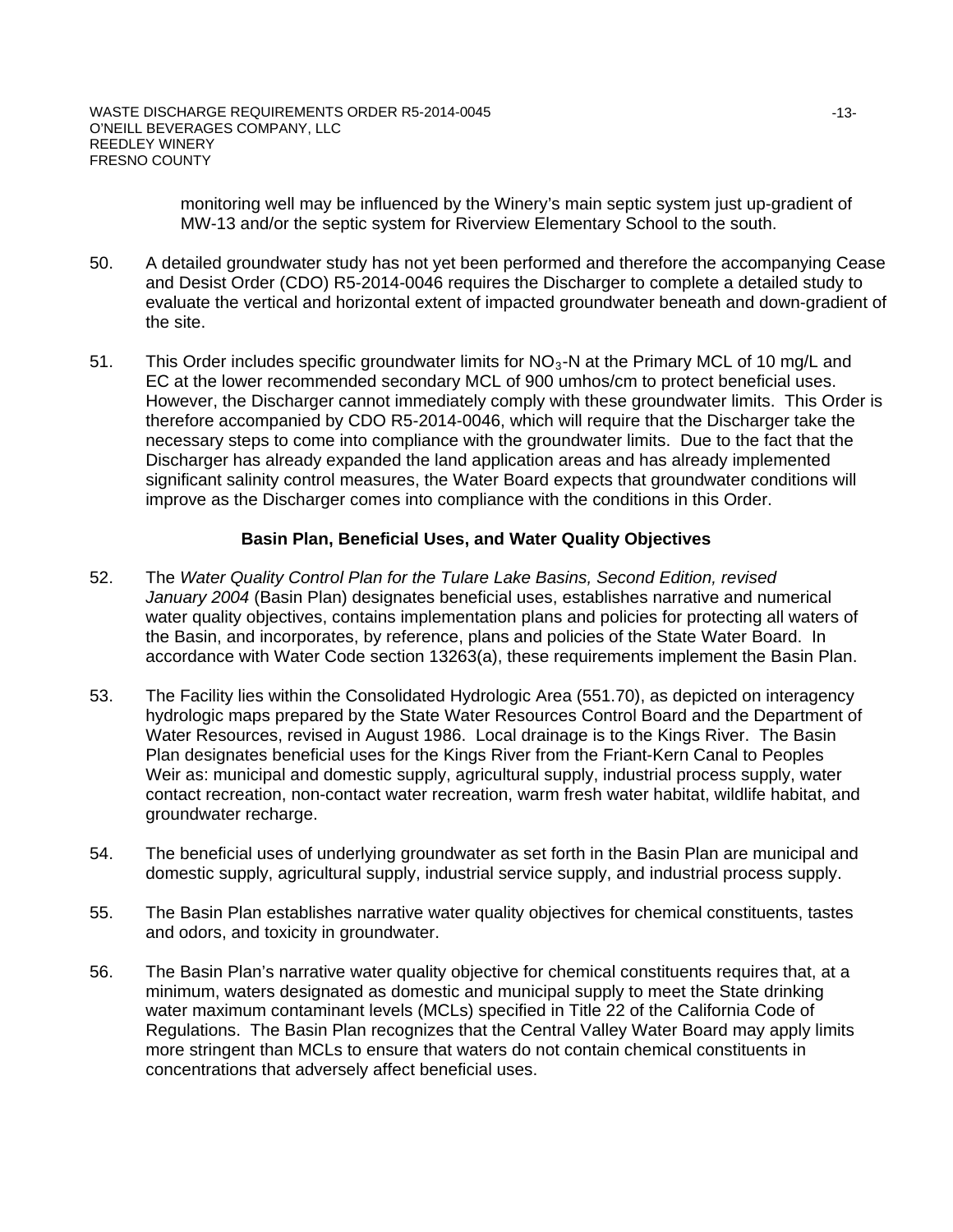monitoring well may be influenced by the Winery's main septic system just up-gradient of MW-13 and/or the septic system for Riverview Elementary School to the south.

- 50. A detailed groundwater study has not yet been performed and therefore the accompanying Cease and Desist Order (CDO) R5-2014-0046 requires the Discharger to complete a detailed study to evaluate the vertical and horizontal extent of impacted groundwater beneath and down-gradient of the site.
- 51. This Order includes specific groundwater limits for  $NO<sub>3</sub>$ -N at the Primary MCL of 10 mg/L and EC at the lower recommended secondary MCL of 900 umhos/cm to protect beneficial uses. However, the Discharger cannot immediately comply with these groundwater limits. This Order is therefore accompanied by CDO R5-2014-0046, which will require that the Discharger take the necessary steps to come into compliance with the groundwater limits. Due to the fact that the Discharger has already expanded the land application areas and has already implemented significant salinity control measures, the Water Board expects that groundwater conditions will improve as the Discharger comes into compliance with the conditions in this Order.

### **Basin Plan, Beneficial Uses, and Water Quality Objectives**

- 52. The *Water Quality Control Plan for the Tulare Lake Basins, Second Edition, revised January 2004* (Basin Plan) designates beneficial uses, establishes narrative and numerical water quality objectives, contains implementation plans and policies for protecting all waters of the Basin, and incorporates, by reference, plans and policies of the State Water Board. In accordance with Water Code section 13263(a), these requirements implement the Basin Plan.
- 53. The Facility lies within the Consolidated Hydrologic Area (551.70), as depicted on interagency hydrologic maps prepared by the State Water Resources Control Board and the Department of Water Resources, revised in August 1986. Local drainage is to the Kings River. The Basin Plan designates beneficial uses for the Kings River from the Friant-Kern Canal to Peoples Weir as: municipal and domestic supply, agricultural supply, industrial process supply, water contact recreation, non-contact water recreation, warm fresh water habitat, wildlife habitat, and groundwater recharge.
- 54. The beneficial uses of underlying groundwater as set forth in the Basin Plan are municipal and domestic supply, agricultural supply, industrial service supply, and industrial process supply.
- 55. The Basin Plan establishes narrative water quality objectives for chemical constituents, tastes and odors, and toxicity in groundwater.
- 56. The Basin Plan's narrative water quality objective for chemical constituents requires that, at a minimum, waters designated as domestic and municipal supply to meet the State drinking water maximum contaminant levels (MCLs) specified in Title 22 of the California Code of Regulations. The Basin Plan recognizes that the Central Valley Water Board may apply limits more stringent than MCLs to ensure that waters do not contain chemical constituents in concentrations that adversely affect beneficial uses.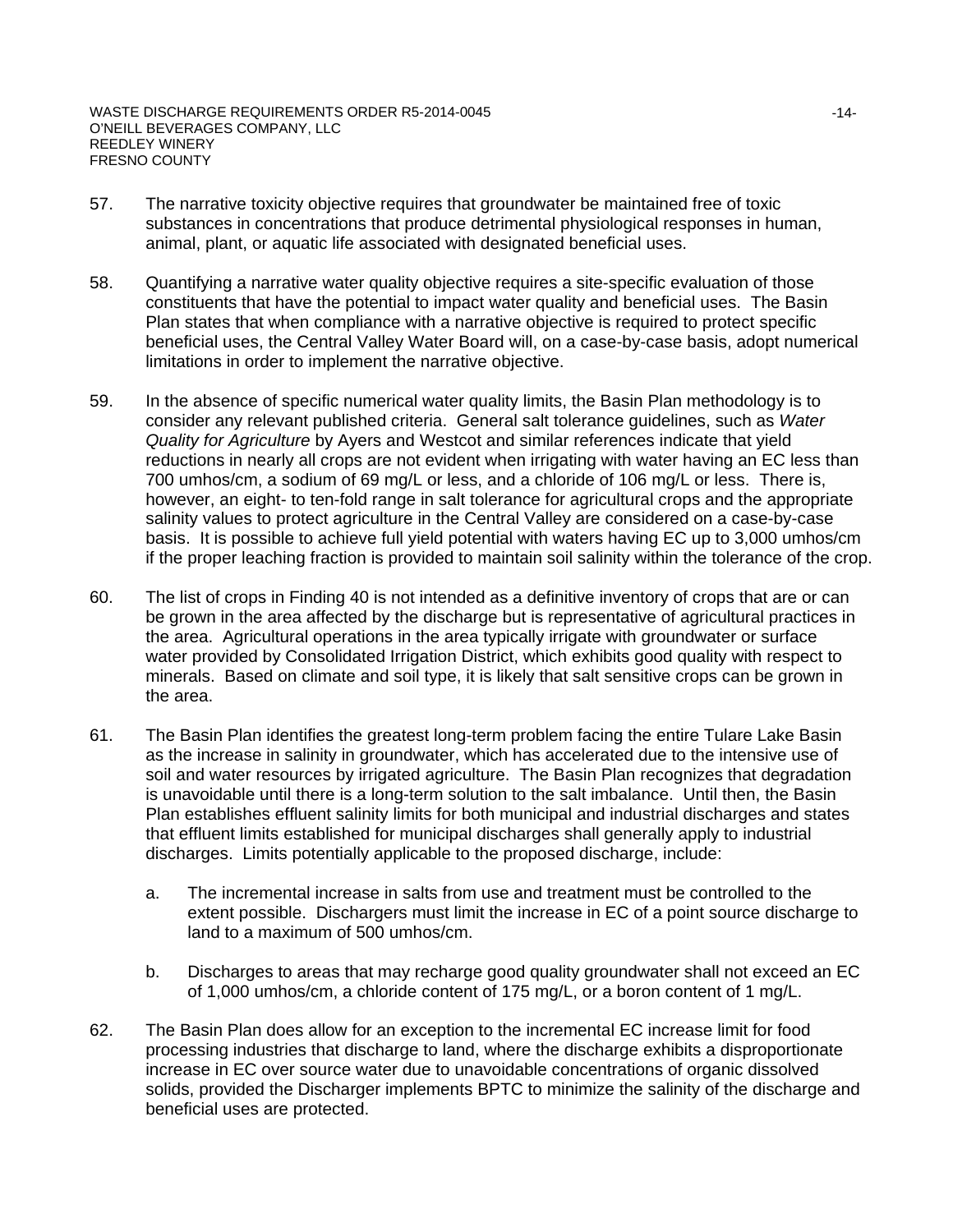- 57. The narrative toxicity objective requires that groundwater be maintained free of toxic substances in concentrations that produce detrimental physiological responses in human, animal, plant, or aquatic life associated with designated beneficial uses.
- 58. Quantifying a narrative water quality objective requires a site-specific evaluation of those constituents that have the potential to impact water quality and beneficial uses. The Basin Plan states that when compliance with a narrative objective is required to protect specific beneficial uses, the Central Valley Water Board will, on a case-by-case basis, adopt numerical limitations in order to implement the narrative objective.
- 59. In the absence of specific numerical water quality limits, the Basin Plan methodology is to consider any relevant published criteria. General salt tolerance guidelines, such as *Water Quality for Agriculture* by Ayers and Westcot and similar references indicate that yield reductions in nearly all crops are not evident when irrigating with water having an EC less than 700 umhos/cm, a sodium of 69 mg/L or less, and a chloride of 106 mg/L or less. There is, however, an eight- to ten-fold range in salt tolerance for agricultural crops and the appropriate salinity values to protect agriculture in the Central Valley are considered on a case-by-case basis. It is possible to achieve full yield potential with waters having EC up to 3,000 umhos/cm if the proper leaching fraction is provided to maintain soil salinity within the tolerance of the crop.
- 60. The list of crops in Finding 40 is not intended as a definitive inventory of crops that are or can be grown in the area affected by the discharge but is representative of agricultural practices in the area. Agricultural operations in the area typically irrigate with groundwater or surface water provided by Consolidated Irrigation District, which exhibits good quality with respect to minerals. Based on climate and soil type, it is likely that salt sensitive crops can be grown in the area.
- 61. The Basin Plan identifies the greatest long-term problem facing the entire Tulare Lake Basin as the increase in salinity in groundwater, which has accelerated due to the intensive use of soil and water resources by irrigated agriculture. The Basin Plan recognizes that degradation is unavoidable until there is a long-term solution to the salt imbalance. Until then, the Basin Plan establishes effluent salinity limits for both municipal and industrial discharges and states that effluent limits established for municipal discharges shall generally apply to industrial discharges. Limits potentially applicable to the proposed discharge, include:
	- a. The incremental increase in salts from use and treatment must be controlled to the extent possible. Dischargers must limit the increase in EC of a point source discharge to land to a maximum of 500 umhos/cm.
	- b. Discharges to areas that may recharge good quality groundwater shall not exceed an EC of 1,000 umhos/cm, a chloride content of 175 mg/L, or a boron content of 1 mg/L.
- 62. The Basin Plan does allow for an exception to the incremental EC increase limit for food processing industries that discharge to land, where the discharge exhibits a disproportionate increase in EC over source water due to unavoidable concentrations of organic dissolved solids, provided the Discharger implements BPTC to minimize the salinity of the discharge and beneficial uses are protected.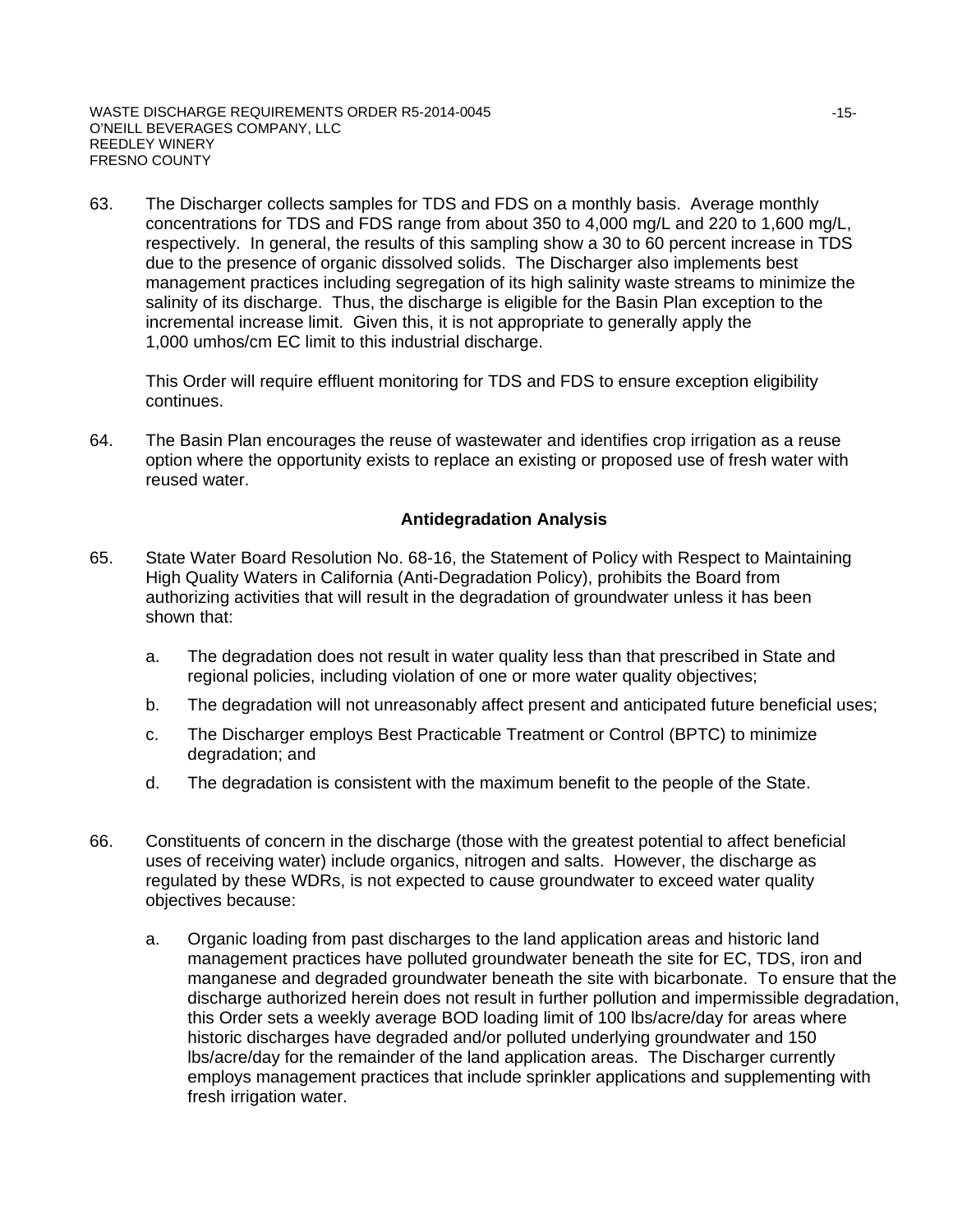63. The Discharger collects samples for TDS and FDS on a monthly basis. Average monthly concentrations for TDS and FDS range from about 350 to 4,000 mg/L and 220 to 1,600 mg/L, respectively. In general, the results of this sampling show a 30 to 60 percent increase in TDS due to the presence of organic dissolved solids. The Discharger also implements best management practices including segregation of its high salinity waste streams to minimize the salinity of its discharge. Thus, the discharge is eligible for the Basin Plan exception to the incremental increase limit. Given this, it is not appropriate to generally apply the 1,000 umhos/cm EC limit to this industrial discharge.

This Order will require effluent monitoring for TDS and FDS to ensure exception eligibility continues.

64. The Basin Plan encourages the reuse of wastewater and identifies crop irrigation as a reuse option where the opportunity exists to replace an existing or proposed use of fresh water with reused water.

### **Antidegradation Analysis**

- 65. State Water Board Resolution No. 68-16, the Statement of Policy with Respect to Maintaining High Quality Waters in California (Anti-Degradation Policy), prohibits the Board from authorizing activities that will result in the degradation of groundwater unless it has been shown that:
	- a. The degradation does not result in water quality less than that prescribed in State and regional policies, including violation of one or more water quality objectives;
	- b. The degradation will not unreasonably affect present and anticipated future beneficial uses;
	- c. The Discharger employs Best Practicable Treatment or Control (BPTC) to minimize degradation; and
	- d. The degradation is consistent with the maximum benefit to the people of the State.
- 66. Constituents of concern in the discharge (those with the greatest potential to affect beneficial uses of receiving water) include organics, nitrogen and salts. However, the discharge as regulated by these WDRs, is not expected to cause groundwater to exceed water quality objectives because:
	- a. Organic loading from past discharges to the land application areas and historic land management practices have polluted groundwater beneath the site for EC, TDS, iron and manganese and degraded groundwater beneath the site with bicarbonate. To ensure that the discharge authorized herein does not result in further pollution and impermissible degradation, this Order sets a weekly average BOD loading limit of 100 lbs/acre/day for areas where historic discharges have degraded and/or polluted underlying groundwater and 150 lbs/acre/day for the remainder of the land application areas. The Discharger currently employs management practices that include sprinkler applications and supplementing with fresh irrigation water.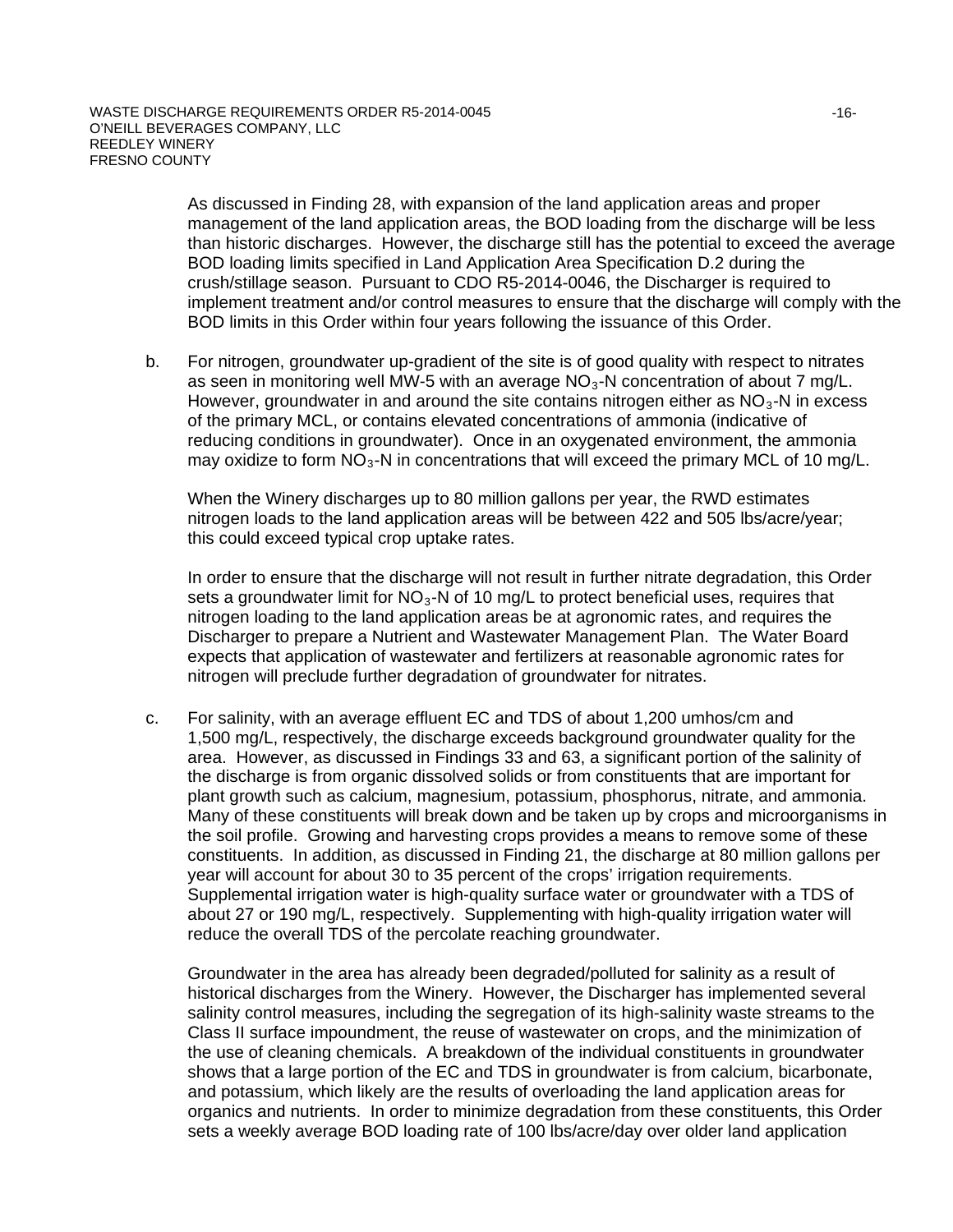As discussed in Finding 28, with expansion of the land application areas and proper management of the land application areas, the BOD loading from the discharge will be less than historic discharges. However, the discharge still has the potential to exceed the average BOD loading limits specified in Land Application Area Specification D.2 during the crush/stillage season. Pursuant to CDO R5-2014-0046, the Discharger is required to implement treatment and/or control measures to ensure that the discharge will comply with the BOD limits in this Order within four years following the issuance of this Order.

b. For nitrogen, groundwater up-gradient of the site is of good quality with respect to nitrates as seen in monitoring well MW-5 with an average  $NO<sub>3</sub>$ -N concentration of about 7 mg/L. However, groundwater in and around the site contains nitrogen either as  $NO<sub>3</sub>$ -N in excess of the primary MCL, or contains elevated concentrations of ammonia (indicative of reducing conditions in groundwater). Once in an oxygenated environment, the ammonia may oxidize to form  $NO<sub>3</sub>$ -N in concentrations that will exceed the primary MCL of 10 mg/L.

When the Winery discharges up to 80 million gallons per year, the RWD estimates nitrogen loads to the land application areas will be between 422 and 505 lbs/acre/year; this could exceed typical crop uptake rates.

In order to ensure that the discharge will not result in further nitrate degradation, this Order sets a groundwater limit for  $NO<sub>3</sub>$ -N of 10 mg/L to protect beneficial uses, requires that nitrogen loading to the land application areas be at agronomic rates, and requires the Discharger to prepare a Nutrient and Wastewater Management Plan. The Water Board expects that application of wastewater and fertilizers at reasonable agronomic rates for nitrogen will preclude further degradation of groundwater for nitrates.

c. For salinity, with an average effluent EC and TDS of about 1,200 umhos/cm and 1,500 mg/L, respectively, the discharge exceeds background groundwater quality for the area. However, as discussed in Findings 33 and 63, a significant portion of the salinity of the discharge is from organic dissolved solids or from constituents that are important for plant growth such as calcium, magnesium, potassium, phosphorus, nitrate, and ammonia. Many of these constituents will break down and be taken up by crops and microorganisms in the soil profile. Growing and harvesting crops provides a means to remove some of these constituents. In addition, as discussed in Finding 21, the discharge at 80 million gallons per year will account for about 30 to 35 percent of the crops' irrigation requirements. Supplemental irrigation water is high-quality surface water or groundwater with a TDS of about 27 or 190 mg/L, respectively. Supplementing with high-quality irrigation water will reduce the overall TDS of the percolate reaching groundwater.

Groundwater in the area has already been degraded/polluted for salinity as a result of historical discharges from the Winery. However, the Discharger has implemented several salinity control measures, including the segregation of its high-salinity waste streams to the Class II surface impoundment, the reuse of wastewater on crops, and the minimization of the use of cleaning chemicals. A breakdown of the individual constituents in groundwater shows that a large portion of the EC and TDS in groundwater is from calcium, bicarbonate, and potassium, which likely are the results of overloading the land application areas for organics and nutrients. In order to minimize degradation from these constituents, this Order sets a weekly average BOD loading rate of 100 lbs/acre/day over older land application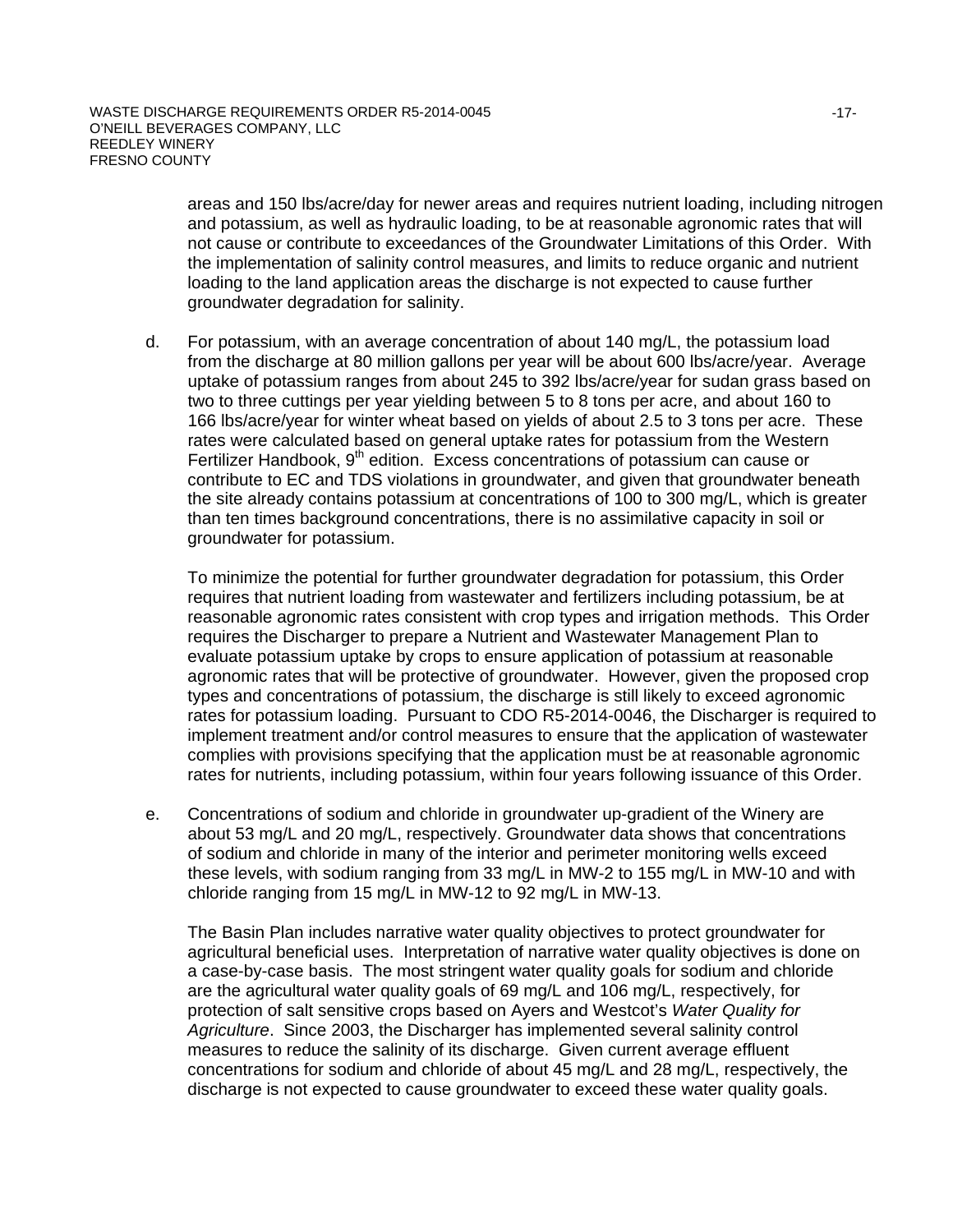areas and 150 lbs/acre/day for newer areas and requires nutrient loading, including nitrogen and potassium, as well as hydraulic loading, to be at reasonable agronomic rates that will not cause or contribute to exceedances of the Groundwater Limitations of this Order. With the implementation of salinity control measures, and limits to reduce organic and nutrient loading to the land application areas the discharge is not expected to cause further groundwater degradation for salinity.

d. For potassium, with an average concentration of about 140 mg/L, the potassium load from the discharge at 80 million gallons per year will be about 600 lbs/acre/year. Average uptake of potassium ranges from about 245 to 392 lbs/acre/year for sudan grass based on two to three cuttings per year yielding between 5 to 8 tons per acre, and about 160 to 166 lbs/acre/year for winter wheat based on yields of about 2.5 to 3 tons per acre. These rates were calculated based on general uptake rates for potassium from the Western Fertilizer Handbook,  $9<sup>th</sup>$  edition. Excess concentrations of potassium can cause or contribute to EC and TDS violations in groundwater, and given that groundwater beneath the site already contains potassium at concentrations of 100 to 300 mg/L, which is greater than ten times background concentrations, there is no assimilative capacity in soil or groundwater for potassium.

To minimize the potential for further groundwater degradation for potassium, this Order requires that nutrient loading from wastewater and fertilizers including potassium, be at reasonable agronomic rates consistent with crop types and irrigation methods. This Order requires the Discharger to prepare a Nutrient and Wastewater Management Plan to evaluate potassium uptake by crops to ensure application of potassium at reasonable agronomic rates that will be protective of groundwater. However, given the proposed crop types and concentrations of potassium, the discharge is still likely to exceed agronomic rates for potassium loading. Pursuant to CDO R5-2014-0046, the Discharger is required to implement treatment and/or control measures to ensure that the application of wastewater complies with provisions specifying that the application must be at reasonable agronomic rates for nutrients, including potassium, within four years following issuance of this Order.

e. Concentrations of sodium and chloride in groundwater up-gradient of the Winery are about 53 mg/L and 20 mg/L, respectively. Groundwater data shows that concentrations of sodium and chloride in many of the interior and perimeter monitoring wells exceed these levels, with sodium ranging from 33 mg/L in MW-2 to 155 mg/L in MW-10 and with chloride ranging from 15 mg/L in MW-12 to 92 mg/L in MW-13.

The Basin Plan includes narrative water quality objectives to protect groundwater for agricultural beneficial uses. Interpretation of narrative water quality objectives is done on a case-by-case basis. The most stringent water quality goals for sodium and chloride are the agricultural water quality goals of 69 mg/L and 106 mg/L, respectively, for protection of salt sensitive crops based on Ayers and Westcot's *Water Quality for Agriculture*. Since 2003, the Discharger has implemented several salinity control measures to reduce the salinity of its discharge. Given current average effluent concentrations for sodium and chloride of about 45 mg/L and 28 mg/L, respectively, the discharge is not expected to cause groundwater to exceed these water quality goals.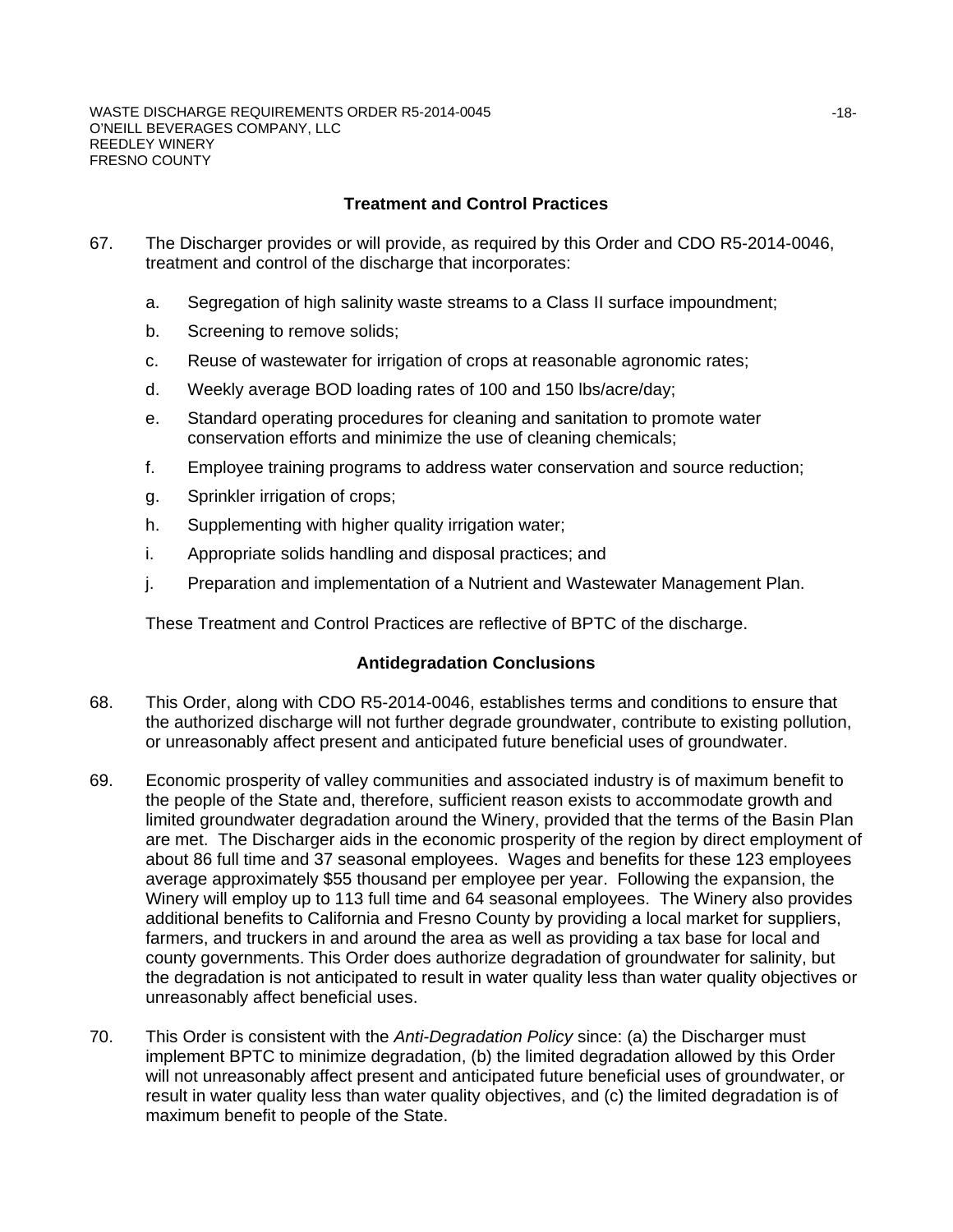## **Treatment and Control Practices**

- 67. The Discharger provides or will provide, as required by this Order and CDO R5-2014-0046, treatment and control of the discharge that incorporates:
	- a. Segregation of high salinity waste streams to a Class II surface impoundment;
	- b. Screening to remove solids;
	- c. Reuse of wastewater for irrigation of crops at reasonable agronomic rates;
	- d. Weekly average BOD loading rates of 100 and 150 lbs/acre/day;
	- e. Standard operating procedures for cleaning and sanitation to promote water conservation efforts and minimize the use of cleaning chemicals;
	- f. Employee training programs to address water conservation and source reduction;
	- g. Sprinkler irrigation of crops;
	- h. Supplementing with higher quality irrigation water;
	- i. Appropriate solids handling and disposal practices; and
	- j. Preparation and implementation of a Nutrient and Wastewater Management Plan.

These Treatment and Control Practices are reflective of BPTC of the discharge.

### **Antidegradation Conclusions**

- 68. This Order, along with CDO R5-2014-0046, establishes terms and conditions to ensure that the authorized discharge will not further degrade groundwater, contribute to existing pollution, or unreasonably affect present and anticipated future beneficial uses of groundwater.
- 69. Economic prosperity of valley communities and associated industry is of maximum benefit to the people of the State and, therefore, sufficient reason exists to accommodate growth and limited groundwater degradation around the Winery, provided that the terms of the Basin Plan are met. The Discharger aids in the economic prosperity of the region by direct employment of about 86 full time and 37 seasonal employees. Wages and benefits for these 123 employees average approximately \$55 thousand per employee per year. Following the expansion, the Winery will employ up to 113 full time and 64 seasonal employees. The Winery also provides additional benefits to California and Fresno County by providing a local market for suppliers, farmers, and truckers in and around the area as well as providing a tax base for local and county governments. This Order does authorize degradation of groundwater for salinity, but the degradation is not anticipated to result in water quality less than water quality objectives or unreasonably affect beneficial uses.
- 70. This Order is consistent with the *Anti-Degradation Policy* since: (a) the Discharger must implement BPTC to minimize degradation, (b) the limited degradation allowed by this Order will not unreasonably affect present and anticipated future beneficial uses of groundwater, or result in water quality less than water quality objectives, and (c) the limited degradation is of maximum benefit to people of the State.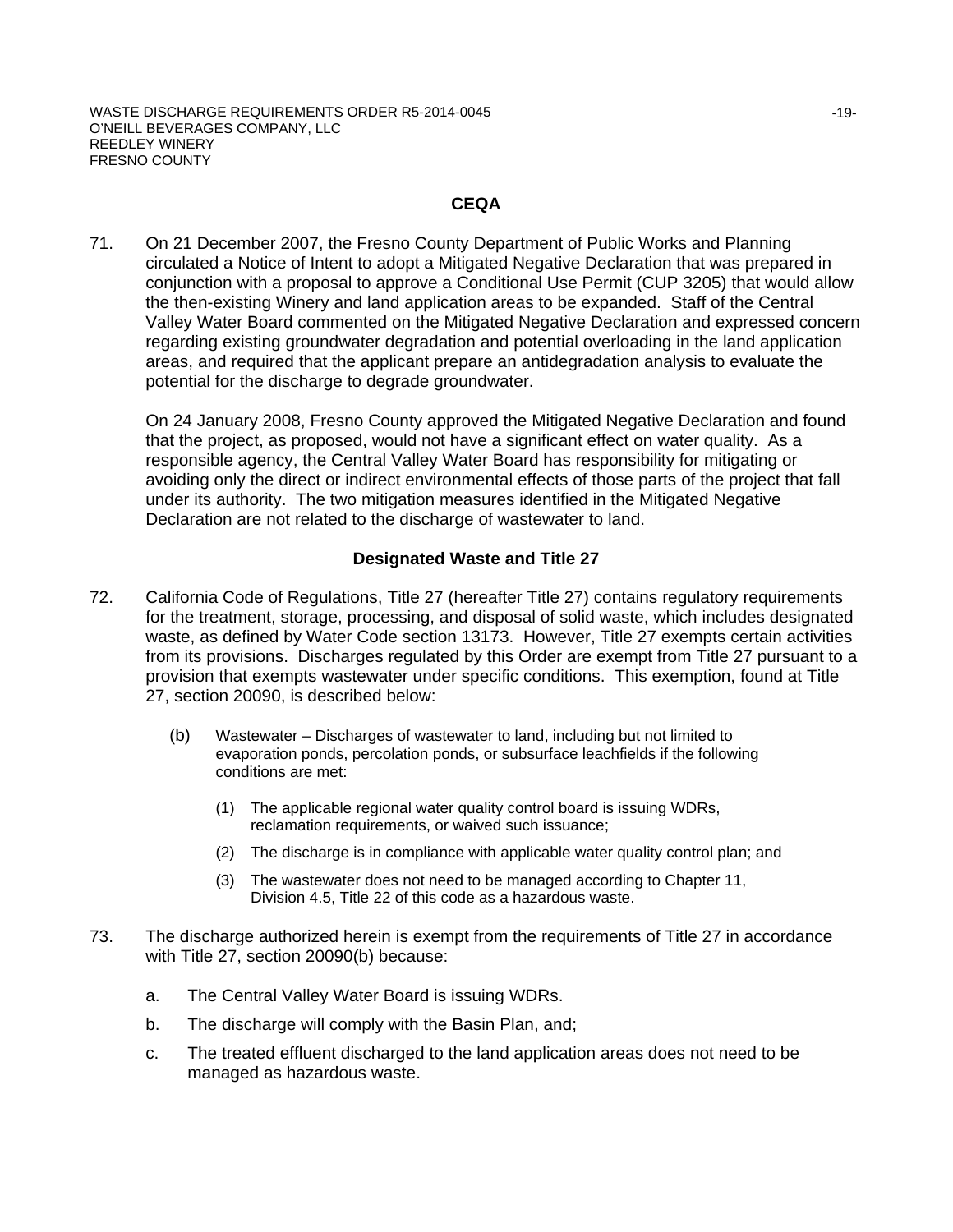### **CEQA**

71. On 21 December 2007, the Fresno County Department of Public Works and Planning circulated a Notice of Intent to adopt a Mitigated Negative Declaration that was prepared in conjunction with a proposal to approve a Conditional Use Permit (CUP 3205) that would allow the then-existing Winery and land application areas to be expanded. Staff of the Central Valley Water Board commented on the Mitigated Negative Declaration and expressed concern regarding existing groundwater degradation and potential overloading in the land application areas, and required that the applicant prepare an antidegradation analysis to evaluate the potential for the discharge to degrade groundwater.

On 24 January 2008, Fresno County approved the Mitigated Negative Declaration and found that the project, as proposed, would not have a significant effect on water quality. As a responsible agency, the Central Valley Water Board has responsibility for mitigating or avoiding only the direct or indirect environmental effects of those parts of the project that fall under its authority. The two mitigation measures identified in the Mitigated Negative Declaration are not related to the discharge of wastewater to land.

### **Designated Waste and Title 27**

- 72. California Code of Regulations, Title 27 (hereafter Title 27) contains regulatory requirements for the treatment, storage, processing, and disposal of solid waste, which includes designated waste, as defined by Water Code section 13173. However, Title 27 exempts certain activities from its provisions. Discharges regulated by this Order are exempt from Title 27 pursuant to a provision that exempts wastewater under specific conditions. This exemption, found at Title 27, section 20090, is described below:
	- (b) Wastewater Discharges of wastewater to land, including but not limited to evaporation ponds, percolation ponds, or subsurface leachfields if the following conditions are met:
		- (1) The applicable regional water quality control board is issuing WDRs, reclamation requirements, or waived such issuance;
		- (2) The discharge is in compliance with applicable water quality control plan; and
		- (3) The wastewater does not need to be managed according to Chapter 11, Division 4.5, Title 22 of this code as a hazardous waste.
- 73. The discharge authorized herein is exempt from the requirements of Title 27 in accordance with Title 27, section 20090(b) because:
	- a. The Central Valley Water Board is issuing WDRs.
	- b. The discharge will comply with the Basin Plan, and;
	- c. The treated effluent discharged to the land application areas does not need to be managed as hazardous waste.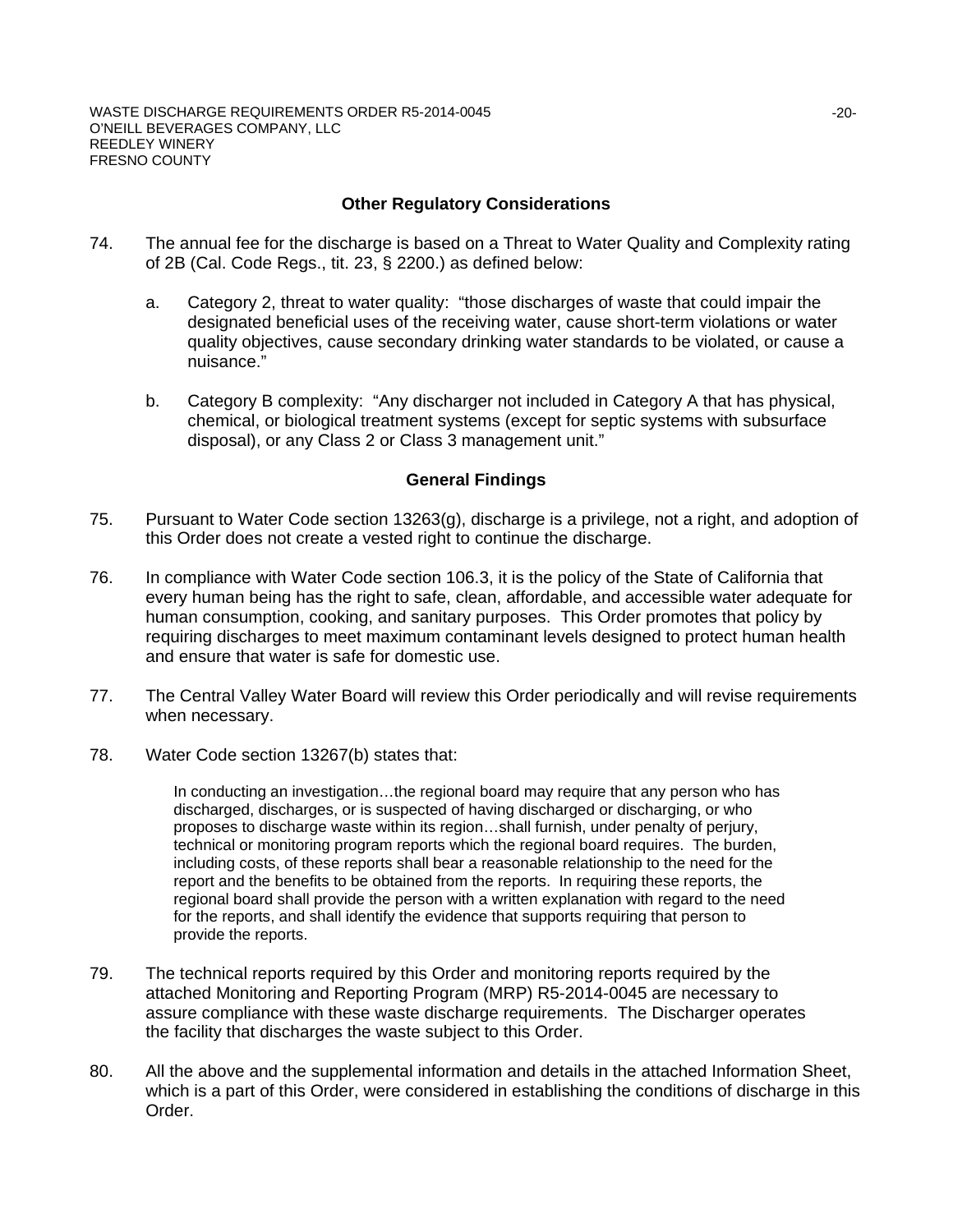## **Other Regulatory Considerations**

- 74. The annual fee for the discharge is based on a Threat to Water Quality and Complexity rating of 2B (Cal. Code Regs., tit. 23, § 2200.) as defined below:
	- a. Category 2, threat to water quality: "those discharges of waste that could impair the designated beneficial uses of the receiving water, cause short-term violations or water quality objectives, cause secondary drinking water standards to be violated, or cause a nuisance."
	- b. Category B complexity: "Any discharger not included in Category A that has physical, chemical, or biological treatment systems (except for septic systems with subsurface disposal), or any Class 2 or Class 3 management unit."

#### **General Findings**

- 75. Pursuant to Water Code section 13263(g), discharge is a privilege, not a right, and adoption of this Order does not create a vested right to continue the discharge.
- 76. In compliance with Water Code section 106.3, it is the policy of the State of California that every human being has the right to safe, clean, affordable, and accessible water adequate for human consumption, cooking, and sanitary purposes. This Order promotes that policy by requiring discharges to meet maximum contaminant levels designed to protect human health and ensure that water is safe for domestic use.
- 77. The Central Valley Water Board will review this Order periodically and will revise requirements when necessary.
- 78. Water Code section 13267(b) states that:

In conducting an investigation…the regional board may require that any person who has discharged, discharges, or is suspected of having discharged or discharging, or who proposes to discharge waste within its region…shall furnish, under penalty of perjury, technical or monitoring program reports which the regional board requires. The burden, including costs, of these reports shall bear a reasonable relationship to the need for the report and the benefits to be obtained from the reports. In requiring these reports, the regional board shall provide the person with a written explanation with regard to the need for the reports, and shall identify the evidence that supports requiring that person to provide the reports.

- 79. The technical reports required by this Order and monitoring reports required by the attached Monitoring and Reporting Program (MRP) R5-2014-0045 are necessary to assure compliance with these waste discharge requirements. The Discharger operates the facility that discharges the waste subject to this Order.
- 80. All the above and the supplemental information and details in the attached Information Sheet, which is a part of this Order, were considered in establishing the conditions of discharge in this Order.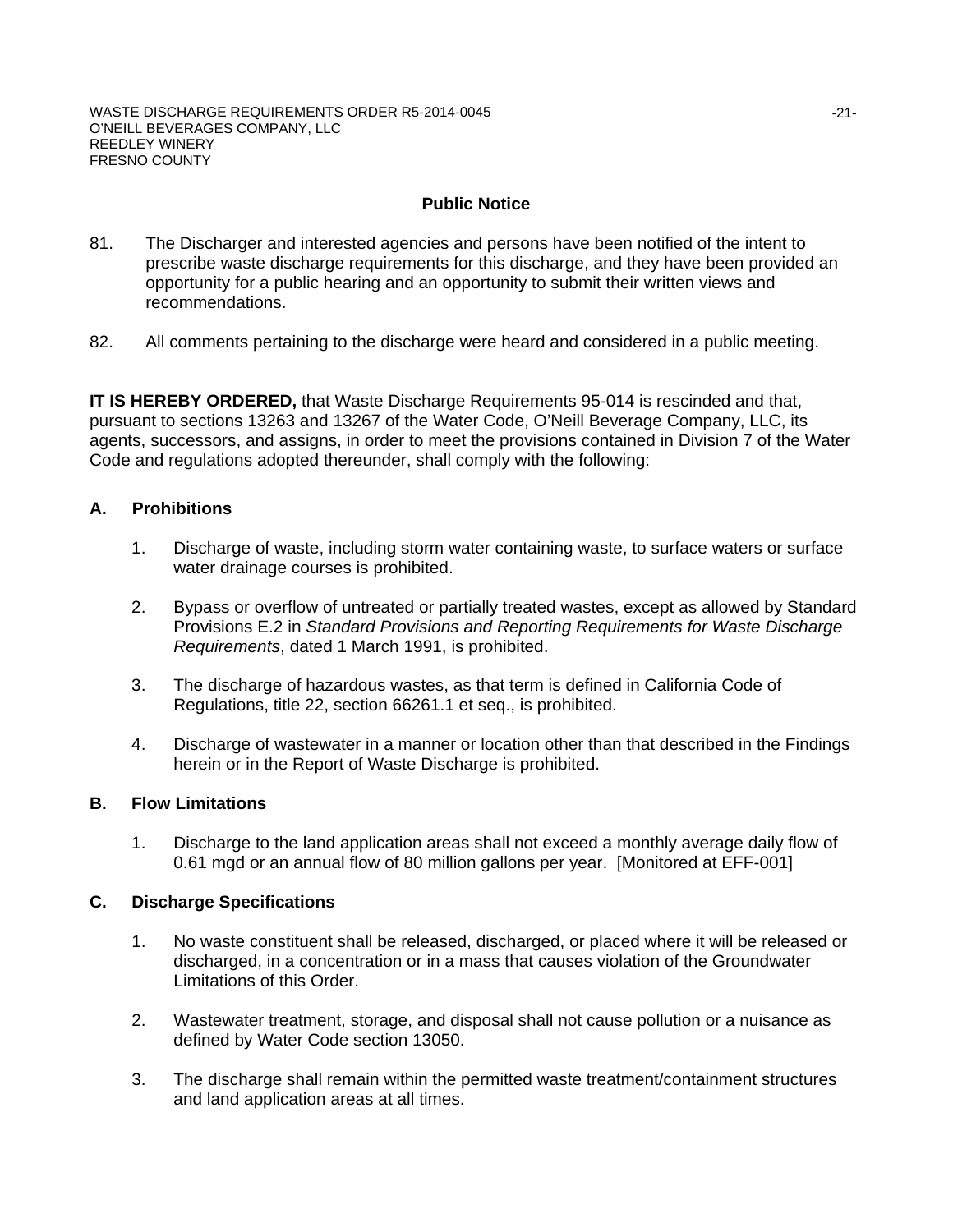## **Public Notice**

- 81. The Discharger and interested agencies and persons have been notified of the intent to prescribe waste discharge requirements for this discharge, and they have been provided an opportunity for a public hearing and an opportunity to submit their written views and recommendations.
- 82. All comments pertaining to the discharge were heard and considered in a public meeting.

**IT IS HEREBY ORDERED,** that Waste Discharge Requirements 95-014 is rescinded and that, pursuant to sections 13263 and 13267 of the Water Code, O'Neill Beverage Company, LLC, its agents, successors, and assigns, in order to meet the provisions contained in Division 7 of the Water Code and regulations adopted thereunder, shall comply with the following:

## **A. Prohibitions**

- 1. Discharge of waste, including storm water containing waste, to surface waters or surface water drainage courses is prohibited.
- 2. Bypass or overflow of untreated or partially treated wastes, except as allowed by Standard Provisions E.2 in *Standard Provisions and Reporting Requirements for Waste Discharge Requirements*, dated 1 March 1991, is prohibited.
- 3. The discharge of hazardous wastes, as that term is defined in California Code of Regulations, title 22, section 66261.1 et seq., is prohibited.
- 4. Discharge of wastewater in a manner or location other than that described in the Findings herein or in the Report of Waste Discharge is prohibited.

### **B. Flow Limitations**

1. Discharge to the land application areas shall not exceed a monthly average daily flow of 0.61 mgd or an annual flow of 80 million gallons per year. [Monitored at EFF-001]

### **C. Discharge Specifications**

- 1. No waste constituent shall be released, discharged, or placed where it will be released or discharged, in a concentration or in a mass that causes violation of the Groundwater Limitations of this Order.
- 2. Wastewater treatment, storage, and disposal shall not cause pollution or a nuisance as defined by Water Code section 13050.
- 3. The discharge shall remain within the permitted waste treatment/containment structures and land application areas at all times.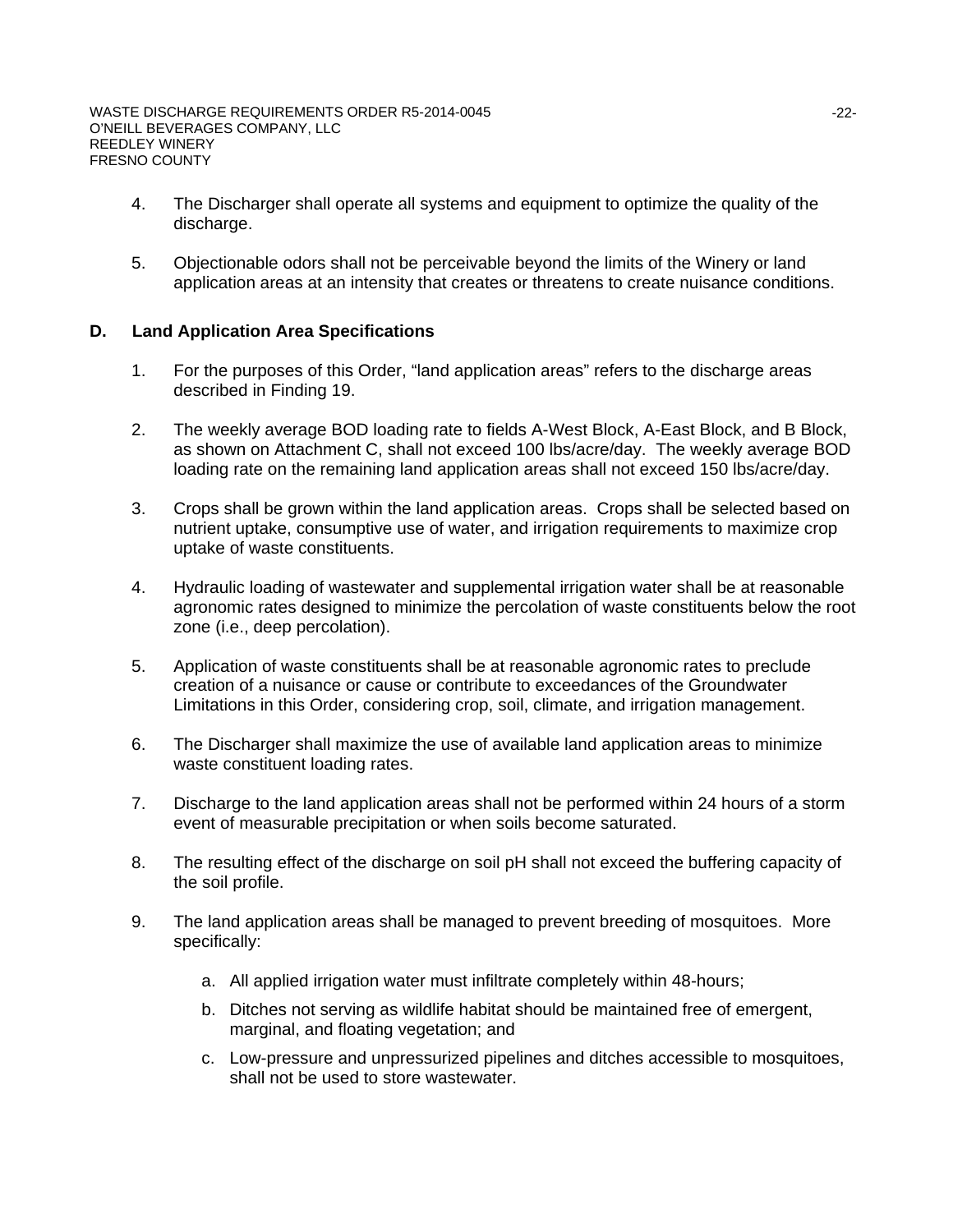- 4. The Discharger shall operate all systems and equipment to optimize the quality of the discharge.
- 5. Objectionable odors shall not be perceivable beyond the limits of the Winery or land application areas at an intensity that creates or threatens to create nuisance conditions.

### **D. Land Application Area Specifications**

- 1. For the purposes of this Order, "land application areas" refers to the discharge areas described in Finding 19.
- 2. The weekly average BOD loading rate to fields A-West Block, A-East Block, and B Block, as shown on Attachment C, shall not exceed 100 lbs/acre/day. The weekly average BOD loading rate on the remaining land application areas shall not exceed 150 lbs/acre/day.
- 3. Crops shall be grown within the land application areas. Crops shall be selected based on nutrient uptake, consumptive use of water, and irrigation requirements to maximize crop uptake of waste constituents.
- 4. Hydraulic loading of wastewater and supplemental irrigation water shall be at reasonable agronomic rates designed to minimize the percolation of waste constituents below the root zone (i.e., deep percolation).
- 5. Application of waste constituents shall be at reasonable agronomic rates to preclude creation of a nuisance or cause or contribute to exceedances of the Groundwater Limitations in this Order, considering crop, soil, climate, and irrigation management.
- 6. The Discharger shall maximize the use of available land application areas to minimize waste constituent loading rates.
- 7. Discharge to the land application areas shall not be performed within 24 hours of a storm event of measurable precipitation or when soils become saturated.
- 8. The resulting effect of the discharge on soil pH shall not exceed the buffering capacity of the soil profile.
- 9. The land application areas shall be managed to prevent breeding of mosquitoes. More specifically:
	- a. All applied irrigation water must infiltrate completely within 48-hours;
	- b. Ditches not serving as wildlife habitat should be maintained free of emergent, marginal, and floating vegetation; and
	- c. Low-pressure and unpressurized pipelines and ditches accessible to mosquitoes, shall not be used to store wastewater.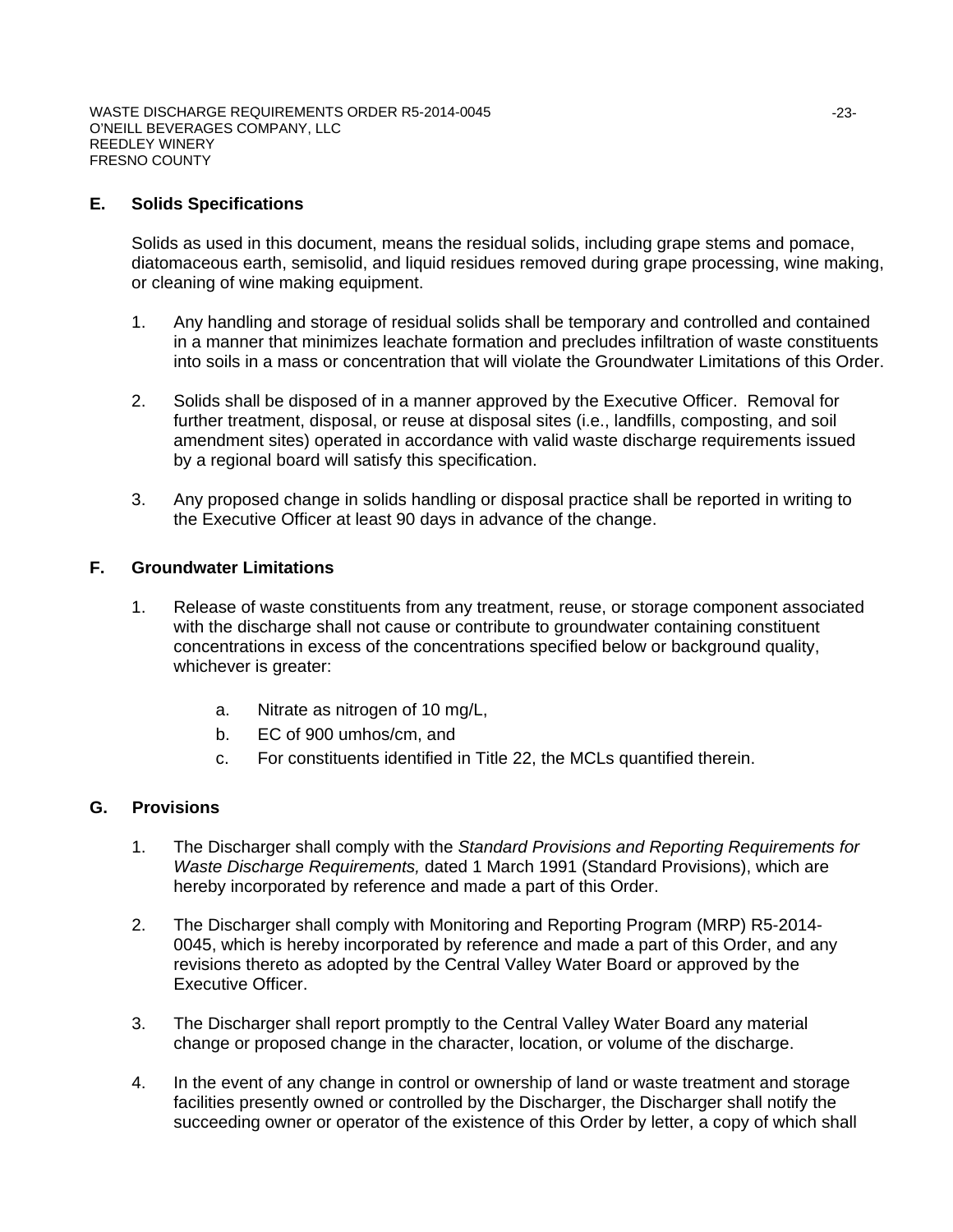## **E. Solids Specifications**

Solids as used in this document, means the residual solids, including grape stems and pomace, diatomaceous earth, semisolid, and liquid residues removed during grape processing, wine making, or cleaning of wine making equipment.

- 1. Any handling and storage of residual solids shall be temporary and controlled and contained in a manner that minimizes leachate formation and precludes infiltration of waste constituents into soils in a mass or concentration that will violate the Groundwater Limitations of this Order.
- 2. Solids shall be disposed of in a manner approved by the Executive Officer. Removal for further treatment, disposal, or reuse at disposal sites (i.e., landfills, composting, and soil amendment sites) operated in accordance with valid waste discharge requirements issued by a regional board will satisfy this specification.
- 3. Any proposed change in solids handling or disposal practice shall be reported in writing to the Executive Officer at least 90 days in advance of the change.

### **F. Groundwater Limitations**

- 1. Release of waste constituents from any treatment, reuse, or storage component associated with the discharge shall not cause or contribute to groundwater containing constituent concentrations in excess of the concentrations specified below or background quality, whichever is greater:
	- a. Nitrate as nitrogen of 10 mg/L,
	- b. EC of 900 umhos/cm, and
	- c. For constituents identified in Title 22, the MCLs quantified therein.

## **G. Provisions**

- 1. The Discharger shall comply with the *Standard Provisions and Reporting Requirements for Waste Discharge Requirements,* dated 1 March 1991 (Standard Provisions), which are hereby incorporated by reference and made a part of this Order.
- 2. The Discharger shall comply with Monitoring and Reporting Program (MRP) R5-2014- 0045, which is hereby incorporated by reference and made a part of this Order, and any revisions thereto as adopted by the Central Valley Water Board or approved by the Executive Officer.
- 3. The Discharger shall report promptly to the Central Valley Water Board any material change or proposed change in the character, location, or volume of the discharge.
- 4. In the event of any change in control or ownership of land or waste treatment and storage facilities presently owned or controlled by the Discharger, the Discharger shall notify the succeeding owner or operator of the existence of this Order by letter, a copy of which shall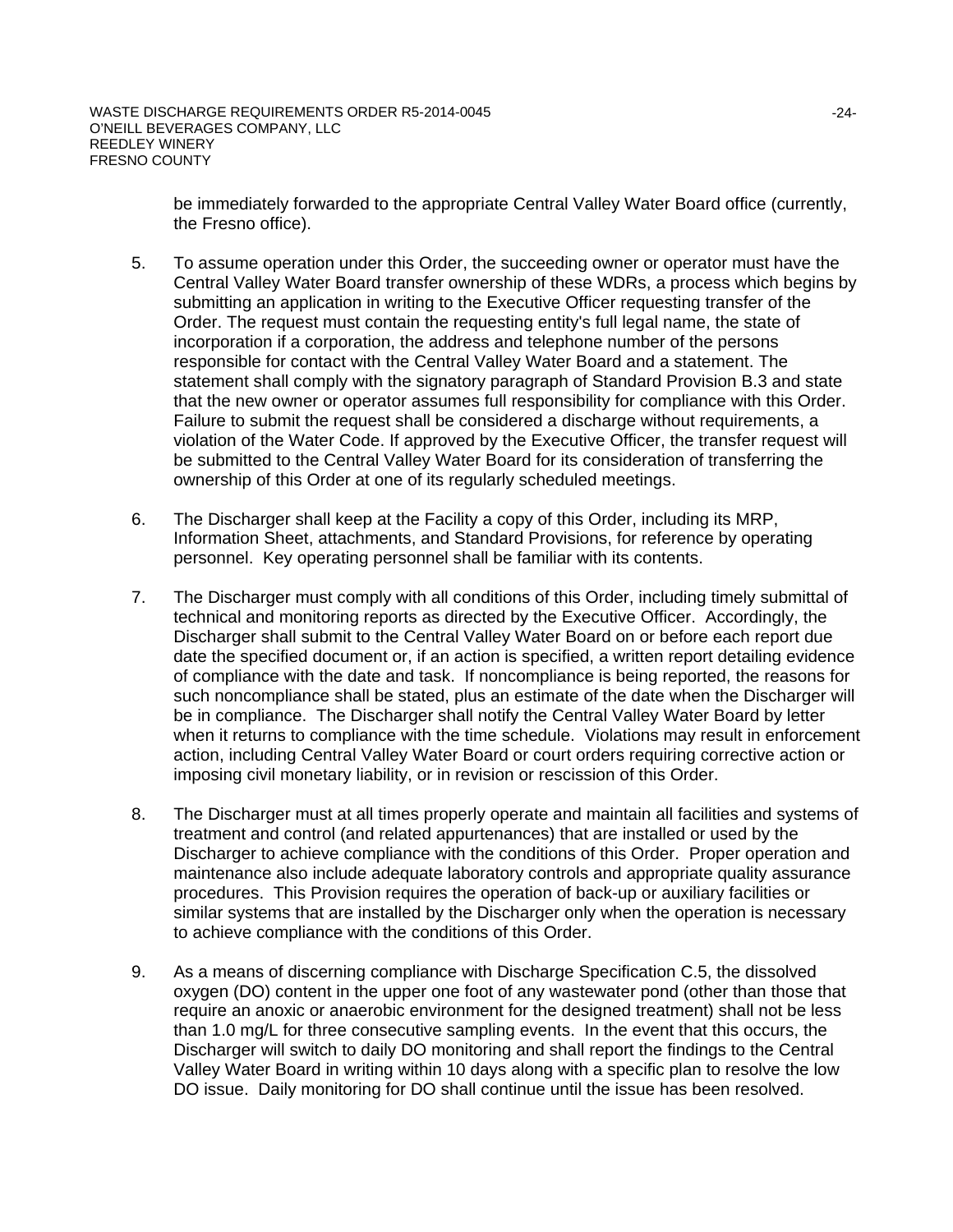be immediately forwarded to the appropriate Central Valley Water Board office (currently, the Fresno office).

- 5. To assume operation under this Order, the succeeding owner or operator must have the Central Valley Water Board transfer ownership of these WDRs, a process which begins by submitting an application in writing to the Executive Officer requesting transfer of the Order. The request must contain the requesting entity's full legal name, the state of incorporation if a corporation, the address and telephone number of the persons responsible for contact with the Central Valley Water Board and a statement. The statement shall comply with the signatory paragraph of Standard Provision B.3 and state that the new owner or operator assumes full responsibility for compliance with this Order. Failure to submit the request shall be considered a discharge without requirements, a violation of the Water Code. If approved by the Executive Officer, the transfer request will be submitted to the Central Valley Water Board for its consideration of transferring the ownership of this Order at one of its regularly scheduled meetings.
- 6. The Discharger shall keep at the Facility a copy of this Order, including its MRP, Information Sheet, attachments, and Standard Provisions, for reference by operating personnel. Key operating personnel shall be familiar with its contents.
- 7. The Discharger must comply with all conditions of this Order, including timely submittal of technical and monitoring reports as directed by the Executive Officer. Accordingly, the Discharger shall submit to the Central Valley Water Board on or before each report due date the specified document or, if an action is specified, a written report detailing evidence of compliance with the date and task. If noncompliance is being reported, the reasons for such noncompliance shall be stated, plus an estimate of the date when the Discharger will be in compliance. The Discharger shall notify the Central Valley Water Board by letter when it returns to compliance with the time schedule. Violations may result in enforcement action, including Central Valley Water Board or court orders requiring corrective action or imposing civil monetary liability, or in revision or rescission of this Order.
- 8. The Discharger must at all times properly operate and maintain all facilities and systems of treatment and control (and related appurtenances) that are installed or used by the Discharger to achieve compliance with the conditions of this Order. Proper operation and maintenance also include adequate laboratory controls and appropriate quality assurance procedures. This Provision requires the operation of back-up or auxiliary facilities or similar systems that are installed by the Discharger only when the operation is necessary to achieve compliance with the conditions of this Order.
- 9. As a means of discerning compliance with Discharge Specification C.5, the dissolved oxygen (DO) content in the upper one foot of any wastewater pond (other than those that require an anoxic or anaerobic environment for the designed treatment) shall not be less than 1.0 mg/L for three consecutive sampling events. In the event that this occurs, the Discharger will switch to daily DO monitoring and shall report the findings to the Central Valley Water Board in writing within 10 days along with a specific plan to resolve the low DO issue. Daily monitoring for DO shall continue until the issue has been resolved.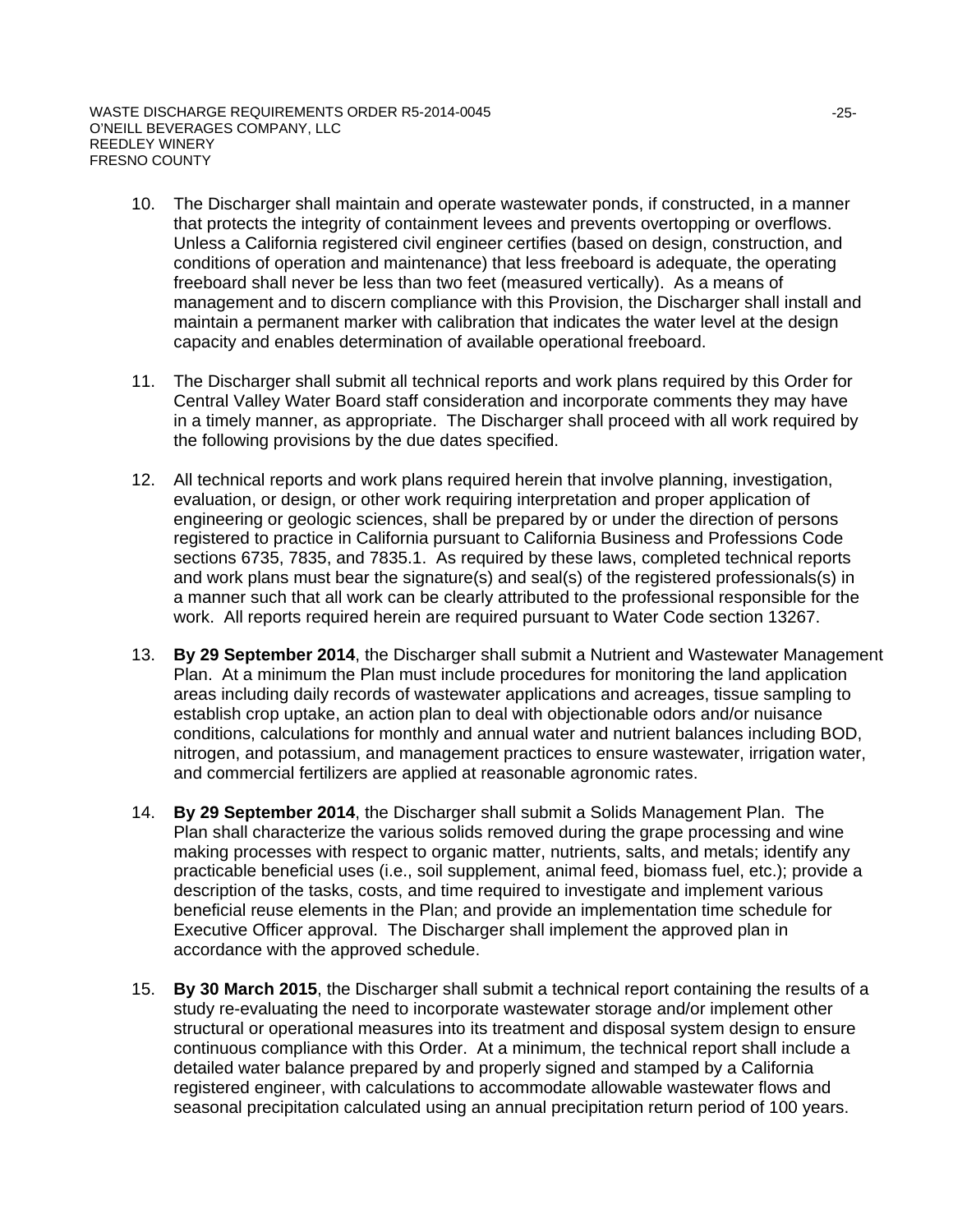- 10. The Discharger shall maintain and operate wastewater ponds, if constructed, in a manner that protects the integrity of containment levees and prevents overtopping or overflows. Unless a California registered civil engineer certifies (based on design, construction, and conditions of operation and maintenance) that less freeboard is adequate, the operating freeboard shall never be less than two feet (measured vertically). As a means of management and to discern compliance with this Provision, the Discharger shall install and maintain a permanent marker with calibration that indicates the water level at the design capacity and enables determination of available operational freeboard.
- 11. The Discharger shall submit all technical reports and work plans required by this Order for Central Valley Water Board staff consideration and incorporate comments they may have in a timely manner, as appropriate. The Discharger shall proceed with all work required by the following provisions by the due dates specified.
- 12. All technical reports and work plans required herein that involve planning, investigation, evaluation, or design, or other work requiring interpretation and proper application of engineering or geologic sciences, shall be prepared by or under the direction of persons registered to practice in California pursuant to California Business and Professions Code sections 6735, 7835, and 7835.1. As required by these laws, completed technical reports and work plans must bear the signature(s) and seal(s) of the registered professionals(s) in a manner such that all work can be clearly attributed to the professional responsible for the work. All reports required herein are required pursuant to Water Code section 13267.
- 13. **By 29 September 2014**, the Discharger shall submit a Nutrient and Wastewater Management Plan. At a minimum the Plan must include procedures for monitoring the land application areas including daily records of wastewater applications and acreages, tissue sampling to establish crop uptake, an action plan to deal with objectionable odors and/or nuisance conditions, calculations for monthly and annual water and nutrient balances including BOD, nitrogen, and potassium, and management practices to ensure wastewater, irrigation water, and commercial fertilizers are applied at reasonable agronomic rates.
- 14. **By 29 September 2014**, the Discharger shall submit a Solids Management Plan. The Plan shall characterize the various solids removed during the grape processing and wine making processes with respect to organic matter, nutrients, salts, and metals; identify any practicable beneficial uses (i.e., soil supplement, animal feed, biomass fuel, etc.); provide a description of the tasks, costs, and time required to investigate and implement various beneficial reuse elements in the Plan; and provide an implementation time schedule for Executive Officer approval. The Discharger shall implement the approved plan in accordance with the approved schedule.
- 15. **By 30 March 2015**, the Discharger shall submit a technical report containing the results of a study re-evaluating the need to incorporate wastewater storage and/or implement other structural or operational measures into its treatment and disposal system design to ensure continuous compliance with this Order. At a minimum, the technical report shall include a detailed water balance prepared by and properly signed and stamped by a California registered engineer, with calculations to accommodate allowable wastewater flows and seasonal precipitation calculated using an annual precipitation return period of 100 years.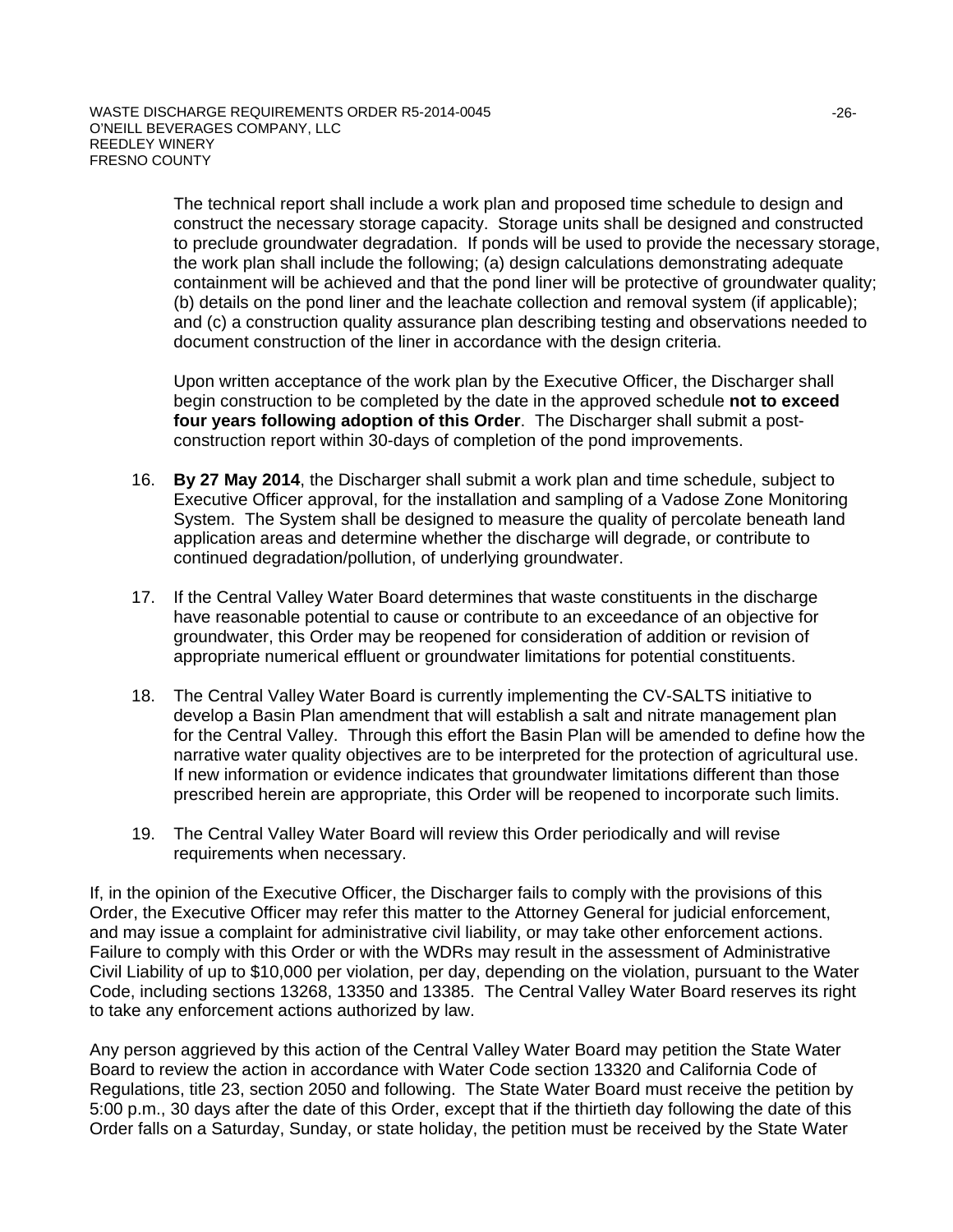The technical report shall include a work plan and proposed time schedule to design and construct the necessary storage capacity. Storage units shall be designed and constructed to preclude groundwater degradation. If ponds will be used to provide the necessary storage, the work plan shall include the following; (a) design calculations demonstrating adequate containment will be achieved and that the pond liner will be protective of groundwater quality; (b) details on the pond liner and the leachate collection and removal system (if applicable); and (c) a construction quality assurance plan describing testing and observations needed to document construction of the liner in accordance with the design criteria.

Upon written acceptance of the work plan by the Executive Officer, the Discharger shall begin construction to be completed by the date in the approved schedule **not to exceed four years following adoption of this Order**. The Discharger shall submit a postconstruction report within 30-days of completion of the pond improvements.

- 16. **By 27 May 2014**, the Discharger shall submit a work plan and time schedule, subject to Executive Officer approval, for the installation and sampling of a Vadose Zone Monitoring System. The System shall be designed to measure the quality of percolate beneath land application areas and determine whether the discharge will degrade, or contribute to continued degradation/pollution, of underlying groundwater.
- 17. If the Central Valley Water Board determines that waste constituents in the discharge have reasonable potential to cause or contribute to an exceedance of an objective for groundwater, this Order may be reopened for consideration of addition or revision of appropriate numerical effluent or groundwater limitations for potential constituents.
- 18. The Central Valley Water Board is currently implementing the CV-SALTS initiative to develop a Basin Plan amendment that will establish a salt and nitrate management plan for the Central Valley. Through this effort the Basin Plan will be amended to define how the narrative water quality objectives are to be interpreted for the protection of agricultural use. If new information or evidence indicates that groundwater limitations different than those prescribed herein are appropriate, this Order will be reopened to incorporate such limits.
- 19. The Central Valley Water Board will review this Order periodically and will revise requirements when necessary.

If, in the opinion of the Executive Officer, the Discharger fails to comply with the provisions of this Order, the Executive Officer may refer this matter to the Attorney General for judicial enforcement, and may issue a complaint for administrative civil liability, or may take other enforcement actions. Failure to comply with this Order or with the WDRs may result in the assessment of Administrative Civil Liability of up to \$10,000 per violation, per day, depending on the violation, pursuant to the Water Code, including sections 13268, 13350 and 13385. The Central Valley Water Board reserves its right to take any enforcement actions authorized by law.

Any person aggrieved by this action of the Central Valley Water Board may petition the State Water Board to review the action in accordance with Water Code section 13320 and California Code of Regulations, title 23, section 2050 and following. The State Water Board must receive the petition by 5:00 p.m., 30 days after the date of this Order, except that if the thirtieth day following the date of this Order falls on a Saturday, Sunday, or state holiday, the petition must be received by the State Water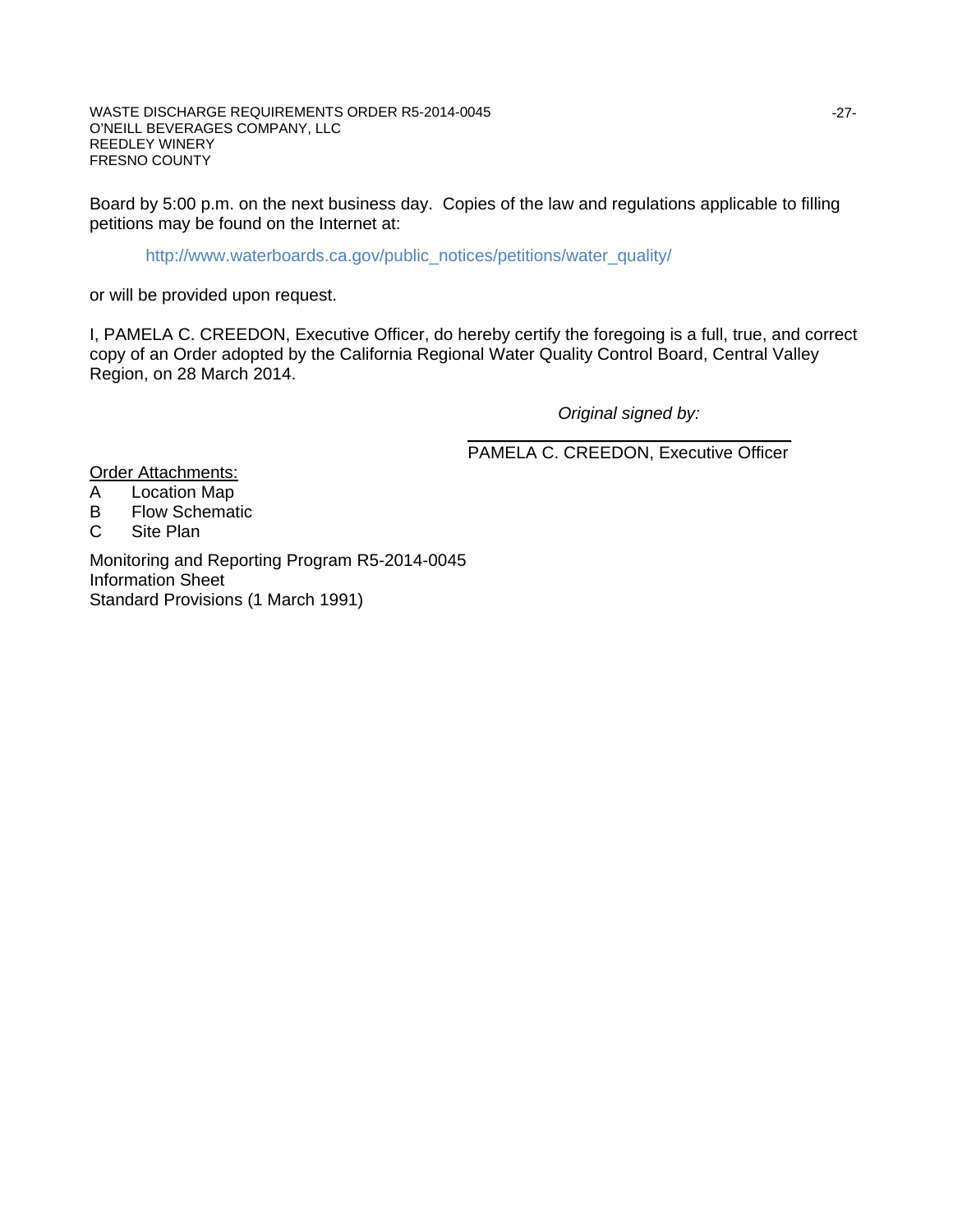Board by 5:00 p.m. on the next business day. Copies of the law and regulations applicable to filling petitions may be found on the Internet at: i,

http://www.waterboards.ca.gov/public\_notices/petitions/water\_quality/

or will be provided upon request.

I, PAMELA C. CREEDON, Executive Officer, do hereby certify the foregoing is a full, true, and correct copy of an Order adopted by the California Regional Water Quality Control Board, Central Valley Region, on 28 March 2014.

 *Original signed by:*

\_\_\_\_\_\_\_\_\_\_\_\_\_\_\_\_\_\_\_\_\_\_\_\_\_\_\_\_\_\_\_\_\_\_ PAMELA C. CREEDON, Executive Officer

**Order Attachments:** 

- A Location Map
- B Flow Schematic<br>C Site Plan
- Site Plan

Monitoring and Reporting Program R5-2014-0045 Information Sheet Standard Provisions (1 March 1991)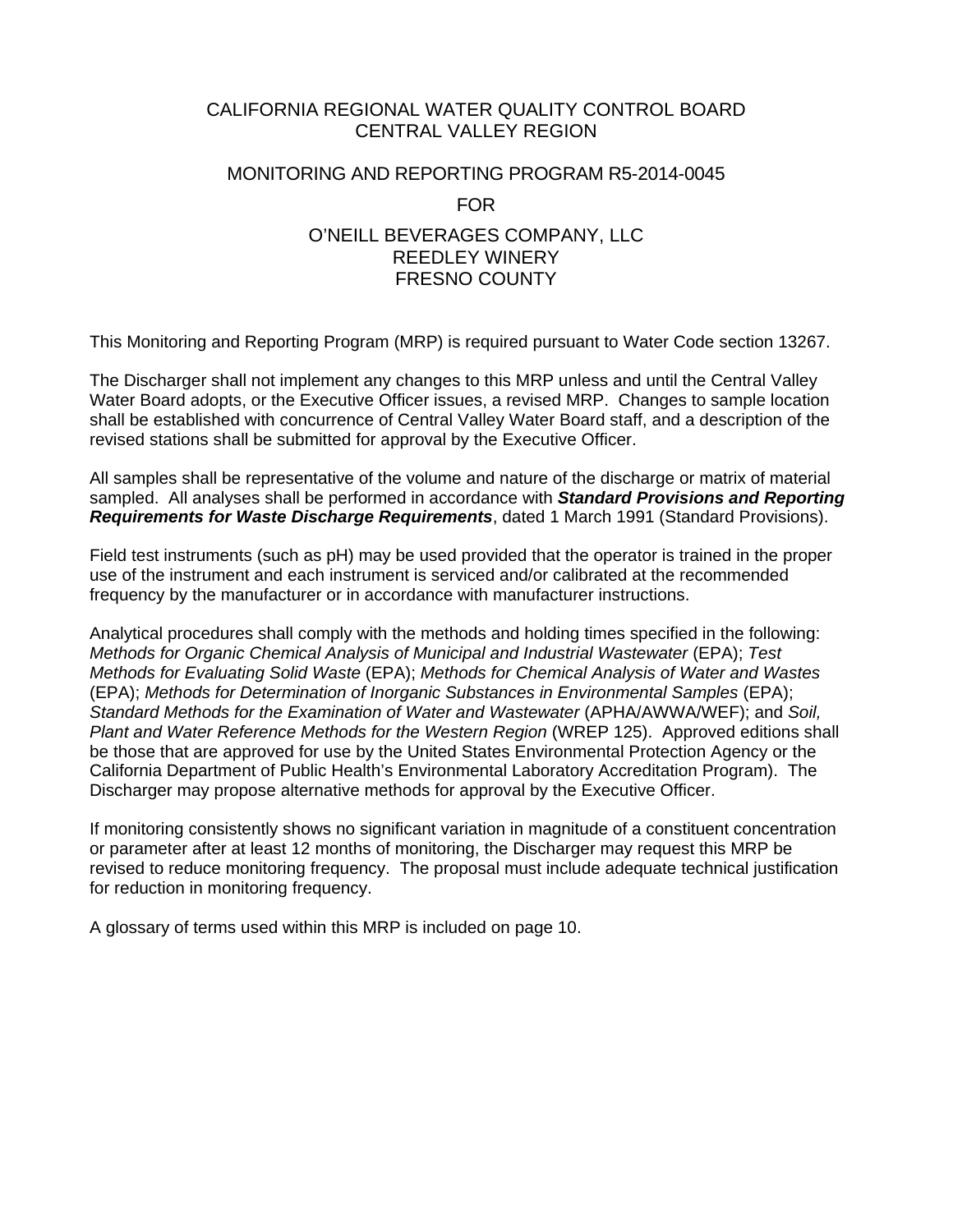## CALIFORNIA REGIONAL WATER QUALITY CONTROL BOARD CENTRAL VALLEY REGION

# MONITORING AND REPORTING PROGRAM R5-2014-0045 FOR O'NEILL BEVERAGES COMPANY, LLC REEDLEY WINERY FRESNO COUNTY

This Monitoring and Reporting Program (MRP) is required pursuant to Water Code section 13267.

The Discharger shall not implement any changes to this MRP unless and until the Central Valley Water Board adopts, or the Executive Officer issues, a revised MRP. Changes to sample location shall be established with concurrence of Central Valley Water Board staff, and a description of the revised stations shall be submitted for approval by the Executive Officer.

All samples shall be representative of the volume and nature of the discharge or matrix of material sampled. All analyses shall be performed in accordance with *Standard Provisions and Reporting Requirements for Waste Discharge Requirements*, dated 1 March 1991 (Standard Provisions).

Field test instruments (such as pH) may be used provided that the operator is trained in the proper use of the instrument and each instrument is serviced and/or calibrated at the recommended frequency by the manufacturer or in accordance with manufacturer instructions.

Analytical procedures shall comply with the methods and holding times specified in the following: *Methods for Organic Chemical Analysis of Municipal and Industrial Wastewater* (EPA); *Test Methods for Evaluating Solid Waste* (EPA); *Methods for Chemical Analysis of Water and Wastes* (EPA); *Methods for Determination of Inorganic Substances in Environmental Samples* (EPA); *Standard Methods for the Examination of Water and Wastewater* (APHA/AWWA/WEF); and *Soil, Plant and Water Reference Methods for the Western Region* (WREP 125). Approved editions shall be those that are approved for use by the United States Environmental Protection Agency or the California Department of Public Health's Environmental Laboratory Accreditation Program). The Discharger may propose alternative methods for approval by the Executive Officer.

If monitoring consistently shows no significant variation in magnitude of a constituent concentration or parameter after at least 12 months of monitoring, the Discharger may request this MRP be revised to reduce monitoring frequency. The proposal must include adequate technical justification for reduction in monitoring frequency.

A glossary of terms used within this MRP is included on page 10.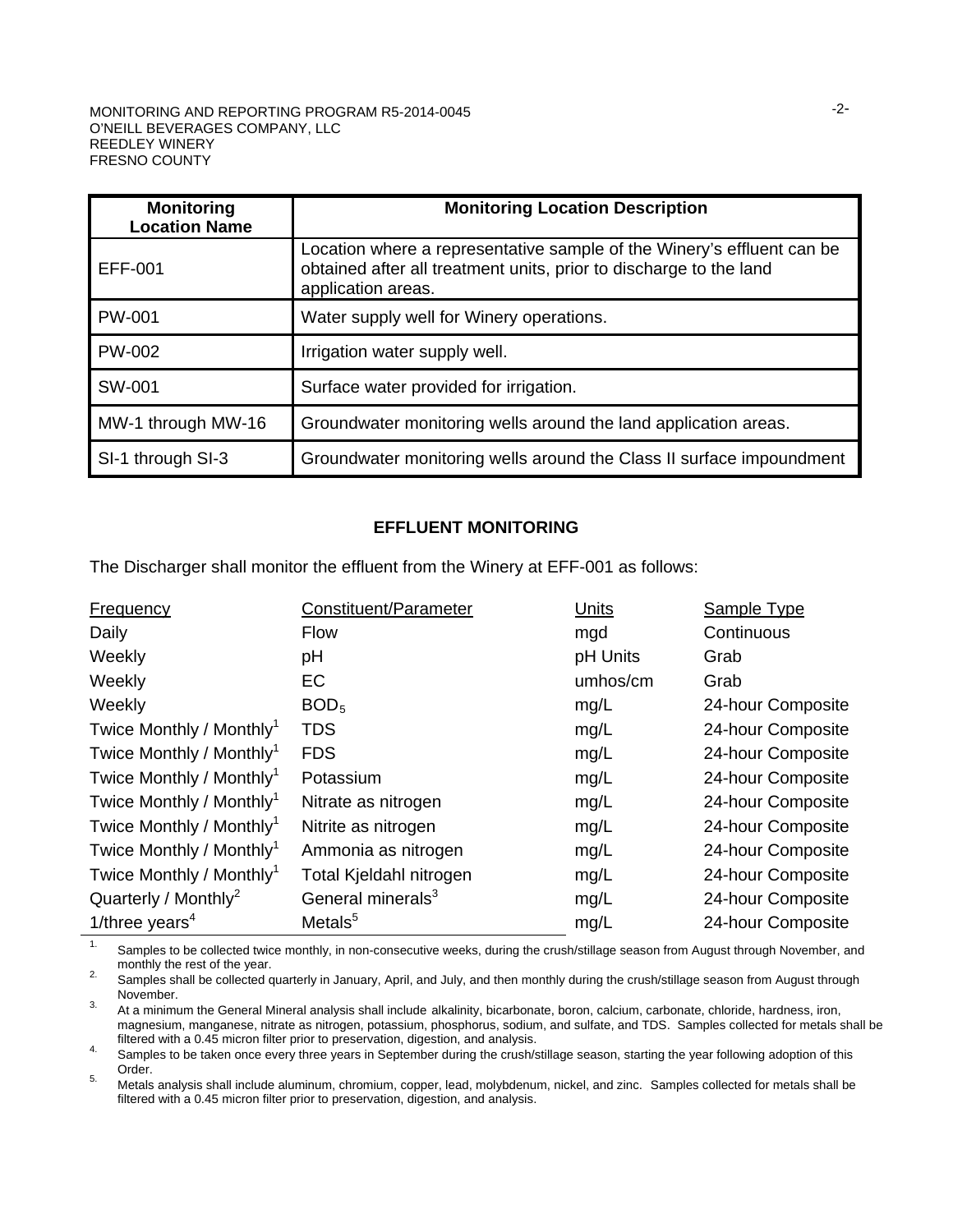#### MONITORING AND REPORTING PROGRAM R5-2014-0045 O'NEILL BEVERAGES COMPANY, LLC REEDLEY WINERY FRESNO COUNTY

| <b>Monitoring</b><br><b>Location Name</b> | <b>Monitoring Location Description</b>                                                                                                                             |
|-------------------------------------------|--------------------------------------------------------------------------------------------------------------------------------------------------------------------|
| EFF-001                                   | Location where a representative sample of the Winery's effluent can be<br>obtained after all treatment units, prior to discharge to the land<br>application areas. |
| <b>PW-001</b>                             | Water supply well for Winery operations.                                                                                                                           |
| <b>PW-002</b>                             | Irrigation water supply well.                                                                                                                                      |
| SW-001                                    | Surface water provided for irrigation.                                                                                                                             |
| MW-1 through MW-16                        | Groundwater monitoring wells around the land application areas.                                                                                                    |
| SI-1 through SI-3                         | Groundwater monitoring wells around the Class II surface impoundment                                                                                               |

#### **EFFLUENT MONITORING**

The Discharger shall monitor the effluent from the Winery at EFF-001 as follows:

| <b>Frequency</b>                     | Constituent/Parameter         | Units    | Sample Type       |
|--------------------------------------|-------------------------------|----------|-------------------|
| Daily                                | <b>Flow</b>                   | mgd      | Continuous        |
| Weekly                               | pH                            | pH Units | Grab              |
| Weekly                               | EC                            | umhos/cm | Grab              |
| Weekly                               | BOD <sub>5</sub>              | mg/L     | 24-hour Composite |
| Twice Monthly / Monthly <sup>1</sup> | <b>TDS</b>                    | mg/L     | 24-hour Composite |
| Twice Monthly / Monthly <sup>1</sup> | <b>FDS</b>                    | mg/L     | 24-hour Composite |
| Twice Monthly / Monthly <sup>1</sup> | Potassium                     | mg/L     | 24-hour Composite |
| Twice Monthly / Monthly <sup>1</sup> | Nitrate as nitrogen           | mg/L     | 24-hour Composite |
| Twice Monthly / Monthly <sup>1</sup> | Nitrite as nitrogen           | mg/L     | 24-hour Composite |
| Twice Monthly / Monthly <sup>1</sup> | Ammonia as nitrogen           | mg/L     | 24-hour Composite |
| Twice Monthly / Monthly <sup>1</sup> | Total Kjeldahl nitrogen       | mg/L     | 24-hour Composite |
| Quarterly / Monthly <sup>2</sup>     | General minerals <sup>3</sup> | mg/L     | 24-hour Composite |
| 1/three years <sup>4</sup>           | Metals <sup>5</sup>           | mg/L     | 24-hour Composite |

<sup>1.</sup> Samples to be collected twice monthly, in non-consecutive weeks, during the crush/stillage season from August through November, and monthly the rest of the year.

monthly the rest of the year.<br>
Samples shall be collected quarterly in January, April, and July, and then monthly during the crush/stillage season from August through<br>
November.

3. At a minimum the General Mineral analysis shall include alkalinity, bicarbonate, boron, calcium, carbonate, chloride, hardness, iron, magnesium, manganese, nitrate as nitrogen, potassium, phosphorus, sodium, and sulfate, and TDS. Samples collected for metals shall be filtered with a 0.45 micron filter prior to preservation, digestion, and analysis.

filter with a 0.45 micron filter prior to preservation, digestion, and analysis.<br>4. Samples to be taken once every three years in September during the crush/stillage season, starting the year following adoption of this<br>Ord

5. Metals analysis shall include aluminum, chromium, copper, lead, molybdenum, nickel, and zinc. Samples collected for metals shall be filtered with a 0.45 micron filter prior to preservation, digestion, and analysis.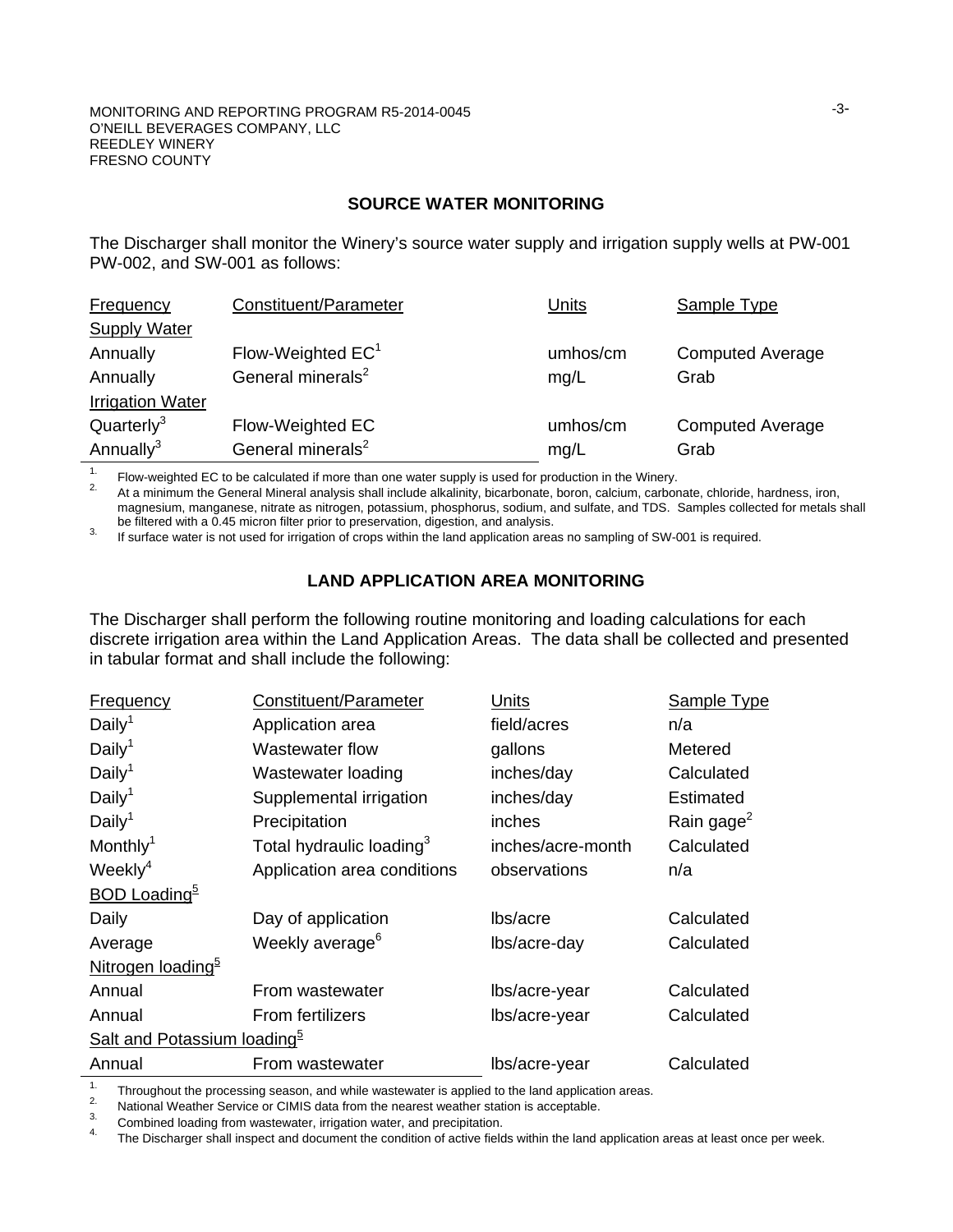### **SOURCE WATER MONITORING**

The Discharger shall monitor the Winery's source water supply and irrigation supply wells at PW-001 PW-002, and SW-001 as follows:

| Frequency               | Constituent/Parameter         | Units    | Sample Type             |
|-------------------------|-------------------------------|----------|-------------------------|
| <b>Supply Water</b>     |                               |          |                         |
| Annually                | Flow-Weighted $EC1$           | umhos/cm | <b>Computed Average</b> |
| Annually                | General minerals <sup>2</sup> | mg/L     | Grab                    |
| <b>Irrigation Water</b> |                               |          |                         |
| Quarterly <sup>3</sup>  | Flow-Weighted EC              | umhos/cm | <b>Computed Average</b> |
| Annually <sup>3</sup>   | General minerals <sup>2</sup> | mg/L     | Grab                    |

<sup>1.</sup> Flow-weighted EC to be calculated if more than one water supply is used for production in the Winery.<br><sup>2.</sup> At a minimum the General Mineral analysis shall include alkalinity, bicarbonate, boron, calcium, carbonate, c magnesium, manganese, nitrate as nitrogen, potassium, phosphorus, sodium, and sulfate, and TDS. Samples collected for metals shall be filtered with a 0.45 micron filter prior to preservation, digestion, and analysis.

Be filtered with a 0.45 micron filter prior to processum filter prior to preservation, and analysis. If surface water is not used for irrigation of crops within the land application areas no sampling of SW-001 is required.

## **LAND APPLICATION AREA MONITORING**

The Discharger shall perform the following routine monitoring and loading calculations for each discrete irrigation area within the Land Application Areas. The data shall be collected and presented in tabular format and shall include the following:

| <b>Frequency</b>                        | Constituent/Parameter                | Units             | <b>Sample Type</b>     |
|-----------------------------------------|--------------------------------------|-------------------|------------------------|
| Daily <sup>1</sup>                      | Application area                     | field/acres       | n/a                    |
| Daily <sup>1</sup>                      | Wastewater flow                      | gallons           | Metered                |
| Daily <sup>1</sup>                      | Wastewater loading                   | inches/day        | Calculated             |
| Daily <sup>1</sup>                      | Supplemental irrigation              | inches/day        | Estimated              |
| Daily <sup>1</sup>                      | Precipitation                        | inches            | Rain gage <sup>2</sup> |
| Monthly <sup>1</sup>                    | Total hydraulic loading <sup>3</sup> | inches/acre-month | Calculated             |
| Weekly $4$                              | Application area conditions          | observations      | n/a                    |
| <b>BOD Loading</b> <sup>b</sup>         |                                      |                   |                        |
| Daily                                   | Day of application                   | lbs/acre          | Calculated             |
| Average                                 | Weekly average <sup>6</sup>          | lbs/acre-day      | Calculated             |
| Nitrogen loading <sup>5</sup>           |                                      |                   |                        |
| Annual                                  | From wastewater                      | lbs/acre-year     | Calculated             |
| Annual                                  | From fertilizers                     | lbs/acre-year     | Calculated             |
| Salt and Potassium loading <sup>5</sup> |                                      |                   |                        |
| Annual                                  | From wastewater                      | lbs/acre-year     | Calculated             |

<sup>1.</sup> Throughout the processing season, and while wastewater is applied to the land application areas.<br>
<sup>2.</sup> National Weather Service or CIMIS data from the nearest weather station is acceptable.<br>
<sup>3.</sup> Combined loading from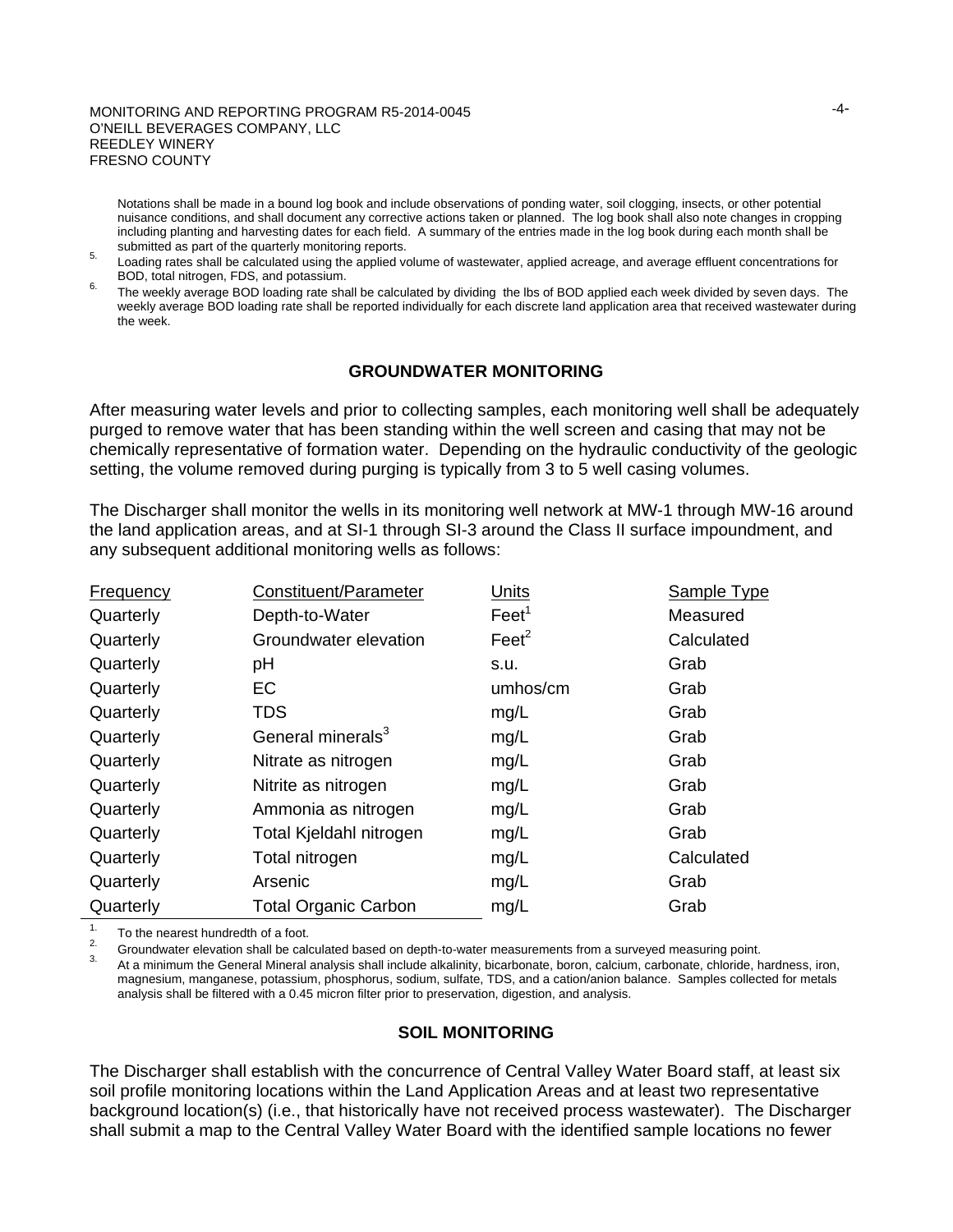#### MONITORING AND REPORTING PROGRAM R5-2014-0045 O'NEILL BEVERAGES COMPANY, LLC REEDLEY WINERY FRESNO COUNTY

Notations shall be made in a bound log book and include observations of ponding water, soil clogging, insects, or other potential nuisance conditions, and shall document any corrective actions taken or planned. The log book shall also note changes in cropping including planting and harvesting dates for each field. A summary of the entries made in the log book during each month shall be submitted as part of the quarterly monitoring reports.

s. Loading rates shall be calculated using the applied volume of wastewater, applied acreage, and average effluent concentrations for<br>BOD, total nitrogen, FDS, and potassium.

6. The weekly average BOD loading rate shall be calculated by dividing the lbs of BOD applied each week divided by seven days. The weekly average BOD loading rate shall be reported individually for each discrete land application area that received wastewater during the week.

### **GROUNDWATER MONITORING**

After measuring water levels and prior to collecting samples, each monitoring well shall be adequately purged to remove water that has been standing within the well screen and casing that may not be chemically representative of formation water. Depending on the hydraulic conductivity of the geologic setting, the volume removed during purging is typically from 3 to 5 well casing volumes.

The Discharger shall monitor the wells in its monitoring well network at MW-1 through MW-16 around the land application areas, and at SI-1 through SI-3 around the Class II surface impoundment, and any subsequent additional monitoring wells as follows:

| Frequency | Constituent/Parameter         | Units             | Sample Type |
|-----------|-------------------------------|-------------------|-------------|
| Quarterly | Depth-to-Water                | Feet <sup>1</sup> | Measured    |
| Quarterly | Groundwater elevation         | $\text{Feet}^2$   | Calculated  |
| Quarterly | рH                            | s.u.              | Grab        |
| Quarterly | EC                            | umhos/cm          | Grab        |
| Quarterly | <b>TDS</b>                    | mg/L              | Grab        |
| Quarterly | General minerals <sup>3</sup> | mg/L              | Grab        |
| Quarterly | Nitrate as nitrogen           | mg/L              | Grab        |
| Quarterly | Nitrite as nitrogen           | mg/L              | Grab        |
| Quarterly | Ammonia as nitrogen           | mg/L              | Grab        |
| Quarterly | Total Kjeldahl nitrogen       | mg/L              | Grab        |
| Quarterly | Total nitrogen                | mg/L              | Calculated  |
| Quarterly | Arsenic                       | mg/L              | Grab        |
| Quarterly | <b>Total Organic Carbon</b>   | mg/L              | Grab        |

<sup>1.</sup> To the nearest hundredth of a foot.<br><sup>2.</sup> Groundwater elevation shall be calculated based on depth-to-water measurements from a surveyed measuring point.<br><sup>3.</sup> At a minimum the General Mineral analysis shall include alk magnesium, manganese, potassium, phosphorus, sodium, sulfate, TDS, and a cation/anion balance. Samples collected for metals analysis shall be filtered with a 0.45 micron filter prior to preservation, digestion, and analysis.

### **SOIL MONITORING**

The Discharger shall establish with the concurrence of Central Valley Water Board staff, at least six soil profile monitoring locations within the Land Application Areas and at least two representative background location(s) (i.e., that historically have not received process wastewater). The Discharger shall submit a map to the Central Valley Water Board with the identified sample locations no fewer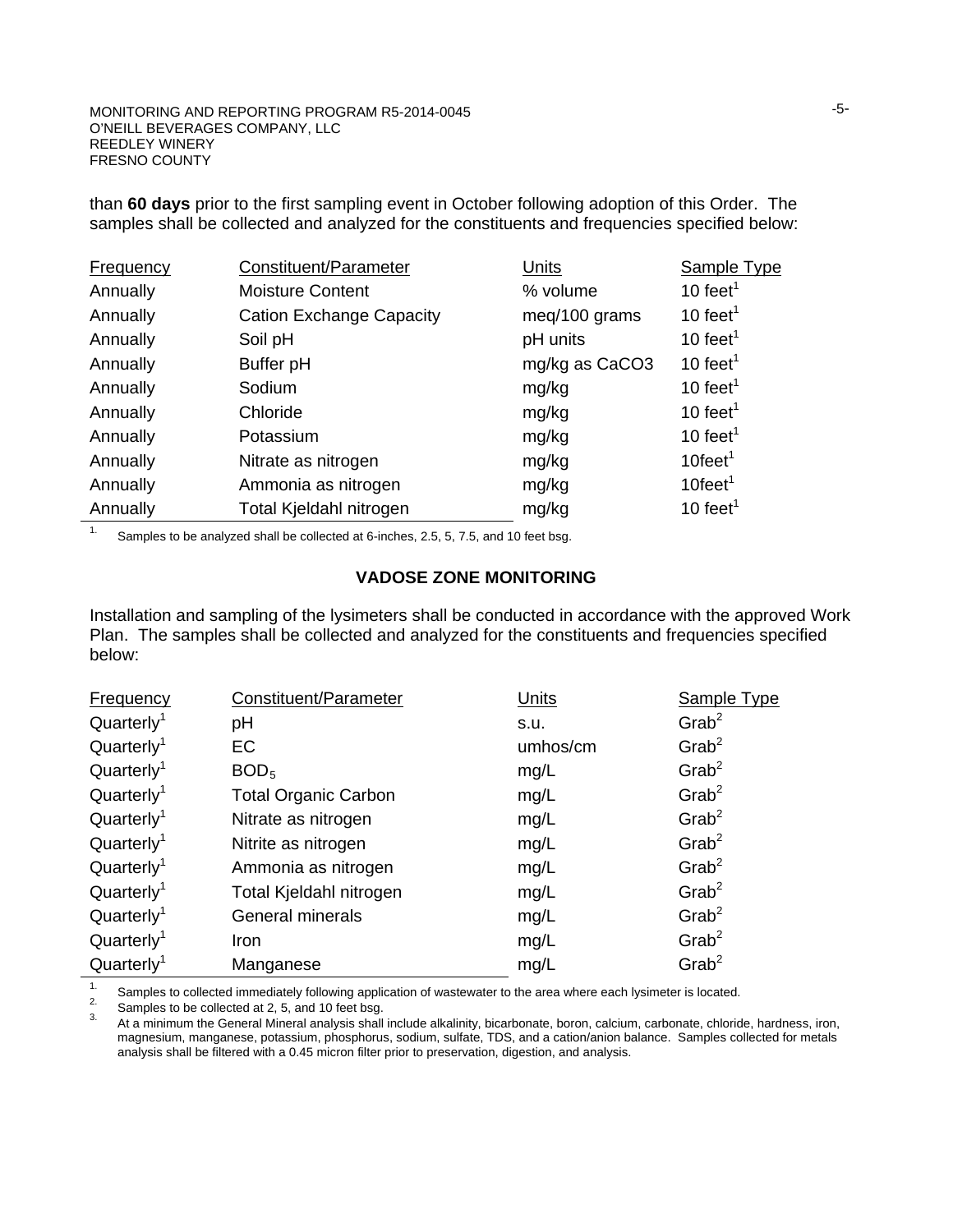than **60 days** prior to the first sampling event in October following adoption of this Order. The samples shall be collected and analyzed for the constituents and frequencies specified below:

| <b>Frequency</b> | Constituent/Parameter           | Units          | <b>Sample Type</b>     |
|------------------|---------------------------------|----------------|------------------------|
| Annually         | <b>Moisture Content</b>         | % volume       | 10 feet <sup>1</sup>   |
| Annually         | <b>Cation Exchange Capacity</b> | meg/100 grams  | 10 feet <sup>1</sup>   |
| Annually         | Soil pH                         | pH units       | 10 feet <sup>1</sup>   |
| Annually         | Buffer pH                       | mg/kg as CaCO3 | 10 feet <sup>1</sup>   |
| Annually         | Sodium                          | mg/kg          | 10 feet <sup>1</sup>   |
| Annually         | Chloride                        | mg/kg          | 10 feet <sup>1</sup>   |
| Annually         | Potassium                       | mg/kg          | 10 feet <sup>1</sup>   |
| Annually         | Nitrate as nitrogen             | mg/kg          | $10$ feet <sup>1</sup> |
| Annually         | Ammonia as nitrogen             | mg/kg          | $10$ feet <sup>1</sup> |
| Annually         | Total Kjeldahl nitrogen         | mg/kg          | 10 feet <sup>1</sup>   |

<sup>1.</sup> Samples to be analyzed shall be collected at 6-inches, 2.5, 5, 7.5, and 10 feet bsg.

### **VADOSE ZONE MONITORING**

Installation and sampling of the lysimeters shall be conducted in accordance with the approved Work Plan. The samples shall be collected and analyzed for the constituents and frequencies specified below:

| <b>Frequency</b>       | Constituent/Parameter       | Units    | <b>Sample Type</b>   |
|------------------------|-----------------------------|----------|----------------------|
| Quarterly <sup>1</sup> | рH                          | S.U.     | $G$ rab <sup>2</sup> |
| Quarterly <sup>1</sup> | EC                          | umhos/cm | $G$ rab <sup>2</sup> |
| Quarterly <sup>1</sup> | BOD <sub>5</sub>            | mg/L     | $G$ rab <sup>2</sup> |
| Quarterly <sup>1</sup> | <b>Total Organic Carbon</b> | mg/L     | $G$ rab <sup>2</sup> |
| Quarterly <sup>1</sup> | Nitrate as nitrogen         | mg/L     | $G$ rab <sup>2</sup> |
| Quarterly <sup>1</sup> | Nitrite as nitrogen         | mg/L     | $G$ rab <sup>2</sup> |
| Quarterly <sup>1</sup> | Ammonia as nitrogen         | mg/L     | $G$ rab <sup>2</sup> |
| Quarterly <sup>1</sup> | Total Kjeldahl nitrogen     | mg/L     | $G$ rab <sup>2</sup> |
| Quarterly <sup>1</sup> | <b>General minerals</b>     | mg/L     | $G$ rab <sup>2</sup> |
| Quarterly <sup>1</sup> | Iron                        | mg/L     | $G$ rab <sup>2</sup> |
| Quarter <sup>1</sup>   | Manganese                   | mg/L     | $G$ rab <sup>2</sup> |

<sup>1.</sup> Samples to collected immediately following application of wastewater to the area where each lysimeter is located.<br><sup>2.</sup> Samples to be collected at 2, 5, and 10 feet bsg.<br><sup>3.</sup> At a minimum the General Mineral analysis magnesium, manganese, potassium, phosphorus, sodium, sulfate, TDS, and a cation/anion balance. Samples collected for metals analysis shall be filtered with a 0.45 micron filter prior to preservation, digestion, and analysis.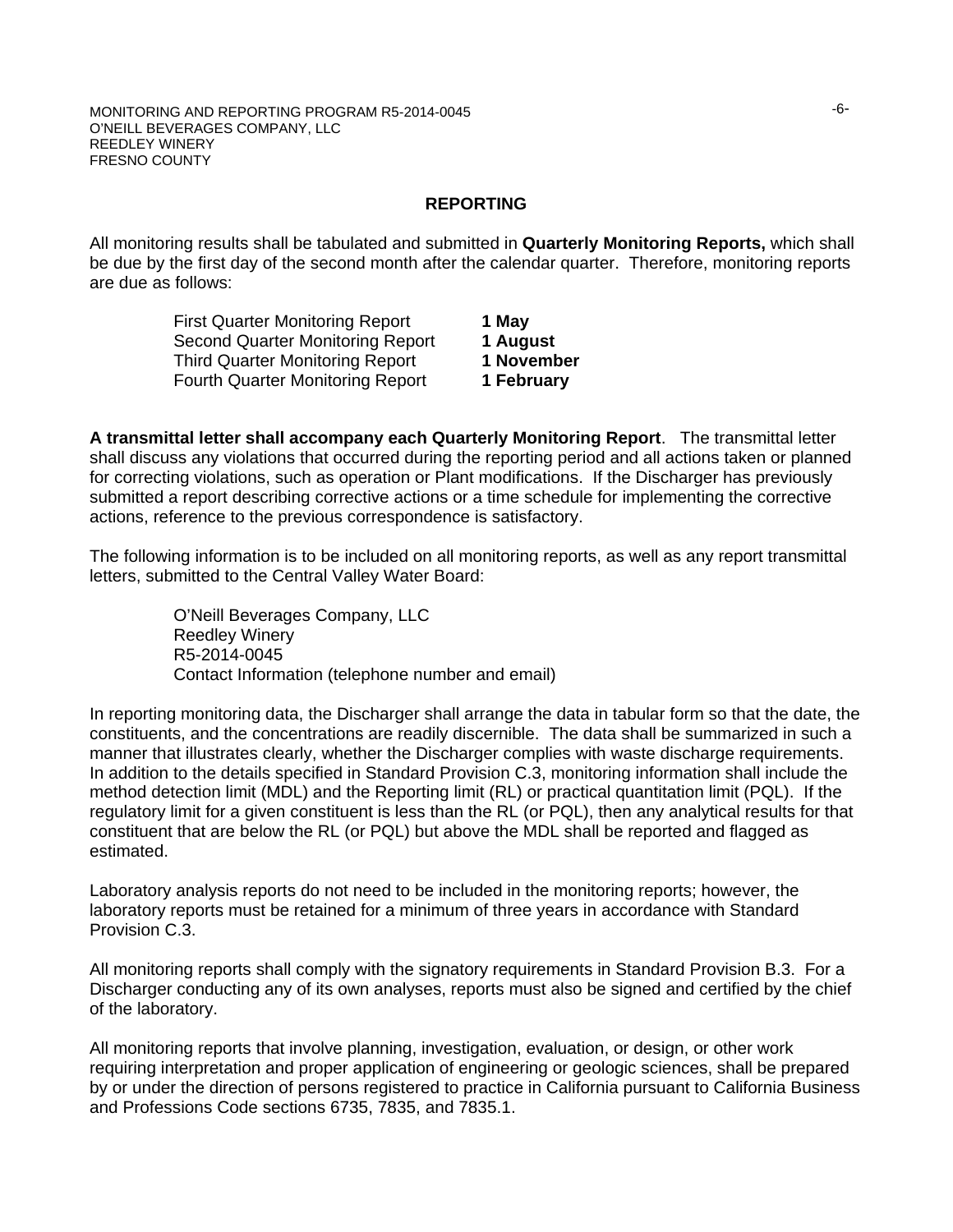### **REPORTING**

All monitoring results shall be tabulated and submitted in **Quarterly Monitoring Reports,** which shall be due by the first day of the second month after the calendar quarter. Therefore, monitoring reports are due as follows:

| 1 May      |
|------------|
| 1 August   |
| 1 November |
| 1 February |
|            |

**A transmittal letter shall accompany each Quarterly Monitoring Report**. The transmittal letter shall discuss any violations that occurred during the reporting period and all actions taken or planned for correcting violations, such as operation or Plant modifications. If the Discharger has previously submitted a report describing corrective actions or a time schedule for implementing the corrective actions, reference to the previous correspondence is satisfactory.

The following information is to be included on all monitoring reports, as well as any report transmittal letters, submitted to the Central Valley Water Board:

> O'Neill Beverages Company, LLC Reedley Winery R5-2014-0045 Contact Information (telephone number and email)

In reporting monitoring data, the Discharger shall arrange the data in tabular form so that the date, the constituents, and the concentrations are readily discernible. The data shall be summarized in such a manner that illustrates clearly, whether the Discharger complies with waste discharge requirements. In addition to the details specified in Standard Provision C.3, monitoring information shall include the method detection limit (MDL) and the Reporting limit (RL) or practical quantitation limit (PQL). If the regulatory limit for a given constituent is less than the RL (or PQL), then any analytical results for that constituent that are below the RL (or PQL) but above the MDL shall be reported and flagged as estimated.

Laboratory analysis reports do not need to be included in the monitoring reports; however, the laboratory reports must be retained for a minimum of three years in accordance with Standard Provision C.3.

All monitoring reports shall comply with the signatory requirements in Standard Provision B.3. For a Discharger conducting any of its own analyses, reports must also be signed and certified by the chief of the laboratory.

All monitoring reports that involve planning, investigation, evaluation, or design, or other work requiring interpretation and proper application of engineering or geologic sciences, shall be prepared by or under the direction of persons registered to practice in California pursuant to California Business and Professions Code sections 6735, 7835, and 7835.1.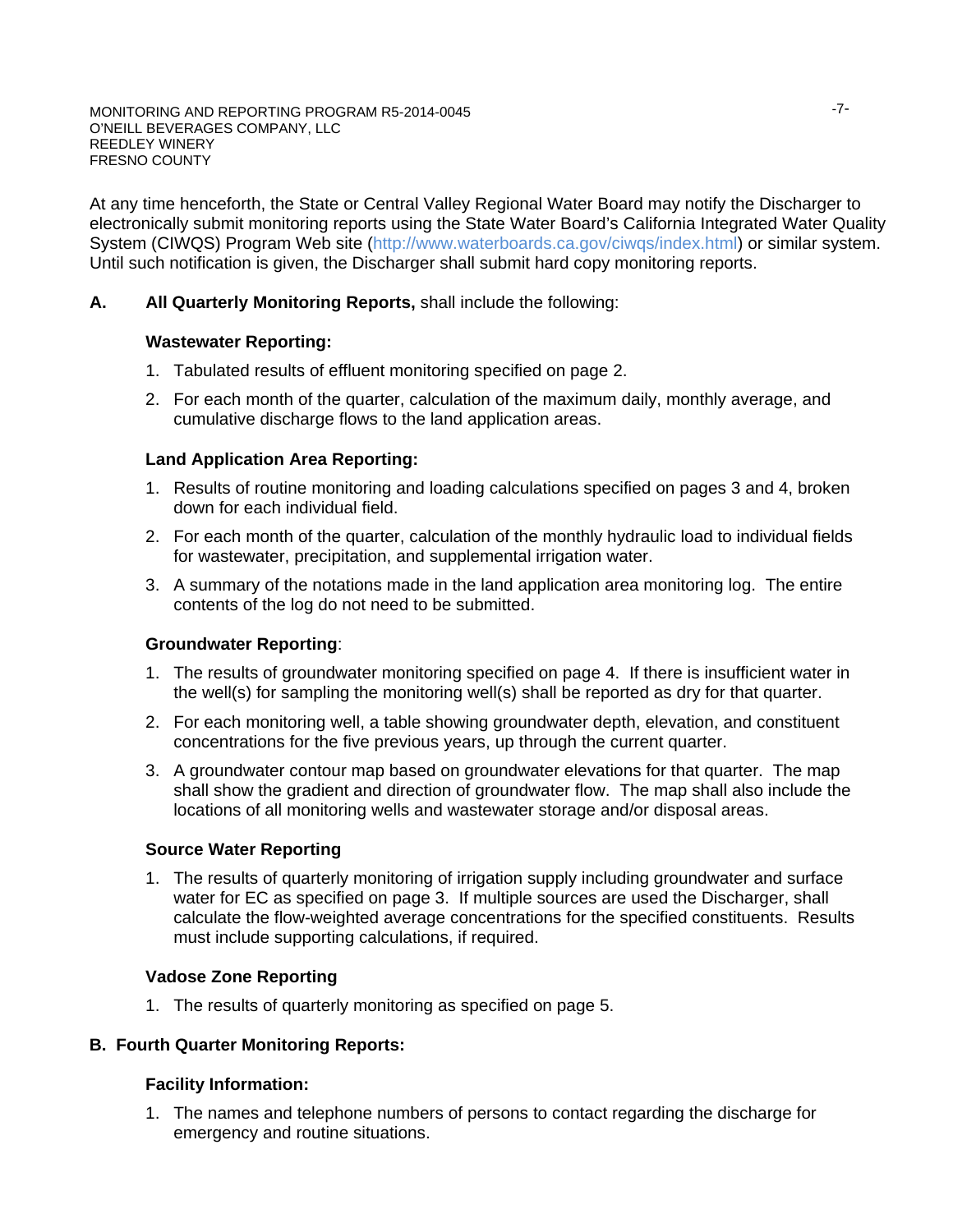At any time henceforth, the State or Central Valley Regional Water Board may notify the Discharger to electronically submit monitoring reports using the State Water Board's California Integrated Water Quality System (CIWQS) Program Web site (http://www.waterboards.ca.gov/ciwqs/index.html) or similar system. Until such notification is given, the Discharger shall submit hard copy monitoring reports.

## **A. All Quarterly Monitoring Reports,** shall include the following:

## **Wastewater Reporting:**

- 1. Tabulated results of effluent monitoring specified on page 2.
- 2. For each month of the quarter, calculation of the maximum daily, monthly average, and cumulative discharge flows to the land application areas.

## **Land Application Area Reporting:**

- 1. Results of routine monitoring and loading calculations specified on pages 3 and 4, broken down for each individual field.
- 2. For each month of the quarter, calculation of the monthly hydraulic load to individual fields for wastewater, precipitation, and supplemental irrigation water.
- 3. A summary of the notations made in the land application area monitoring log. The entire contents of the log do not need to be submitted.

### **Groundwater Reporting**:

- 1. The results of groundwater monitoring specified on page 4. If there is insufficient water in the well(s) for sampling the monitoring well(s) shall be reported as dry for that quarter.
- 2. For each monitoring well, a table showing groundwater depth, elevation, and constituent concentrations for the five previous years, up through the current quarter.
- 3. A groundwater contour map based on groundwater elevations for that quarter. The map shall show the gradient and direction of groundwater flow. The map shall also include the locations of all monitoring wells and wastewater storage and/or disposal areas.

### **Source Water Reporting**

1. The results of quarterly monitoring of irrigation supply including groundwater and surface water for EC as specified on page 3. If multiple sources are used the Discharger, shall calculate the flow-weighted average concentrations for the specified constituents. Results must include supporting calculations, if required.

## **Vadose Zone Reporting**

1. The results of quarterly monitoring as specified on page 5.

## **B. Fourth Quarter Monitoring Reports:**

## **Facility Information:**

1. The names and telephone numbers of persons to contact regarding the discharge for emergency and routine situations.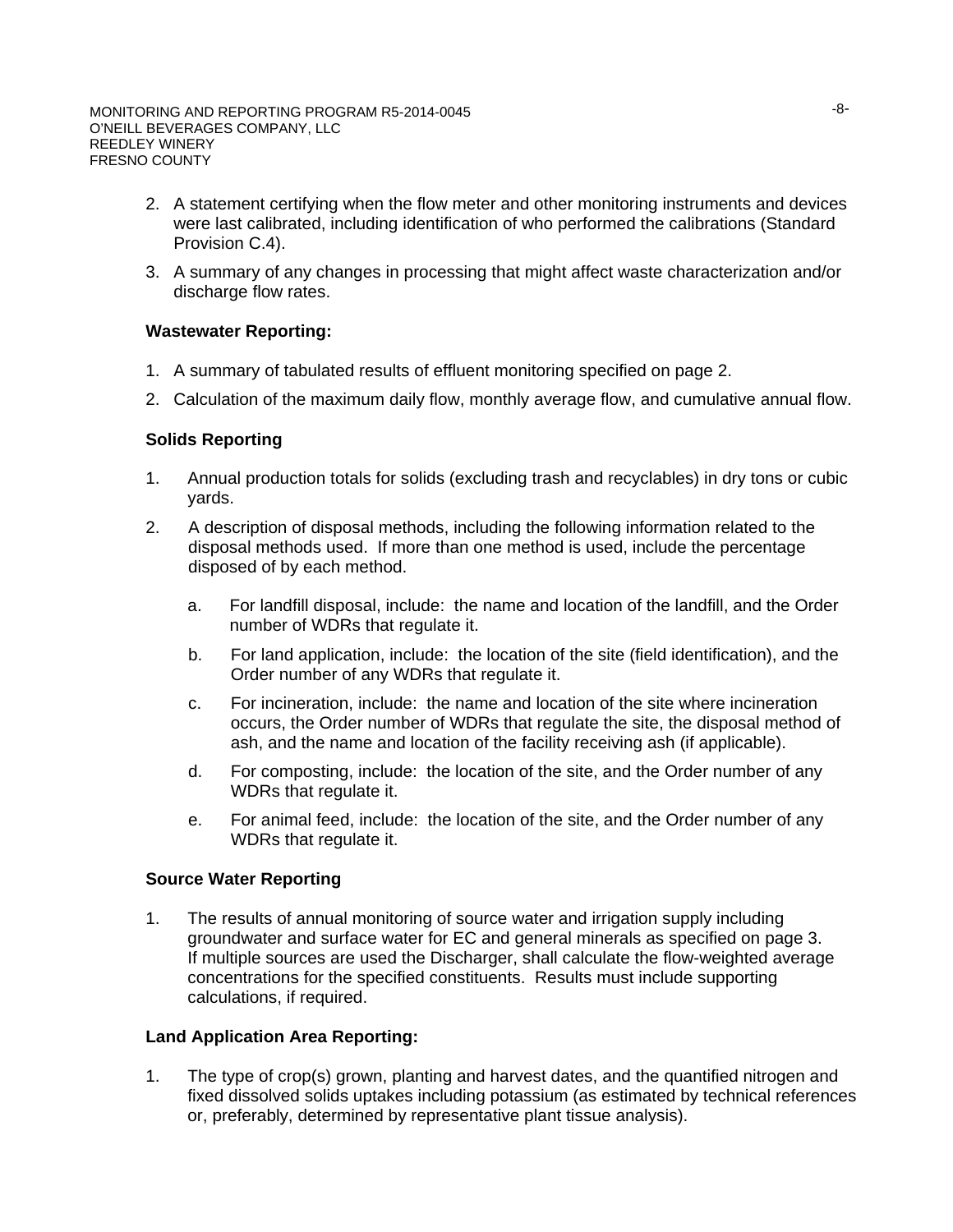- 2. A statement certifying when the flow meter and other monitoring instruments and devices were last calibrated, including identification of who performed the calibrations (Standard Provision C.4).
- 3. A summary of any changes in processing that might affect waste characterization and/or discharge flow rates.

### **Wastewater Reporting:**

- 1. A summary of tabulated results of effluent monitoring specified on page 2.
- 2. Calculation of the maximum daily flow, monthly average flow, and cumulative annual flow.

## **Solids Reporting**

- 1. Annual production totals for solids (excluding trash and recyclables) in dry tons or cubic yards.
- 2. A description of disposal methods, including the following information related to the disposal methods used. If more than one method is used, include the percentage disposed of by each method.
	- a. For landfill disposal, include: the name and location of the landfill, and the Order number of WDRs that regulate it.
	- b. For land application, include: the location of the site (field identification), and the Order number of any WDRs that regulate it.
	- c. For incineration, include: the name and location of the site where incineration occurs, the Order number of WDRs that regulate the site, the disposal method of ash, and the name and location of the facility receiving ash (if applicable).
	- d. For composting, include: the location of the site, and the Order number of any WDRs that regulate it.
	- e. For animal feed, include: the location of the site, and the Order number of any WDRs that regulate it.

### **Source Water Reporting**

1. The results of annual monitoring of source water and irrigation supply including groundwater and surface water for EC and general minerals as specified on page 3. If multiple sources are used the Discharger, shall calculate the flow-weighted average concentrations for the specified constituents. Results must include supporting calculations, if required.

### **Land Application Area Reporting:**

1. The type of crop(s) grown, planting and harvest dates, and the quantified nitrogen and fixed dissolved solids uptakes including potassium (as estimated by technical references or, preferably, determined by representative plant tissue analysis).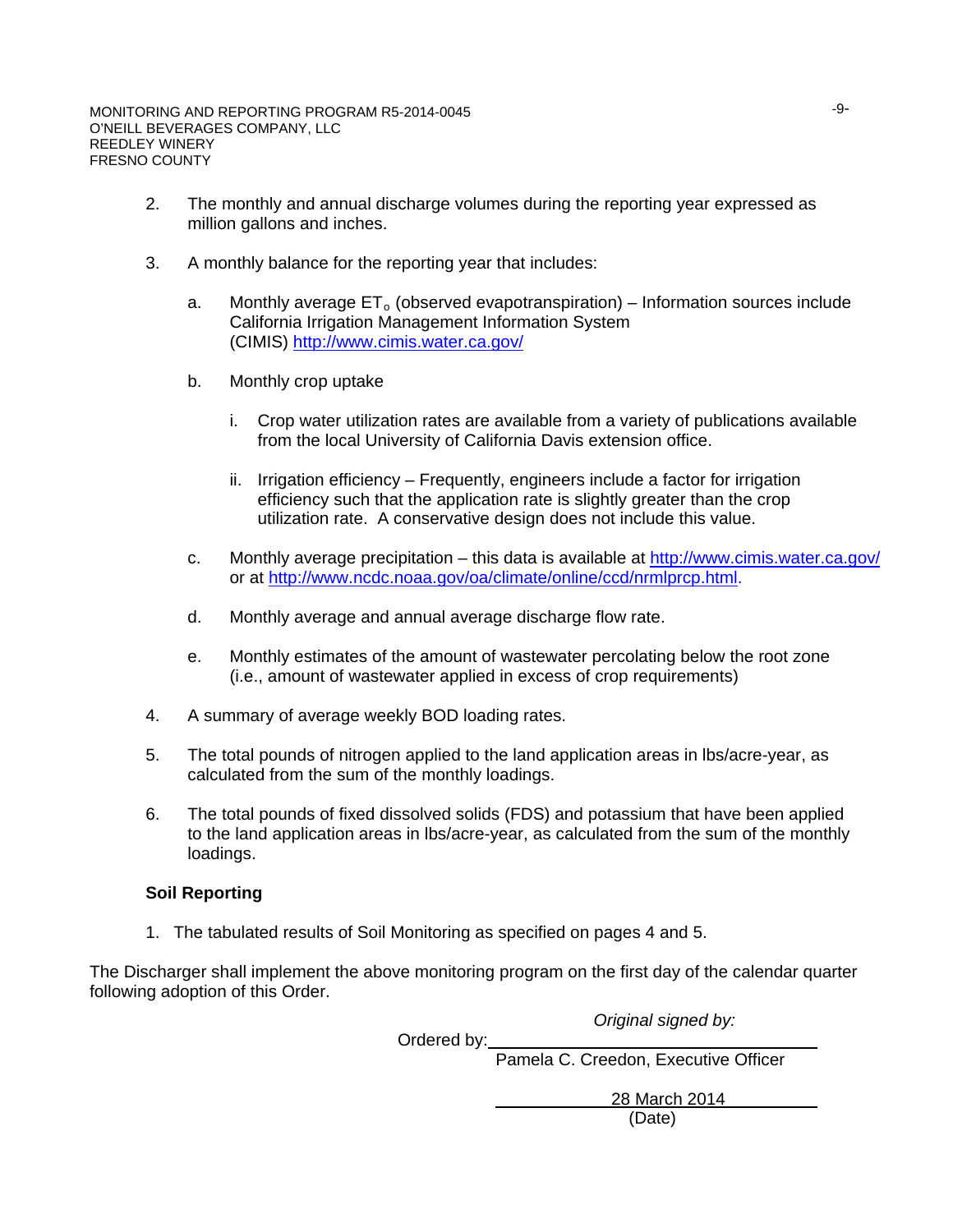- 2. The monthly and annual discharge volumes during the reporting year expressed as million gallons and inches.
- 3. A monthly balance for the reporting year that includes:
	- a. Monthly average  $ET<sub>o</sub>$  (observed evapotranspiration) Information sources include California Irrigation Management Information System (CIMIS)<http://www.cimis.water.ca.gov/>
	- b. Monthly crop uptake
		- i. Crop water utilization rates are available from a variety of publications available from the local University of California Davis extension office.
		- ii. Irrigation efficiency Frequently, engineers include a factor for irrigation efficiency such that the application rate is slightly greater than the crop utilization rate. A conservative design does not include this value.
	- c. Monthly average precipitation this data is available at http://www.cimis.water.ca.gov/ or at http://www.ncdc.noaa.gov/oa/climate/online/ccd/nrmlprcp.html.
	- d. Monthly average and annual average discharge flow rate.
	- e. Monthly estimates of the amount of wastewater percolating below the root zone (i.e., amount of wastewater applied in excess of crop requirements)
- 4. A summary of average weekly BOD loading rates.
- 5. The total pounds of nitrogen applied to the land application areas in lbs/acre-year, as calculated from the sum of the monthly loadings.
- 6. The total pounds of fixed dissolved solids (FDS) and potassium that have been applied to the land application areas in lbs/acre-year, as calculated from the sum of the monthly loadings.

## **Soil Reporting**

1. The tabulated results of Soil Monitoring as specified on pages 4 and 5.

The Discharger shall implement the above monitoring program on the first day of the calendar quarter following adoption of this Order.

*Original signed by:*

Ordered by:

Pamela C. Creedon, Executive Officer

28 March 2014 (Date)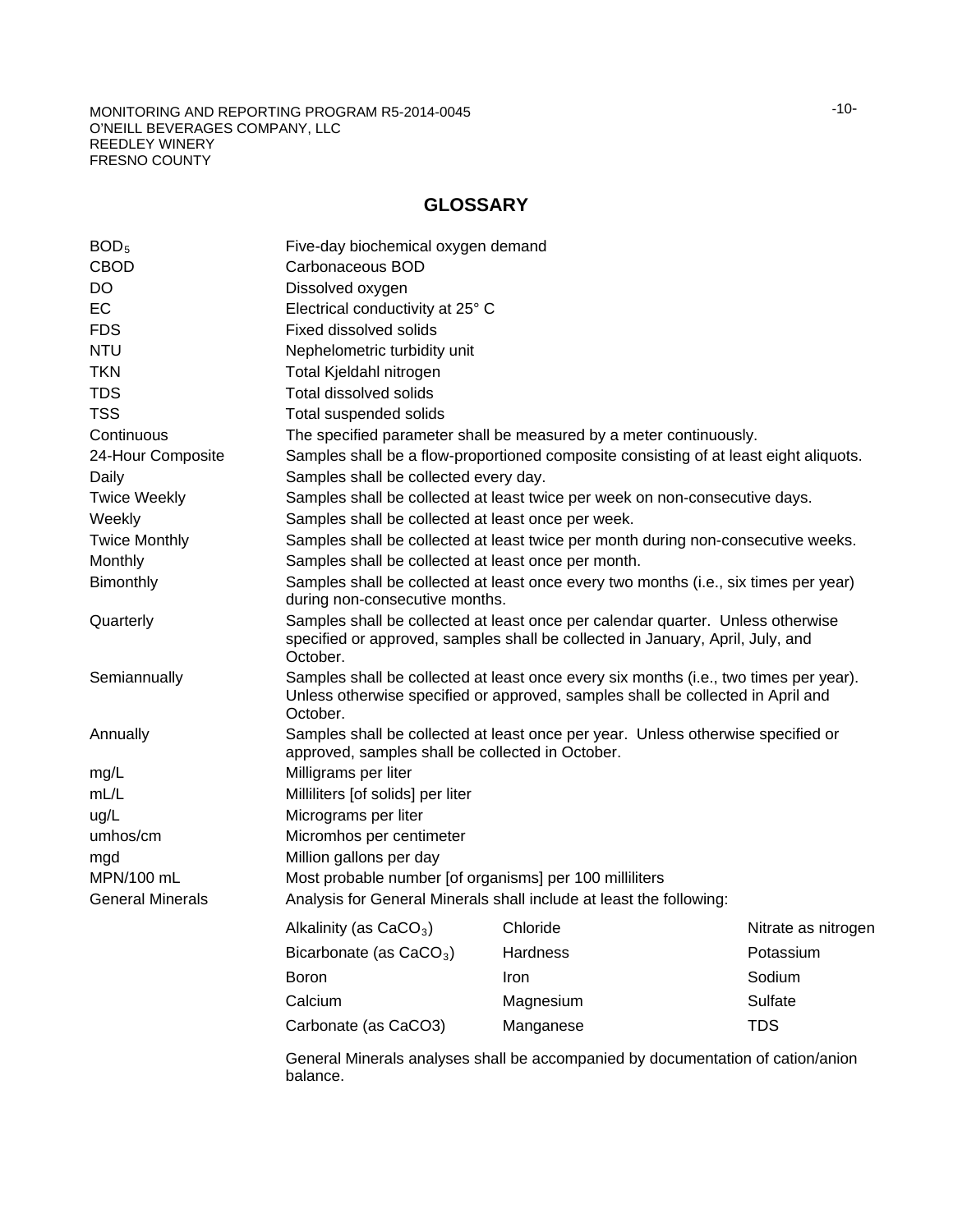#### MONITORING AND REPORTING PROGRAM R5-2014-0045 O'NEILL BEVERAGES COMPANY, LLC REEDLEY WINERY FRESNO COUNTY

## **GLOSSARY**

| BOD <sub>5</sub>        | Five-day biochemical oxygen demand                      |                                                                                                                                                                          |                     |  |  |  |  |
|-------------------------|---------------------------------------------------------|--------------------------------------------------------------------------------------------------------------------------------------------------------------------------|---------------------|--|--|--|--|
| <b>CBOD</b>             | Carbonaceous BOD                                        |                                                                                                                                                                          |                     |  |  |  |  |
| DO.                     | Dissolved oxygen                                        |                                                                                                                                                                          |                     |  |  |  |  |
| <b>EC</b>               |                                                         | Electrical conductivity at 25° C                                                                                                                                         |                     |  |  |  |  |
| <b>FDS</b>              | Fixed dissolved solids                                  |                                                                                                                                                                          |                     |  |  |  |  |
| <b>NTU</b>              | Nephelometric turbidity unit                            |                                                                                                                                                                          |                     |  |  |  |  |
| <b>TKN</b>              | Total Kjeldahl nitrogen                                 |                                                                                                                                                                          |                     |  |  |  |  |
| <b>TDS</b>              | Total dissolved solids                                  |                                                                                                                                                                          |                     |  |  |  |  |
| <b>TSS</b>              | Total suspended solids                                  |                                                                                                                                                                          |                     |  |  |  |  |
| Continuous              |                                                         | The specified parameter shall be measured by a meter continuously.                                                                                                       |                     |  |  |  |  |
| 24-Hour Composite       |                                                         | Samples shall be a flow-proportioned composite consisting of at least eight aliquots.                                                                                    |                     |  |  |  |  |
| Daily                   | Samples shall be collected every day.                   |                                                                                                                                                                          |                     |  |  |  |  |
| <b>Twice Weekly</b>     |                                                         | Samples shall be collected at least twice per week on non-consecutive days.                                                                                              |                     |  |  |  |  |
| Weekly                  | Samples shall be collected at least once per week.      |                                                                                                                                                                          |                     |  |  |  |  |
| <b>Twice Monthly</b>    |                                                         | Samples shall be collected at least twice per month during non-consecutive weeks.                                                                                        |                     |  |  |  |  |
| Monthly                 | Samples shall be collected at least once per month.     |                                                                                                                                                                          |                     |  |  |  |  |
| Bimonthly               |                                                         | Samples shall be collected at least once every two months (i.e., six times per year)<br>during non-consecutive months.                                                   |                     |  |  |  |  |
| Quarterly               | October.                                                | Samples shall be collected at least once per calendar quarter. Unless otherwise<br>specified or approved, samples shall be collected in January, April, July, and        |                     |  |  |  |  |
| Semiannually            | October.                                                | Samples shall be collected at least once every six months (i.e., two times per year).<br>Unless otherwise specified or approved, samples shall be collected in April and |                     |  |  |  |  |
| Annually                | approved, samples shall be collected in October.        | Samples shall be collected at least once per year. Unless otherwise specified or                                                                                         |                     |  |  |  |  |
| mg/L                    | Milligrams per liter                                    |                                                                                                                                                                          |                     |  |  |  |  |
| mL/L                    | Milliliters [of solids] per liter                       |                                                                                                                                                                          |                     |  |  |  |  |
| ug/L                    | Micrograms per liter                                    |                                                                                                                                                                          |                     |  |  |  |  |
| umhos/cm                | Micromhos per centimeter                                |                                                                                                                                                                          |                     |  |  |  |  |
| mgd                     | Million gallons per day                                 |                                                                                                                                                                          |                     |  |  |  |  |
| MPN/100 mL              | Most probable number [of organisms] per 100 milliliters |                                                                                                                                                                          |                     |  |  |  |  |
| <b>General Minerals</b> |                                                         | Analysis for General Minerals shall include at least the following:                                                                                                      |                     |  |  |  |  |
|                         | Alkalinity (as CaCO <sub>3</sub> )                      | Chloride                                                                                                                                                                 | Nitrate as nitrogen |  |  |  |  |
|                         | Bicarbonate (as $CaCO3$ )                               | Hardness                                                                                                                                                                 | Potassium           |  |  |  |  |
|                         | Boron                                                   | Iron                                                                                                                                                                     | Sodium              |  |  |  |  |
|                         | Calcium                                                 | Magnesium                                                                                                                                                                | Sulfate             |  |  |  |  |
|                         | Carbonate (as CaCO3)                                    | Manganese                                                                                                                                                                | <b>TDS</b>          |  |  |  |  |
|                         | balance.                                                | General Minerals analyses shall be accompanied by documentation of cation/anion                                                                                          |                     |  |  |  |  |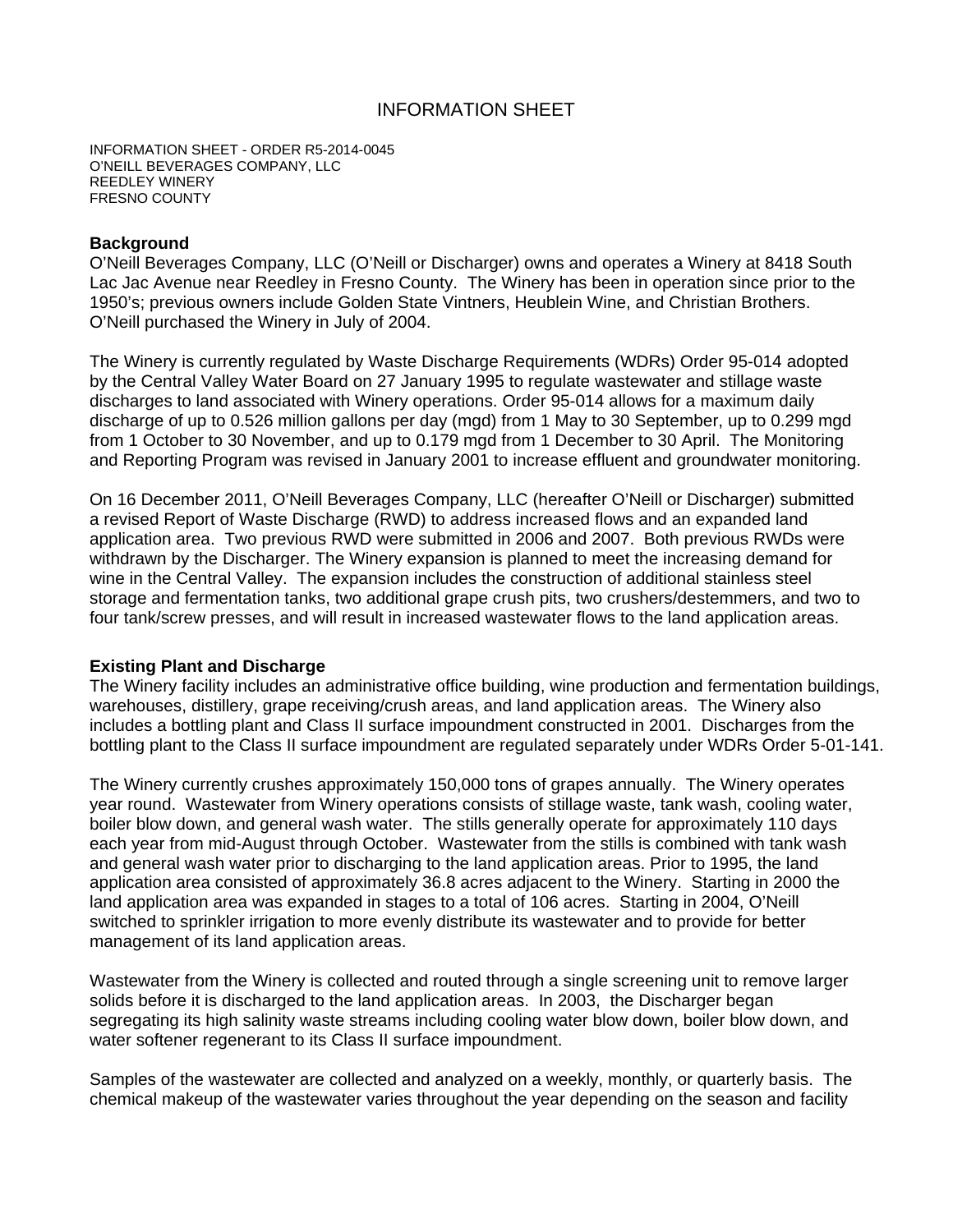## INFORMATION SHEET

INFORMATION SHEET - ORDER R5-2014-0045 O'NEILL BEVERAGES COMPANY, LLC REEDLEY WINERY FRESNO COUNTY

### **Background**

O'Neill Beverages Company, LLC (O'Neill or Discharger) owns and operates a Winery at 8418 South Lac Jac Avenue near Reedley in Fresno County. The Winery has been in operation since prior to the 1950's; previous owners include Golden State Vintners, Heublein Wine, and Christian Brothers. O'Neill purchased the Winery in July of 2004.

The Winery is currently regulated by Waste Discharge Requirements (WDRs) Order 95-014 adopted by the Central Valley Water Board on 27 January 1995 to regulate wastewater and stillage waste discharges to land associated with Winery operations. Order 95-014 allows for a maximum daily discharge of up to 0.526 million gallons per day (mgd) from 1 May to 30 September, up to 0.299 mgd from 1 October to 30 November, and up to 0.179 mgd from 1 December to 30 April. The Monitoring and Reporting Program was revised in January 2001 to increase effluent and groundwater monitoring.

On 16 December 2011, O'Neill Beverages Company, LLC (hereafter O'Neill or Discharger) submitted a revised Report of Waste Discharge (RWD) to address increased flows and an expanded land application area. Two previous RWD were submitted in 2006 and 2007. Both previous RWDs were withdrawn by the Discharger. The Winery expansion is planned to meet the increasing demand for wine in the Central Valley. The expansion includes the construction of additional stainless steel storage and fermentation tanks, two additional grape crush pits, two crushers/destemmers, and two to four tank/screw presses, and will result in increased wastewater flows to the land application areas.

#### **Existing Plant and Discharge**

The Winery facility includes an administrative office building, wine production and fermentation buildings, warehouses, distillery, grape receiving/crush areas, and land application areas. The Winery also includes a bottling plant and Class II surface impoundment constructed in 2001. Discharges from the bottling plant to the Class II surface impoundment are regulated separately under WDRs Order 5-01-141.

The Winery currently crushes approximately 150,000 tons of grapes annually. The Winery operates year round. Wastewater from Winery operations consists of stillage waste, tank wash, cooling water, boiler blow down, and general wash water. The stills generally operate for approximately 110 days each year from mid-August through October. Wastewater from the stills is combined with tank wash and general wash water prior to discharging to the land application areas. Prior to 1995, the land application area consisted of approximately 36.8 acres adjacent to the Winery. Starting in 2000 the land application area was expanded in stages to a total of 106 acres. Starting in 2004, O'Neill switched to sprinkler irrigation to more evenly distribute its wastewater and to provide for better management of its land application areas.

Wastewater from the Winery is collected and routed through a single screening unit to remove larger solids before it is discharged to the land application areas. In 2003, the Discharger began segregating its high salinity waste streams including cooling water blow down, boiler blow down, and water softener regenerant to its Class II surface impoundment.

Samples of the wastewater are collected and analyzed on a weekly, monthly, or quarterly basis. The chemical makeup of the wastewater varies throughout the year depending on the season and facility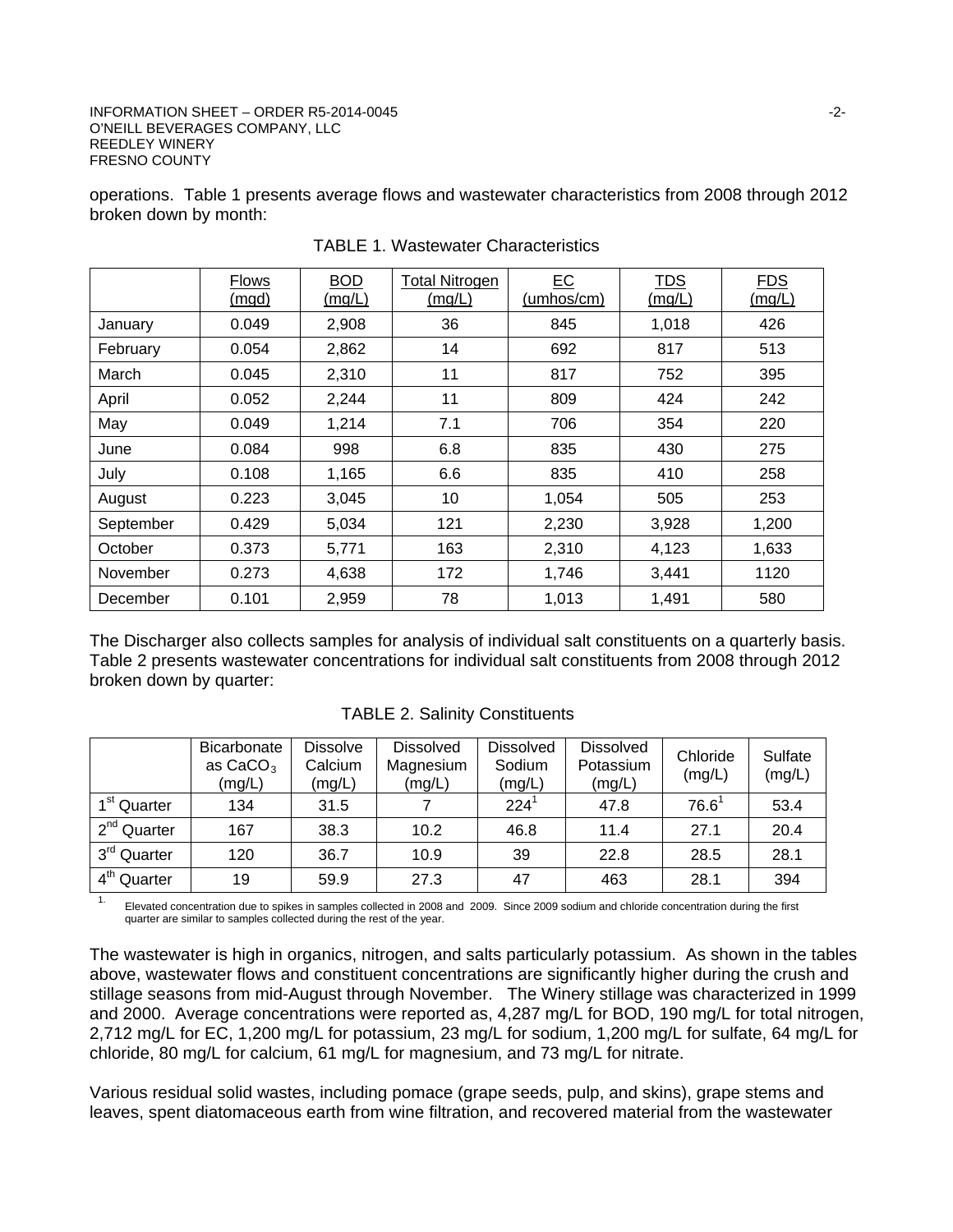#### INFORMATION SHEET – ORDER R5-2014-0045 -2-O'NEILL BEVERAGES COMPANY, LLC REEDLEY WINERY FRESNO COUNTY

operations. Table 1 presents average flows and wastewater characteristics from 2008 through 2012 broken down by month:

|           | <b>Flows</b><br><u>(mgd)</u> | <b>BOD</b><br>(mq/L) | <b>Total Nitrogen</b><br>(mq/L) | EC<br>(umhos/cm) | <b>TDS</b><br><u>(mg/L)</u> | <b>FDS</b><br>(mg/L) |  |
|-----------|------------------------------|----------------------|---------------------------------|------------------|-----------------------------|----------------------|--|
| January   | 0.049                        | 2,908                | 36                              | 845              | 1,018                       | 426                  |  |
| February  | 0.054                        | 2,862                | 14                              | 692              | 817                         | 513                  |  |
| March     | 0.045                        | 2,310                | 11                              | 817              | 752                         | 395                  |  |
| April     | 0.052                        | 2,244                | 11                              | 809              | 424                         | 242                  |  |
| May       | 0.049                        | 1,214                | 7.1                             | 706              | 354                         | 220                  |  |
| June      | 0.084                        | 998                  | 6.8                             | 835              | 430                         | 275                  |  |
| July      | 0.108                        | 1,165                | 6.6                             | 835              | 410                         | 258                  |  |
| August    | 0.223                        | 3,045                | 10                              | 1,054            | 505                         | 253                  |  |
| September | 0.429                        | 5,034                | 121                             | 2,230            | 3,928                       | 1,200                |  |
| October   | 0.373                        | 5,771                | 163                             | 2,310            | 4,123                       | 1,633                |  |
| November  | 0.273                        | 4,638                | 172                             | 1,746            | 3,441                       | 1120                 |  |
| December  | 0.101                        | 2,959                | 78                              | 1,013            | 1,491                       | 580                  |  |

TABLE 1. Wastewater Characteristics

The Discharger also collects samples for analysis of individual salt constituents on a quarterly basis. Table 2 presents wastewater concentrations for individual salt constituents from 2008 through 2012 broken down by quarter:

|                         | Bicarbonate<br>as $CaCO3$<br>(mg/L) | <b>Dissolve</b><br>Calcium<br>(mg/L) | <b>Dissolved</b><br>Magnesium<br>(mg/L) | <b>Dissolved</b><br>Sodium<br>(mg/L) | <b>Dissolved</b><br>Potassium<br>(mg/L) | Chloride<br>(mg/L) | Sulfate<br>(mg/L) |
|-------------------------|-------------------------------------|--------------------------------------|-----------------------------------------|--------------------------------------|-----------------------------------------|--------------------|-------------------|
| 1 <sup>st</sup> Quarter | 134                                 | 31.5                                 |                                         | $224^{\circ}$                        | 47.8                                    | $76.6^1$           | 53.4              |
| 2 <sup>nd</sup> Quarter | 167                                 | 38.3                                 | 10.2                                    | 46.8                                 | 11.4                                    | 27.1               | 20.4              |
| 3 <sup>rd</sup> Quarter | 120                                 | 36.7                                 | 10.9                                    | 39                                   | 22.8                                    | 28.5               | 28.1              |
| 4 <sup>th</sup> Quarter | 19                                  | 59.9                                 | 27.3                                    | 47                                   | 463                                     | 28.1               | 394               |

TABLE 2. Salinity Constituents

1. Elevated concentration due to spikes in samples collected in 2008 and 2009. Since 2009 sodium and chloride concentration during the first quarter are similar to samples collected during the rest of the year.

The wastewater is high in organics, nitrogen, and salts particularly potassium. As shown in the tables above, wastewater flows and constituent concentrations are significantly higher during the crush and stillage seasons from mid-August through November. The Winery stillage was characterized in 1999 and 2000. Average concentrations were reported as, 4,287 mg/L for BOD, 190 mg/L for total nitrogen, 2,712 mg/L for EC, 1,200 mg/L for potassium, 23 mg/L for sodium, 1,200 mg/L for sulfate, 64 mg/L for chloride, 80 mg/L for calcium, 61 mg/L for magnesium, and 73 mg/L for nitrate.

Various residual solid wastes, including pomace (grape seeds, pulp, and skins), grape stems and leaves, spent diatomaceous earth from wine filtration, and recovered material from the wastewater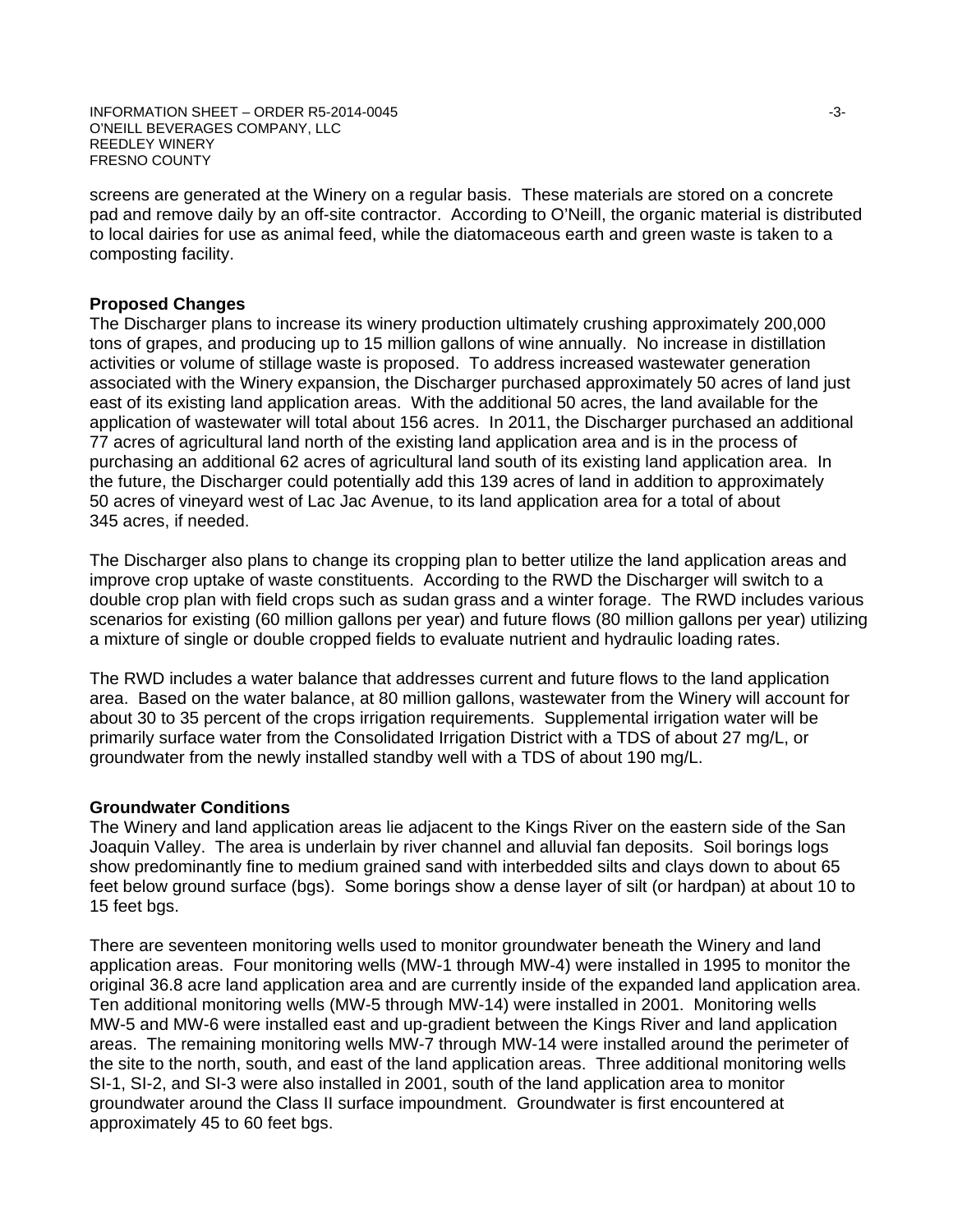INFORMATION SHEET – ORDER R5-2014-0045 -3- O'NEILL BEVERAGES COMPANY, LLC REEDLEY WINERY FRESNO COUNTY

screens are generated at the Winery on a regular basis. These materials are stored on a concrete pad and remove daily by an off-site contractor. According to O'Neill, the organic material is distributed to local dairies for use as animal feed, while the diatomaceous earth and green waste is taken to a composting facility.

### **Proposed Changes**

The Discharger plans to increase its winery production ultimately crushing approximately 200,000 tons of grapes, and producing up to 15 million gallons of wine annually. No increase in distillation activities or volume of stillage waste is proposed. To address increased wastewater generation associated with the Winery expansion, the Discharger purchased approximately 50 acres of land just east of its existing land application areas. With the additional 50 acres, the land available for the application of wastewater will total about 156 acres. In 2011, the Discharger purchased an additional 77 acres of agricultural land north of the existing land application area and is in the process of purchasing an additional 62 acres of agricultural land south of its existing land application area. In the future, the Discharger could potentially add this 139 acres of land in addition to approximately 50 acres of vineyard west of Lac Jac Avenue, to its land application area for a total of about 345 acres, if needed.

The Discharger also plans to change its cropping plan to better utilize the land application areas and improve crop uptake of waste constituents. According to the RWD the Discharger will switch to a double crop plan with field crops such as sudan grass and a winter forage. The RWD includes various scenarios for existing (60 million gallons per year) and future flows (80 million gallons per year) utilizing a mixture of single or double cropped fields to evaluate nutrient and hydraulic loading rates.

The RWD includes a water balance that addresses current and future flows to the land application area. Based on the water balance, at 80 million gallons, wastewater from the Winery will account for about 30 to 35 percent of the crops irrigation requirements. Supplemental irrigation water will be primarily surface water from the Consolidated Irrigation District with a TDS of about 27 mg/L, or groundwater from the newly installed standby well with a TDS of about 190 mg/L.

#### **Groundwater Conditions**

The Winery and land application areas lie adjacent to the Kings River on the eastern side of the San Joaquin Valley. The area is underlain by river channel and alluvial fan deposits. Soil borings logs show predominantly fine to medium grained sand with interbedded silts and clays down to about 65 feet below ground surface (bgs). Some borings show a dense layer of silt (or hardpan) at about 10 to 15 feet bgs.

There are seventeen monitoring wells used to monitor groundwater beneath the Winery and land application areas. Four monitoring wells (MW-1 through MW-4) were installed in 1995 to monitor the original 36.8 acre land application area and are currently inside of the expanded land application area. Ten additional monitoring wells (MW-5 through MW-14) were installed in 2001. Monitoring wells MW-5 and MW-6 were installed east and up-gradient between the Kings River and land application areas. The remaining monitoring wells MW-7 through MW-14 were installed around the perimeter of the site to the north, south, and east of the land application areas. Three additional monitoring wells SI-1, SI-2, and SI-3 were also installed in 2001, south of the land application area to monitor groundwater around the Class II surface impoundment. Groundwater is first encountered at approximately 45 to 60 feet bgs.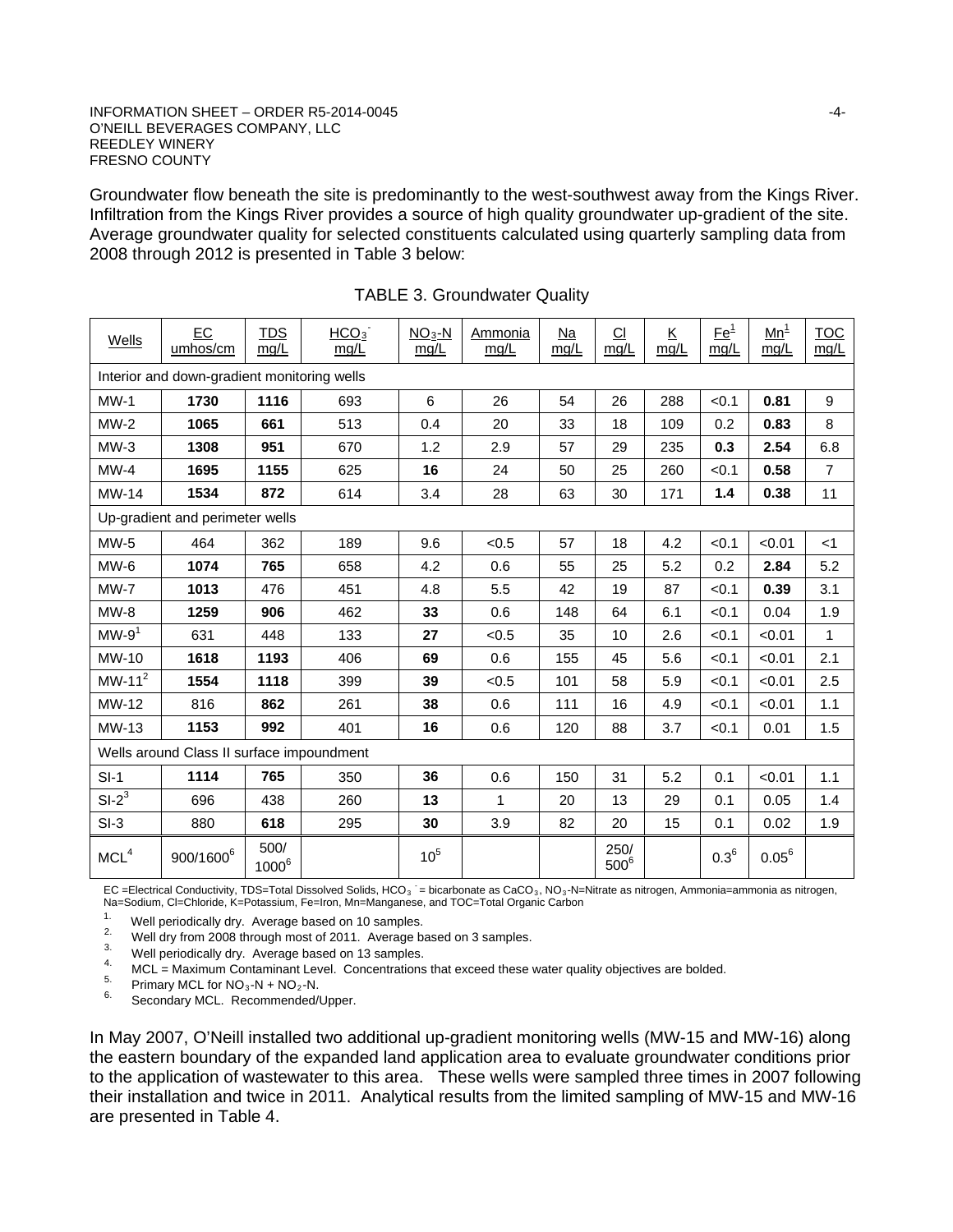#### INFORMATION SHEET – ORDER R5-2014-0045 -4- O'NEILL BEVERAGES COMPANY, LLC REEDLEY WINERY FRESNO COUNTY

Groundwater flow beneath the site is predominantly to the west-southwest away from the Kings River. Infiltration from the Kings River provides a source of high quality groundwater up-gradient of the site. Average groundwater quality for selected constituents calculated using quarterly sampling data from 2008 through 2012 is presented in Table 3 below:

| Wells                                       | EC<br>umhos/cm                            | TDS<br>mg/L      | HCO <sub>3</sub><br>mg/L | $NO3-N$<br>mg/L | Ammonia<br>mg/L | Na<br>mg/L | $\Omega$<br>mg/L | Κ<br>mg/L | $Ee^1$<br>mg/L | $\underline{\mathsf{Mn}}^1$<br>mg/L | <b>TOC</b><br>mg/L |  |
|---------------------------------------------|-------------------------------------------|------------------|--------------------------|-----------------|-----------------|------------|------------------|-----------|----------------|-------------------------------------|--------------------|--|
| Interior and down-gradient monitoring wells |                                           |                  |                          |                 |                 |            |                  |           |                |                                     |                    |  |
| $MW-1$                                      | 1730                                      | 1116             | 693                      | 6               | 26              | 54         | 26               | 288       | < 0.1          | 0.81                                | 9                  |  |
| $MW-2$                                      | 1065                                      | 661              | 513                      | 0.4             | 20              | 33         | 18               | 109       | 0.2            | 0.83                                | 8                  |  |
| $MW-3$                                      | 1308                                      | 951              | 670                      | 1.2             | 2.9             | 57         | 29               | 235       | 0.3            | 2.54                                | 6.8                |  |
| $MW-4$                                      | 1695                                      | 1155             | 625                      | 16              | 24              | 50         | 25               | 260       | < 0.1          | 0.58                                | $\overline{7}$     |  |
| <b>MW-14</b>                                | 1534                                      | 872              | 614                      | 3.4             | 28              | 63         | 30               | 171       | 1.4            | 0.38                                | 11                 |  |
|                                             | Up-gradient and perimeter wells           |                  |                          |                 |                 |            |                  |           |                |                                     |                    |  |
| $MW-5$                                      | 464                                       | 362              | 189                      | 9.6             | < 0.5           | 57         | 18               | 4.2       | < 0.1          | < 0.01                              | $<$ 1              |  |
| MW-6                                        | 1074                                      | 765              | 658                      | 4.2             | 0.6             | 55         | 25               | 5.2       | 0.2            | 2.84                                | 5.2                |  |
| $MW-7$                                      | 1013                                      | 476              | 451                      | 4.8             | 5.5             | 42         | 19               | 87        | < 0.1          | 0.39                                | 3.1                |  |
| $MW-8$                                      | 1259                                      | 906              | 462                      | 33              | 0.6             | 148        | 64               | 6.1       | < 0.1          | 0.04                                | 1.9                |  |
| $MW-91$                                     | 631                                       | 448              | 133                      | 27              | < 0.5           | 35         | 10               | 2.6       | < 0.1          | < 0.01                              | 1                  |  |
| <b>MW-10</b>                                | 1618                                      | 1193             | 406                      | 69              | 0.6             | 155        | 45               | 5.6       | < 0.1          | < 0.01                              | 2.1                |  |
| $MW-112$                                    | 1554                                      | 1118             | 399                      | 39              | < 0.5           | 101        | 58               | 5.9       | < 0.1          | < 0.01                              | 2.5                |  |
| MW-12                                       | 816                                       | 862              | 261                      | 38              | 0.6             | 111        | 16               | 4.9       | < 0.1          | < 0.01                              | 1.1                |  |
| MW-13                                       | 1153                                      | 992              | 401                      | 16              | 0.6             | 120        | 88               | 3.7       | < 0.1          | 0.01                                | 1.5                |  |
|                                             | Wells around Class II surface impoundment |                  |                          |                 |                 |            |                  |           |                |                                     |                    |  |
| $SI-1$                                      | 1114                                      | 765              | 350                      | 36              | 0.6             | 150        | 31               | 5.2       | 0.1            | < 0.01                              | 1.1                |  |
| $SI-2^3$                                    | 696                                       | 438              | 260                      | 13              | 1               | 20         | 13               | 29        | 0.1            | 0.05                                | 1.4                |  |
| $SI-3$                                      | 880                                       | 618              | 295                      | 30              | 3.9             | 82         | 20               | 15        | 0.1            | 0.02                                | 1.9                |  |
| MCL <sup>4</sup>                            | 900/1600 <sup>6</sup>                     | 500/<br>$1000^6$ |                          | $10^5$          |                 |            | 250/<br>$500^6$  |           | $0.3^{6}$      | $0.05^6$                            |                    |  |

|  | <b>TABLE 3. Groundwater Quality</b> |  |
|--|-------------------------------------|--|
|--|-------------------------------------|--|

EC =Electrical Conductivity, TDS=Total Dissolved Solids, HCO<sub>3</sub> = bicarbonate as CaCO<sub>3</sub>, NO<sub>3</sub>-N=Nitrate as nitrogen, Ammonia=ammonia as nitrogen, Na=Sodium, Cl=Chloride, K=Potassium, Fe=Iron, Mn=Manganese, and TOC=Total Organic Carbon

<sup>1.</sup> Well periodically dry. Average based on 10 samples.<br>
<sup>2.</sup> Well dry from 2008 through most of 2011. Average based on 3 samples.<br>
<sup>3.</sup> Well periodically dry. Average based on 13 samples.<br>
<sup>4.</sup> MCL = Maximum Contaminant

In May 2007, O'Neill installed two additional up-gradient monitoring wells (MW-15 and MW-16) along the eastern boundary of the expanded land application area to evaluate groundwater conditions prior to the application of wastewater to this area. These wells were sampled three times in 2007 following their installation and twice in 2011. Analytical results from the limited sampling of MW-15 and MW-16 are presented in Table 4.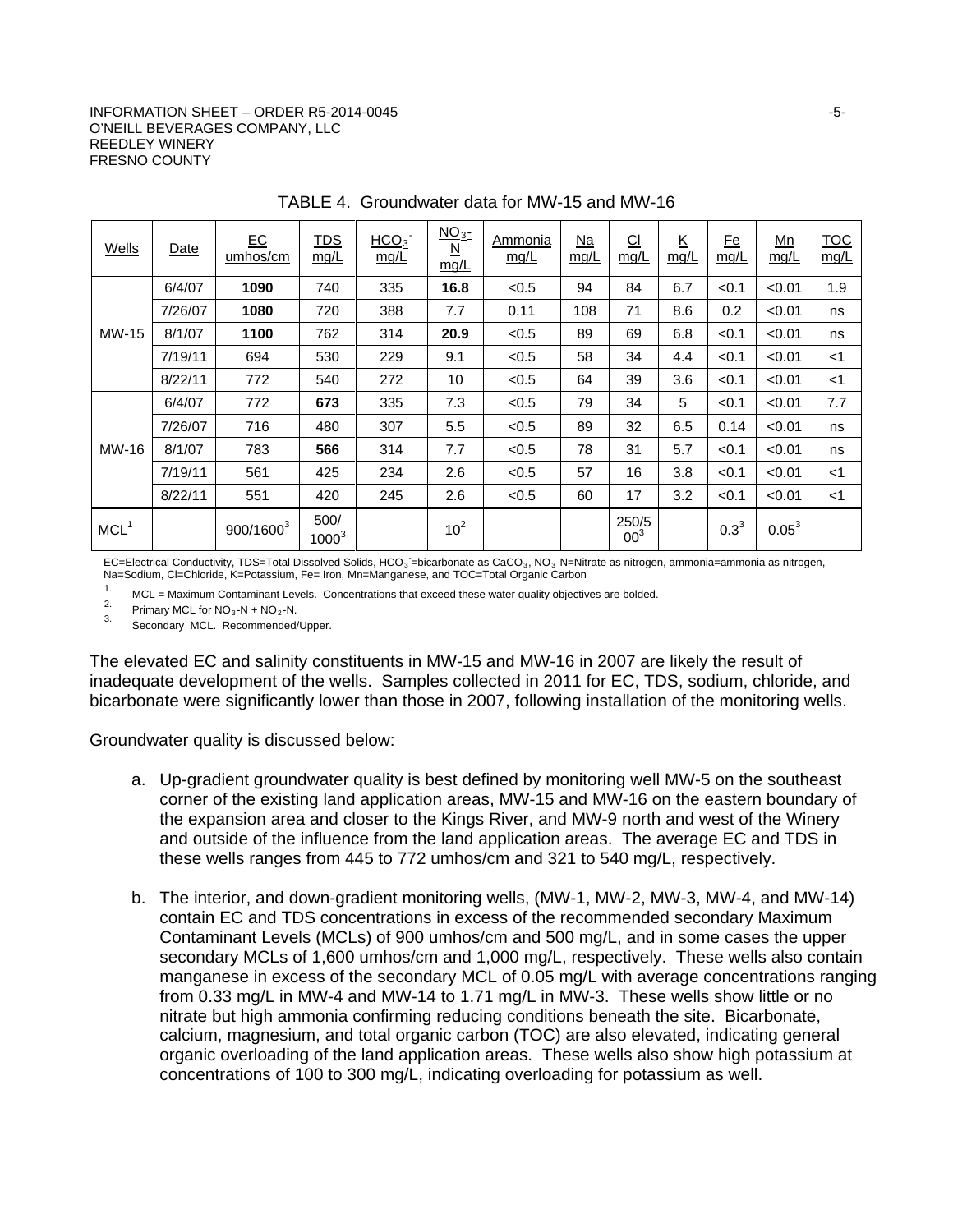#### $I$ NFORMATION SHEET – ORDER R5-2014-0045  $-5$ -O'NEILL BEVERAGES COMPANY, LLC REEDLEY WINERY FRESNO COUNTY

| <b>Wells</b>     | Date    | E C<br>umhos/cm | <u>TDS</u><br>mg/L | HCO <sub>3</sub><br>mg/L | NO <sub>3</sub><br>$\underline{\mathsf{N}}$<br>mg/L | Ammonia<br>mg/L | $Na$<br>mg/L | $\underline{\text{CI}}$<br>mg/L | $\underline{\mathsf{K}}$<br>mg/L | <u>Fe</u><br>mg/L | $\underline{\mathsf{Mn}}$<br>mg/L | <b>TOC</b><br>mg/L |
|------------------|---------|-----------------|--------------------|--------------------------|-----------------------------------------------------|-----------------|--------------|---------------------------------|----------------------------------|-------------------|-----------------------------------|--------------------|
|                  | 6/4/07  | 1090            | 740                | 335                      | 16.8                                                | < 0.5           | 94           | 84                              | 6.7                              | < 0.1             | < 0.01                            | 1.9                |
|                  | 7/26/07 | 1080            | 720                | 388                      | 7.7                                                 | 0.11            | 108          | 71                              | 8.6                              | 0.2               | < 0.01                            | ns                 |
| <b>MW-15</b>     | 8/1/07  | 1100            | 762                | 314                      | 20.9                                                | < 0.5           | 89           | 69                              | 6.8                              | < 0.1             | < 0.01                            | ns                 |
|                  | 7/19/11 | 694             | 530                | 229                      | 9.1                                                 | < 0.5           | 58           | 34                              | 4.4                              | < 0.1             | < 0.01                            | $<$ 1              |
|                  | 8/22/11 | 772             | 540                | 272                      | 10                                                  | < 0.5           | 64           | 39                              | 3.6                              | < 0.1             | < 0.01                            | $<$ 1              |
|                  | 6/4/07  | 772             | 673                | 335                      | 7.3                                                 | < 0.5           | 79           | 34                              | 5                                | < 0.1             | < 0.01                            | 7.7                |
|                  | 7/26/07 | 716             | 480                | 307                      | 5.5                                                 | < 0.5           | 89           | 32                              | 6.5                              | 0.14              | < 0.01                            | ns                 |
| MW-16            | 8/1/07  | 783             | 566                | 314                      | 7.7                                                 | < 0.5           | 78           | 31                              | 5.7                              | < 0.1             | < 0.01                            | ns                 |
|                  | 7/19/11 | 561             | 425                | 234                      | 2.6                                                 | < 0.5           | 57           | 16                              | 3.8                              | < 0.1             | < 0.01                            | $<$ 1              |
|                  | 8/22/11 | 551             | 420                | 245                      | 2.6                                                 | < 0.5           | 60           | 17                              | 3.2                              | < 0.1             | < 0.01                            | $<$ 1              |
| MCL <sup>1</sup> |         | $900/1600^3$    | 500/<br>$1000^3$   |                          | 10 <sup>2</sup>                                     |                 |              | 250/5<br>00 <sup>3</sup>        |                                  | $0.3^{3}$         | $0.05^{3}$                        |                    |

TABLE 4. Groundwater data for MW-15 and MW-16

EC=Electrical Conductivity, TDS=Total Dissolved Solids, HCO<sub>3</sub> =bicarbonate as CaCO<sub>3</sub>, NO<sub>3</sub>-N=Nitrate as nitrogen, ammonia=ammonia as nitrogen, Na=Sodium, Cl=Chloride, K=Potassium, Fe= Iron, Mn=Manganese, and TOC=Total Organic Carbon<br>1. And Manufacture Cardonicant Lough Concontrations that expect these water quality objective

1. MCL = Maximum Contaminant Levels. Concentrations that exceed these water quality objectives are bolded.<br>
<sup>2.</sup> Primary MCL for NO<sub>3</sub>-N + NO<sub>2</sub>-N.<br>
<sup>3.</sup> Secondary MCL. Recommended/Upper.

The elevated EC and salinity constituents in MW-15 and MW-16 in 2007 are likely the result of inadequate development of the wells. Samples collected in 2011 for EC, TDS, sodium, chloride, and bicarbonate were significantly lower than those in 2007, following installation of the monitoring wells.

Groundwater quality is discussed below:

- a. Up-gradient groundwater quality is best defined by monitoring well MW-5 on the southeast corner of the existing land application areas, MW-15 and MW-16 on the eastern boundary of the expansion area and closer to the Kings River, and MW-9 north and west of the Winery and outside of the influence from the land application areas. The average EC and TDS in these wells ranges from 445 to 772 umhos/cm and 321 to 540 mg/L, respectively.
- b. The interior, and down-gradient monitoring wells, (MW-1, MW-2, MW-3, MW-4, and MW-14) contain EC and TDS concentrations in excess of the recommended secondary Maximum Contaminant Levels (MCLs) of 900 umhos/cm and 500 mg/L, and in some cases the upper secondary MCLs of 1,600 umhos/cm and 1,000 mg/L, respectively. These wells also contain manganese in excess of the secondary MCL of 0.05 mg/L with average concentrations ranging from 0.33 mg/L in MW-4 and MW-14 to 1.71 mg/L in MW-3. These wells show little or no nitrate but high ammonia confirming reducing conditions beneath the site. Bicarbonate, calcium, magnesium, and total organic carbon (TOC) are also elevated, indicating general organic overloading of the land application areas. These wells also show high potassium at concentrations of 100 to 300 mg/L, indicating overloading for potassium as well.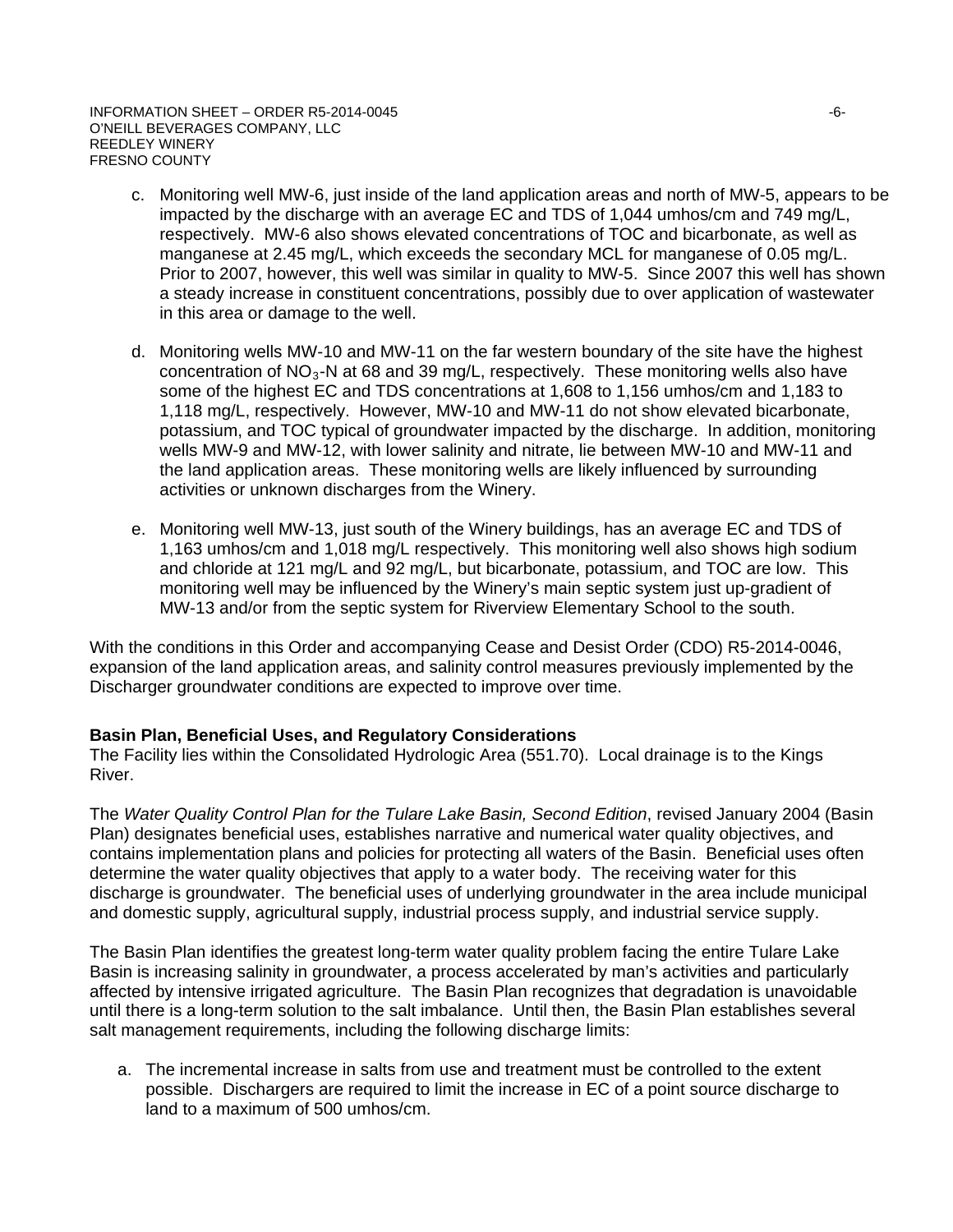- c. Monitoring well MW-6, just inside of the land application areas and north of MW-5, appears to be impacted by the discharge with an average EC and TDS of 1,044 umhos/cm and 749 mg/L, respectively. MW-6 also shows elevated concentrations of TOC and bicarbonate, as well as manganese at 2.45 mg/L, which exceeds the secondary MCL for manganese of 0.05 mg/L. Prior to 2007, however, this well was similar in quality to MW-5. Since 2007 this well has shown a steady increase in constituent concentrations, possibly due to over application of wastewater in this area or damage to the well.
- d. Monitoring wells MW-10 and MW-11 on the far western boundary of the site have the highest concentration of  $NO<sub>3</sub>$ -N at 68 and 39 mg/L, respectively. These monitoring wells also have some of the highest EC and TDS concentrations at 1,608 to 1,156 umhos/cm and 1,183 to 1,118 mg/L, respectively. However, MW-10 and MW-11 do not show elevated bicarbonate, potassium, and TOC typical of groundwater impacted by the discharge. In addition, monitoring wells MW-9 and MW-12, with lower salinity and nitrate, lie between MW-10 and MW-11 and the land application areas. These monitoring wells are likely influenced by surrounding activities or unknown discharges from the Winery.
- e. Monitoring well MW-13, just south of the Winery buildings, has an average EC and TDS of 1,163 umhos/cm and 1,018 mg/L respectively. This monitoring well also shows high sodium and chloride at 121 mg/L and 92 mg/L, but bicarbonate, potassium, and TOC are low. This monitoring well may be influenced by the Winery's main septic system just up-gradient of MW-13 and/or from the septic system for Riverview Elementary School to the south.

With the conditions in this Order and accompanying Cease and Desist Order (CDO) R5-2014-0046, expansion of the land application areas, and salinity control measures previously implemented by the Discharger groundwater conditions are expected to improve over time.

## **Basin Plan, Beneficial Uses, and Regulatory Considerations**

The Facility lies within the Consolidated Hydrologic Area (551.70). Local drainage is to the Kings River.

The *Water Quality Control Plan for the Tulare Lake Basin, Second Edition*, revised January 2004 (Basin Plan) designates beneficial uses, establishes narrative and numerical water quality objectives, and contains implementation plans and policies for protecting all waters of the Basin. Beneficial uses often determine the water quality objectives that apply to a water body. The receiving water for this discharge is groundwater. The beneficial uses of underlying groundwater in the area include municipal and domestic supply, agricultural supply, industrial process supply, and industrial service supply.

The Basin Plan identifies the greatest long-term water quality problem facing the entire Tulare Lake Basin is increasing salinity in groundwater, a process accelerated by man's activities and particularly affected by intensive irrigated agriculture. The Basin Plan recognizes that degradation is unavoidable until there is a long-term solution to the salt imbalance. Until then, the Basin Plan establishes several salt management requirements, including the following discharge limits:

a. The incremental increase in salts from use and treatment must be controlled to the extent possible. Dischargers are required to limit the increase in EC of a point source discharge to land to a maximum of 500 umhos/cm.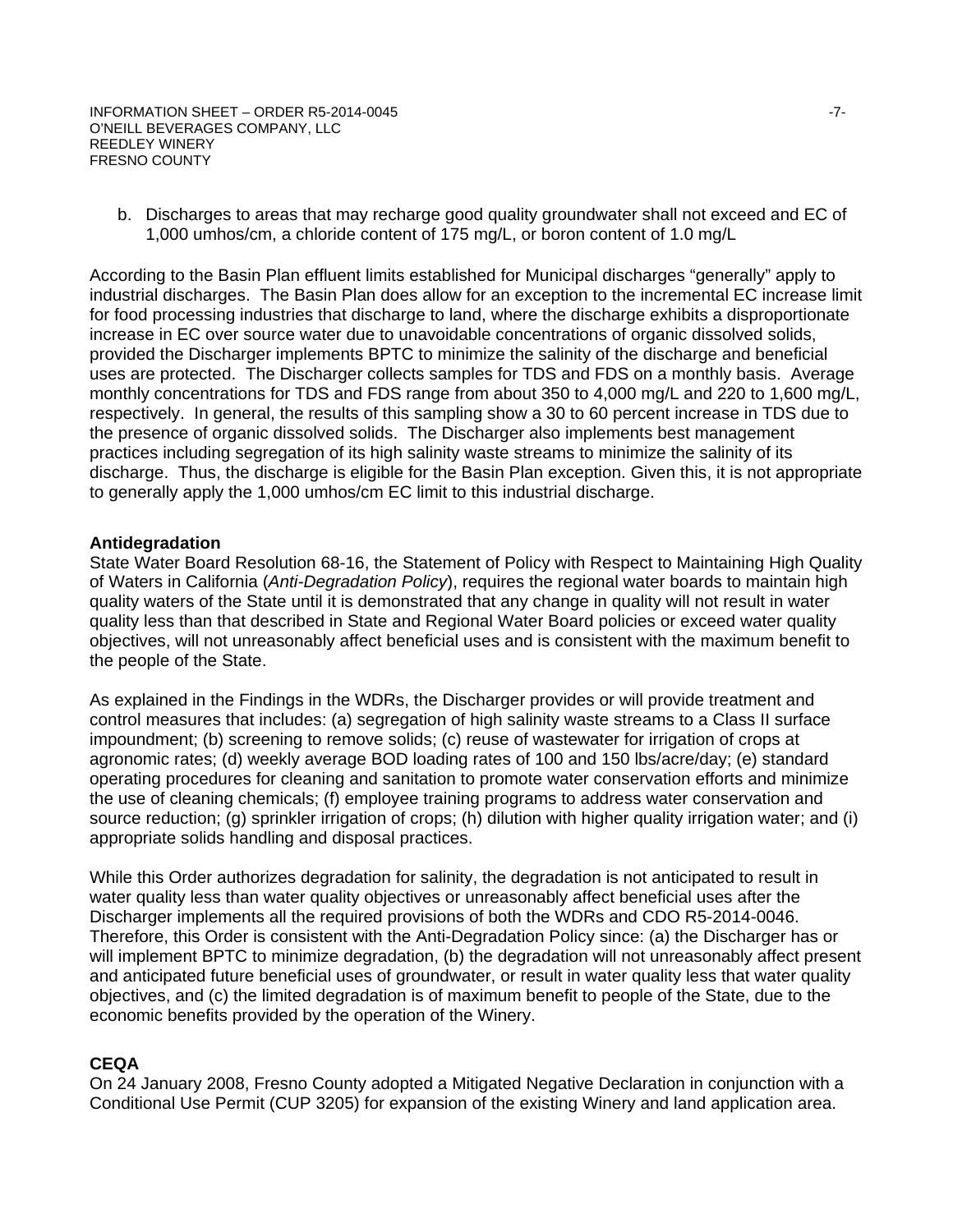b. Discharges to areas that may recharge good quality groundwater shall not exceed and EC of 1,000 umhos/cm, a chloride content of 175 mg/L, or boron content of 1.0 mg/L

According to the Basin Plan effluent limits established for Municipal discharges "generally" apply to industrial discharges. The Basin Plan does allow for an exception to the incremental EC increase limit for food processing industries that discharge to land, where the discharge exhibits a disproportionate increase in EC over source water due to unavoidable concentrations of organic dissolved solids, provided the Discharger implements BPTC to minimize the salinity of the discharge and beneficial uses are protected. The Discharger collects samples for TDS and FDS on a monthly basis. Average monthly concentrations for TDS and FDS range from about 350 to 4,000 mg/L and 220 to 1,600 mg/L, respectively. In general, the results of this sampling show a 30 to 60 percent increase in TDS due to the presence of organic dissolved solids. The Discharger also implements best management practices including segregation of its high salinity waste streams to minimize the salinity of its discharge. Thus, the discharge is eligible for the Basin Plan exception. Given this, it is not appropriate to generally apply the 1,000 umhos/cm EC limit to this industrial discharge.

### **Antidegradation**

State Water Board Resolution 68-16, the Statement of Policy with Respect to Maintaining High Quality of Waters in California (*Anti-Degradation Policy*), requires the regional water boards to maintain high quality waters of the State until it is demonstrated that any change in quality will not result in water quality less than that described in State and Regional Water Board policies or exceed water quality objectives, will not unreasonably affect beneficial uses and is consistent with the maximum benefit to the people of the State.

As explained in the Findings in the WDRs, the Discharger provides or will provide treatment and control measures that includes: (a) segregation of high salinity waste streams to a Class II surface impoundment; (b) screening to remove solids; (c) reuse of wastewater for irrigation of crops at agronomic rates; (d) weekly average BOD loading rates of 100 and 150 lbs/acre/day; (e) standard operating procedures for cleaning and sanitation to promote water conservation efforts and minimize the use of cleaning chemicals; (f) employee training programs to address water conservation and source reduction; (g) sprinkler irrigation of crops; (h) dilution with higher quality irrigation water; and (i) appropriate solids handling and disposal practices.

While this Order authorizes degradation for salinity, the degradation is not anticipated to result in water quality less than water quality objectives or unreasonably affect beneficial uses after the Discharger implements all the required provisions of both the WDRs and CDO R5-2014-0046. Therefore, this Order is consistent with the Anti-Degradation Policy since: (a) the Discharger has or will implement BPTC to minimize degradation, (b) the degradation will not unreasonably affect present and anticipated future beneficial uses of groundwater, or result in water quality less that water quality objectives, and (c) the limited degradation is of maximum benefit to people of the State, due to the economic benefits provided by the operation of the Winery.

### **CEQA**

On 24 January 2008, Fresno County adopted a Mitigated Negative Declaration in conjunction with a Conditional Use Permit (CUP 3205) for expansion of the existing Winery and land application area.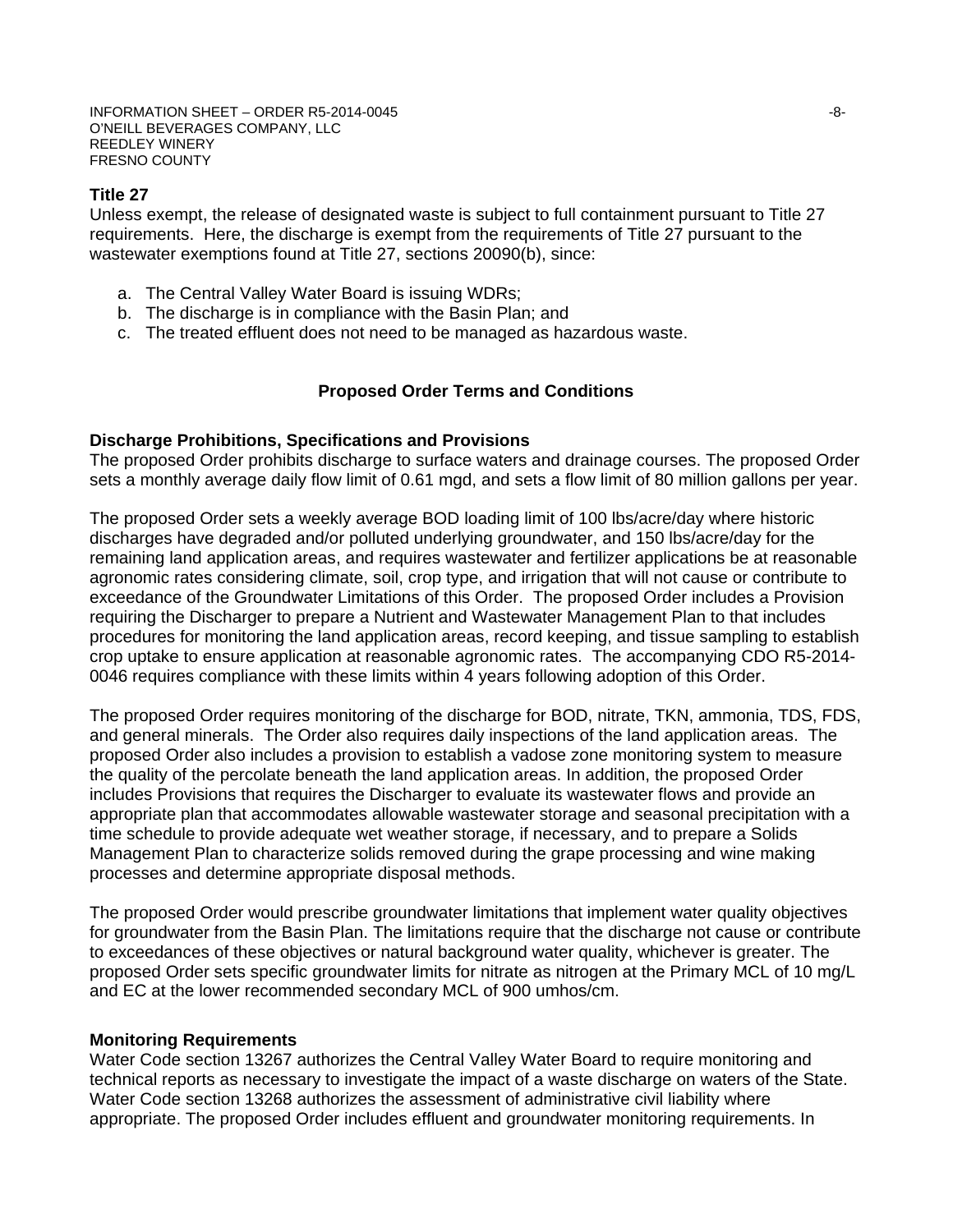### **Title 27**

Unless exempt, the release of designated waste is subject to full containment pursuant to Title 27 requirements. Here, the discharge is exempt from the requirements of Title 27 pursuant to the wastewater exemptions found at Title 27, sections 20090(b), since:

- a. The Central Valley Water Board is issuing WDRs;
- b. The discharge is in compliance with the Basin Plan; and
- c. The treated effluent does not need to be managed as hazardous waste.

#### **Proposed Order Terms and Conditions**

#### **Discharge Prohibitions, Specifications and Provisions**

The proposed Order prohibits discharge to surface waters and drainage courses. The proposed Order sets a monthly average daily flow limit of 0.61 mgd, and sets a flow limit of 80 million gallons per year.

The proposed Order sets a weekly average BOD loading limit of 100 lbs/acre/day where historic discharges have degraded and/or polluted underlying groundwater, and 150 lbs/acre/day for the remaining land application areas, and requires wastewater and fertilizer applications be at reasonable agronomic rates considering climate, soil, crop type, and irrigation that will not cause or contribute to exceedance of the Groundwater Limitations of this Order. The proposed Order includes a Provision requiring the Discharger to prepare a Nutrient and Wastewater Management Plan to that includes procedures for monitoring the land application areas, record keeping, and tissue sampling to establish crop uptake to ensure application at reasonable agronomic rates. The accompanying CDO R5-2014- 0046 requires compliance with these limits within 4 years following adoption of this Order.

The proposed Order requires monitoring of the discharge for BOD, nitrate, TKN, ammonia, TDS, FDS, and general minerals. The Order also requires daily inspections of the land application areas. The proposed Order also includes a provision to establish a vadose zone monitoring system to measure the quality of the percolate beneath the land application areas. In addition, the proposed Order includes Provisions that requires the Discharger to evaluate its wastewater flows and provide an appropriate plan that accommodates allowable wastewater storage and seasonal precipitation with a time schedule to provide adequate wet weather storage, if necessary, and to prepare a Solids Management Plan to characterize solids removed during the grape processing and wine making processes and determine appropriate disposal methods.

The proposed Order would prescribe groundwater limitations that implement water quality objectives for groundwater from the Basin Plan. The limitations require that the discharge not cause or contribute to exceedances of these objectives or natural background water quality, whichever is greater. The proposed Order sets specific groundwater limits for nitrate as nitrogen at the Primary MCL of 10 mg/L and EC at the lower recommended secondary MCL of 900 umhos/cm.

#### **Monitoring Requirements**

Water Code section 13267 authorizes the Central Valley Water Board to require monitoring and technical reports as necessary to investigate the impact of a waste discharge on waters of the State. Water Code section 13268 authorizes the assessment of administrative civil liability where appropriate. The proposed Order includes effluent and groundwater monitoring requirements. In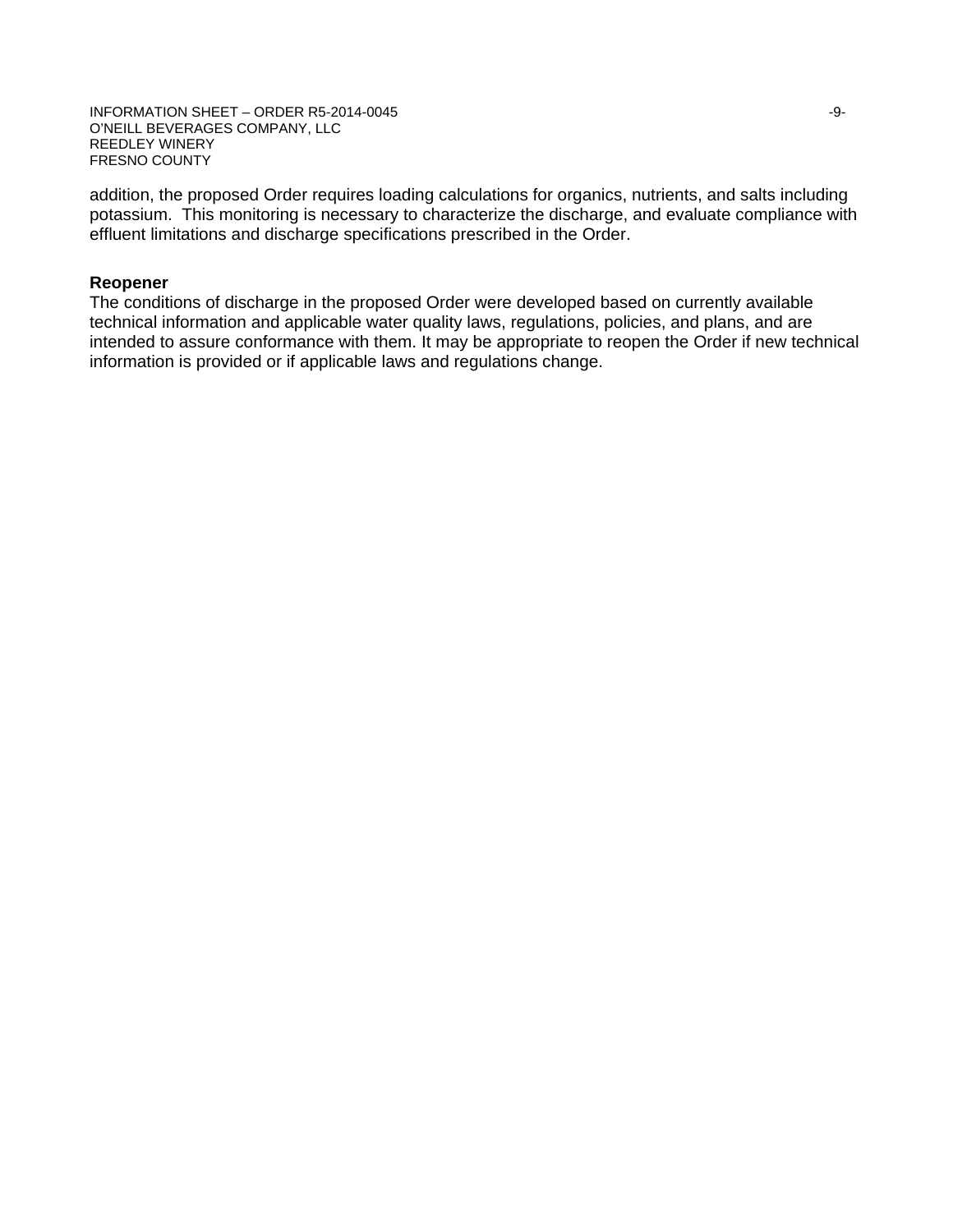INFORMATION SHEET – ORDER R5-2014-0045 -9- O'NEILL BEVERAGES COMPANY, LLC REEDLEY WINERY FRESNO COUNTY

addition, the proposed Order requires loading calculations for organics, nutrients, and salts including potassium. This monitoring is necessary to characterize the discharge, and evaluate compliance with effluent limitations and discharge specifications prescribed in the Order.

## **Reopener**

The conditions of discharge in the proposed Order were developed based on currently available technical information and applicable water quality laws, regulations, policies, and plans, and are intended to assure conformance with them. It may be appropriate to reopen the Order if new technical information is provided or if applicable laws and regulations change.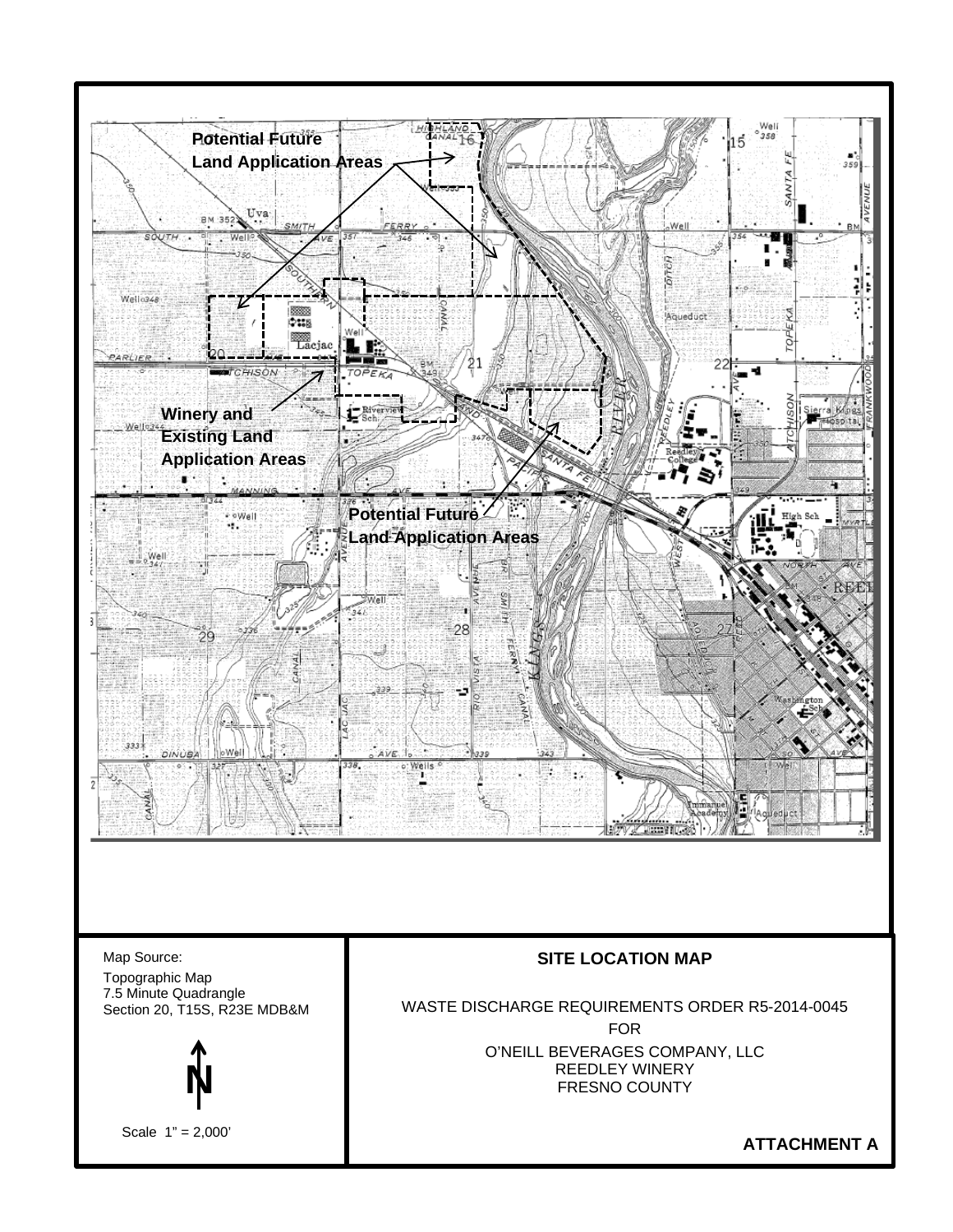

Map Source: Topographic Map 7.5 Minute Quadrangle Section 20, T15S, R23E MDB&M



Scale 1" = 2,000'

## **SITE LOCATION MAP**

WASTE DISCHARGE REQUIREMENTS ORDER R5-2014-0045 FOR O'NEILL BEVERAGES COMPANY, LLC REEDLEY WINERY FRESNO COUNTY

**ATTACHMENT A**